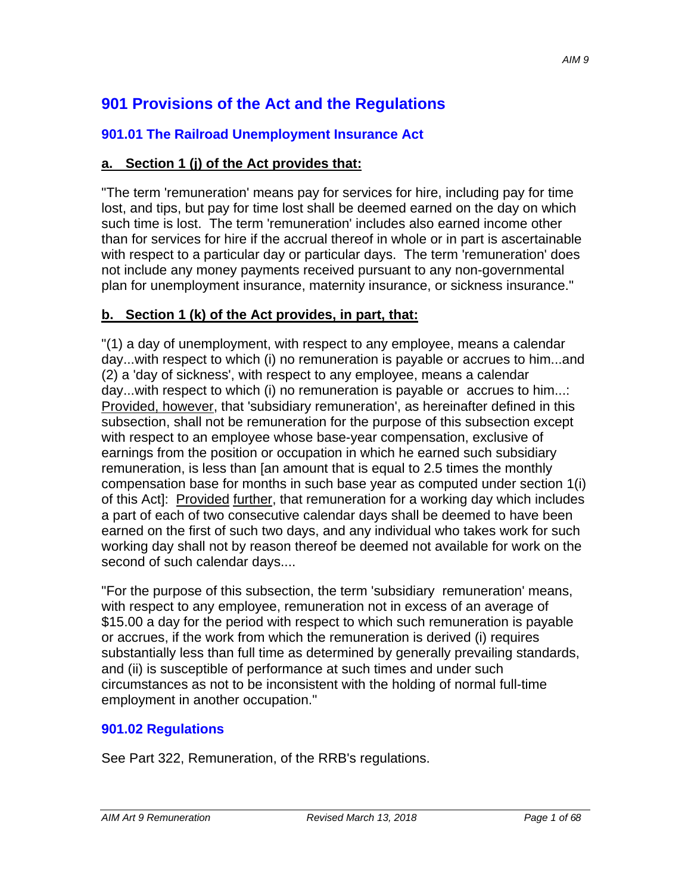# **901 Provisions of the Act and the Regulations**

#### **901.01 The Railroad Unemployment Insurance Act**

#### **a. Section 1 (j) of the Act provides that:**

"The term 'remuneration' means pay for services for hire, including pay for time lost, and tips, but pay for time lost shall be deemed earned on the day on which such time is lost. The term 'remuneration' includes also earned income other than for services for hire if the accrual thereof in whole or in part is ascertainable with respect to a particular day or particular days. The term 'remuneration' does not include any money payments received pursuant to any non-governmental plan for unemployment insurance, maternity insurance, or sickness insurance."

#### **b. Section 1 (k) of the Act provides, in part, that:**

"(1) a day of unemployment, with respect to any employee, means a calendar day...with respect to which (i) no remuneration is payable or accrues to him...and (2) a 'day of sickness', with respect to any employee, means a calendar day...with respect to which (i) no remuneration is payable or accrues to him...: Provided, however, that 'subsidiary remuneration', as hereinafter defined in this subsection, shall not be remuneration for the purpose of this subsection except with respect to an employee whose base-year compensation, exclusive of earnings from the position or occupation in which he earned such subsidiary remuneration, is less than [an amount that is equal to 2.5 times the monthly compensation base for months in such base year as computed under section 1(i) of this Act]: Provided further, that remuneration for a working day which includes a part of each of two consecutive calendar days shall be deemed to have been earned on the first of such two days, and any individual who takes work for such working day shall not by reason thereof be deemed not available for work on the second of such calendar days....

"For the purpose of this subsection, the term 'subsidiary remuneration' means, with respect to any employee, remuneration not in excess of an average of \$15.00 a day for the period with respect to which such remuneration is payable or accrues, if the work from which the remuneration is derived (i) requires substantially less than full time as determined by generally prevailing standards, and (ii) is susceptible of performance at such times and under such circumstances as not to be inconsistent with the holding of normal full-time employment in another occupation."

#### **901.02 Regulations**

See Part 322, Remuneration, of the RRB's regulations.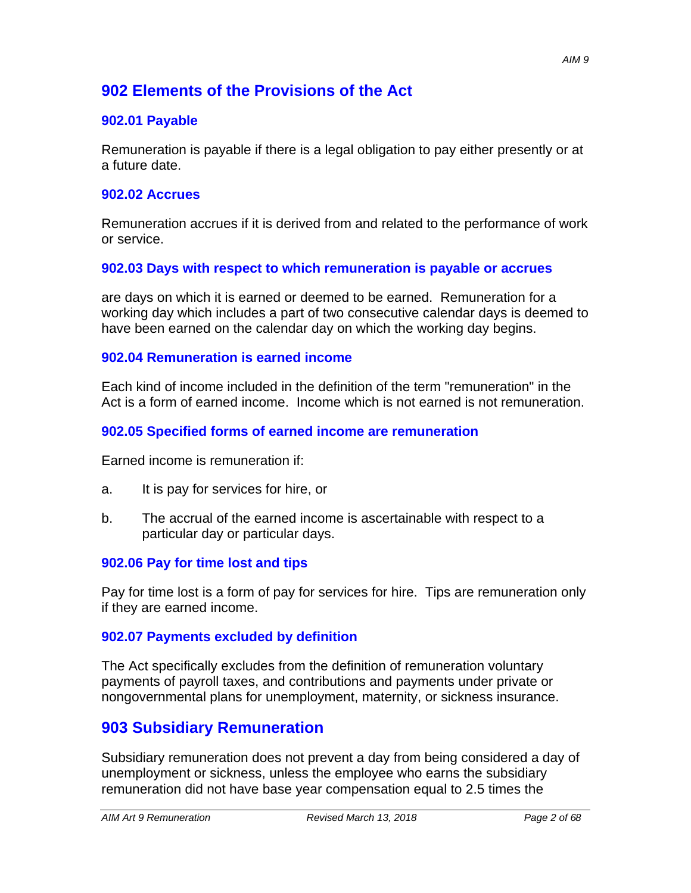## **902 Elements of the Provisions of the Act**

#### **902.01 Payable**

Remuneration is payable if there is a legal obligation to pay either presently or at a future date.

#### **902.02 Accrues**

Remuneration accrues if it is derived from and related to the performance of work or service.

#### **902.03 Days with respect to which remuneration is payable or accrues**

are days on which it is earned or deemed to be earned. Remuneration for a working day which includes a part of two consecutive calendar days is deemed to have been earned on the calendar day on which the working day begins.

#### **902.04 Remuneration is earned income**

Each kind of income included in the definition of the term "remuneration" in the Act is a form of earned income. Income which is not earned is not remuneration.

#### **902.05 Specified forms of earned income are remuneration**

Earned income is remuneration if:

- a. It is pay for services for hire, or
- b. The accrual of the earned income is ascertainable with respect to a particular day or particular days.

#### **902.06 Pay for time lost and tips**

Pay for time lost is a form of pay for services for hire. Tips are remuneration only if they are earned income.

#### **902.07 Payments excluded by definition**

The Act specifically excludes from the definition of remuneration voluntary payments of payroll taxes, and contributions and payments under private or nongovernmental plans for unemployment, maternity, or sickness insurance.

## **903 Subsidiary Remuneration**

Subsidiary remuneration does not prevent a day from being considered a day of unemployment or sickness, unless the employee who earns the subsidiary remuneration did not have base year compensation equal to 2.5 times the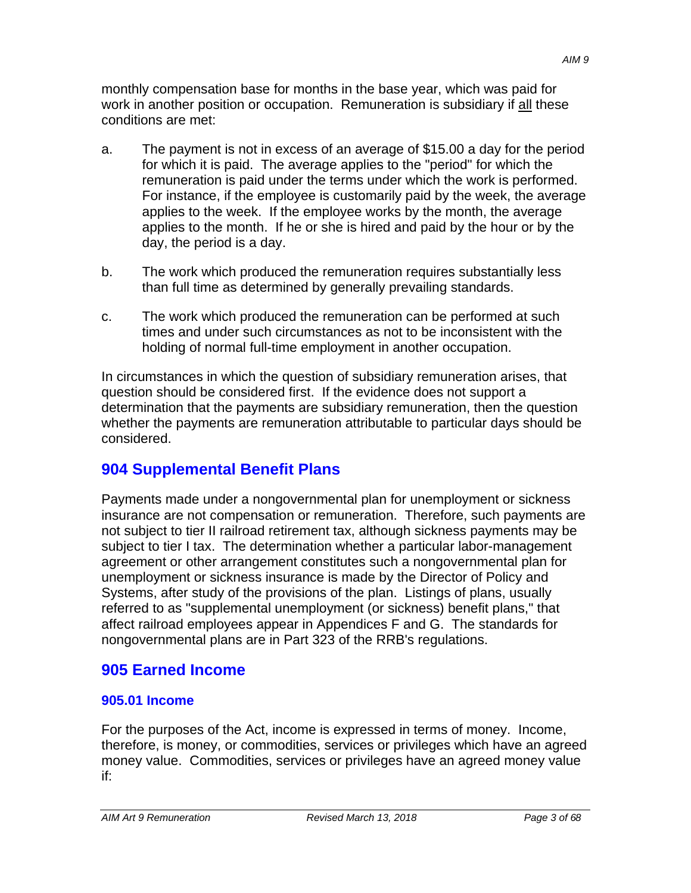monthly compensation base for months in the base year, which was paid for work in another position or occupation. Remuneration is subsidiary if all these conditions are met:

- a. The payment is not in excess of an average of \$15.00 a day for the period for which it is paid. The average applies to the "period" for which the remuneration is paid under the terms under which the work is performed. For instance, if the employee is customarily paid by the week, the average applies to the week. If the employee works by the month, the average applies to the month. If he or she is hired and paid by the hour or by the day, the period is a day.
- b. The work which produced the remuneration requires substantially less than full time as determined by generally prevailing standards.
- c. The work which produced the remuneration can be performed at such times and under such circumstances as not to be inconsistent with the holding of normal full-time employment in another occupation.

In circumstances in which the question of subsidiary remuneration arises, that question should be considered first. If the evidence does not support a determination that the payments are subsidiary remuneration, then the question whether the payments are remuneration attributable to particular days should be considered.

# **904 Supplemental Benefit Plans**

Payments made under a nongovernmental plan for unemployment or sickness insurance are not compensation or remuneration. Therefore, such payments are not subject to tier II railroad retirement tax, although sickness payments may be subject to tier I tax. The determination whether a particular labor-management agreement or other arrangement constitutes such a nongovernmental plan for unemployment or sickness insurance is made by the Director of Policy and Systems, after study of the provisions of the plan. Listings of plans, usually referred to as "supplemental unemployment (or sickness) benefit plans," that affect railroad employees appear in Appendices F and G. The standards for nongovernmental plans are in Part 323 of the RRB's regulations.

## **905 Earned Income**

## **905.01 Income**

For the purposes of the Act, income is expressed in terms of money. Income, therefore, is money, or commodities, services or privileges which have an agreed money value. Commodities, services or privileges have an agreed money value if: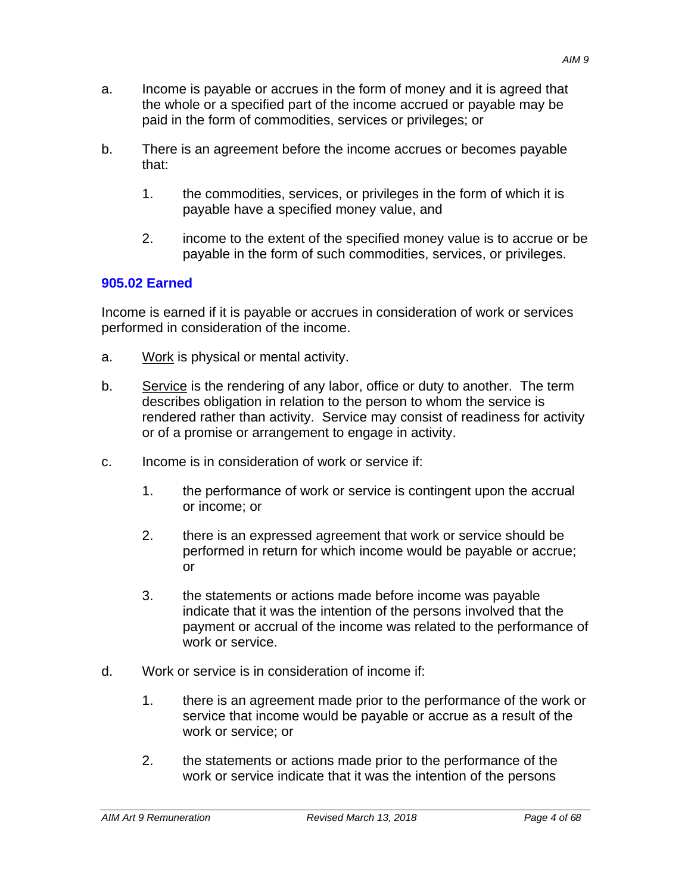- a. Income is payable or accrues in the form of money and it is agreed that the whole or a specified part of the income accrued or payable may be paid in the form of commodities, services or privileges; or
- b. There is an agreement before the income accrues or becomes payable that:
	- 1. the commodities, services, or privileges in the form of which it is payable have a specified money value, and
	- 2. income to the extent of the specified money value is to accrue or be payable in the form of such commodities, services, or privileges.

#### **905.02 Earned**

Income is earned if it is payable or accrues in consideration of work or services performed in consideration of the income.

- a. Work is physical or mental activity.
- b. Service is the rendering of any labor, office or duty to another. The term describes obligation in relation to the person to whom the service is rendered rather than activity. Service may consist of readiness for activity or of a promise or arrangement to engage in activity.
- c. Income is in consideration of work or service if:
	- 1. the performance of work or service is contingent upon the accrual or income; or
	- 2. there is an expressed agreement that work or service should be performed in return for which income would be payable or accrue; or
	- 3. the statements or actions made before income was payable indicate that it was the intention of the persons involved that the payment or accrual of the income was related to the performance of work or service.
- d. Work or service is in consideration of income if:
	- 1. there is an agreement made prior to the performance of the work or service that income would be payable or accrue as a result of the work or service; or
	- 2. the statements or actions made prior to the performance of the work or service indicate that it was the intention of the persons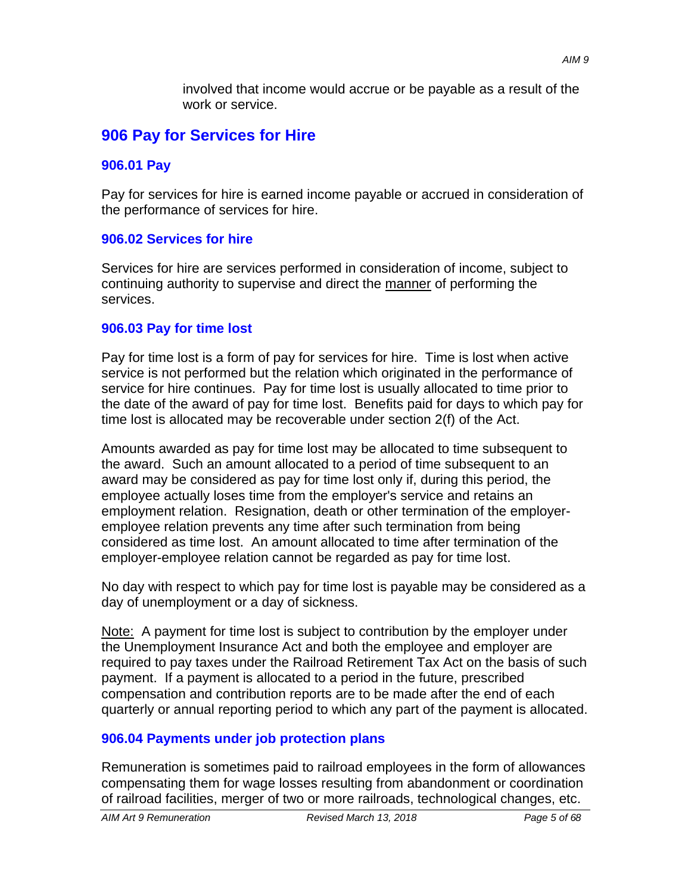involved that income would accrue or be payable as a result of the work or service.

# **906 Pay for Services for Hire**

### **906.01 Pay**

Pay for services for hire is earned income payable or accrued in consideration of the performance of services for hire.

### **906.02 Services for hire**

Services for hire are services performed in consideration of income, subject to continuing authority to supervise and direct the manner of performing the services.

## **906.03 Pay for time lost**

Pay for time lost is a form of pay for services for hire. Time is lost when active service is not performed but the relation which originated in the performance of service for hire continues. Pay for time lost is usually allocated to time prior to the date of the award of pay for time lost. Benefits paid for days to which pay for time lost is allocated may be recoverable under section 2(f) of the Act.

Amounts awarded as pay for time lost may be allocated to time subsequent to the award. Such an amount allocated to a period of time subsequent to an award may be considered as pay for time lost only if, during this period, the employee actually loses time from the employer's service and retains an employment relation. Resignation, death or other termination of the employeremployee relation prevents any time after such termination from being considered as time lost. An amount allocated to time after termination of the employer-employee relation cannot be regarded as pay for time lost.

No day with respect to which pay for time lost is payable may be considered as a day of unemployment or a day of sickness.

Note: A payment for time lost is subject to contribution by the employer under the Unemployment Insurance Act and both the employee and employer are required to pay taxes under the Railroad Retirement Tax Act on the basis of such payment. If a payment is allocated to a period in the future, prescribed compensation and contribution reports are to be made after the end of each quarterly or annual reporting period to which any part of the payment is allocated.

## **906.04 Payments under job protection plans**

Remuneration is sometimes paid to railroad employees in the form of allowances compensating them for wage losses resulting from abandonment or coordination of railroad facilities, merger of two or more railroads, technological changes, etc.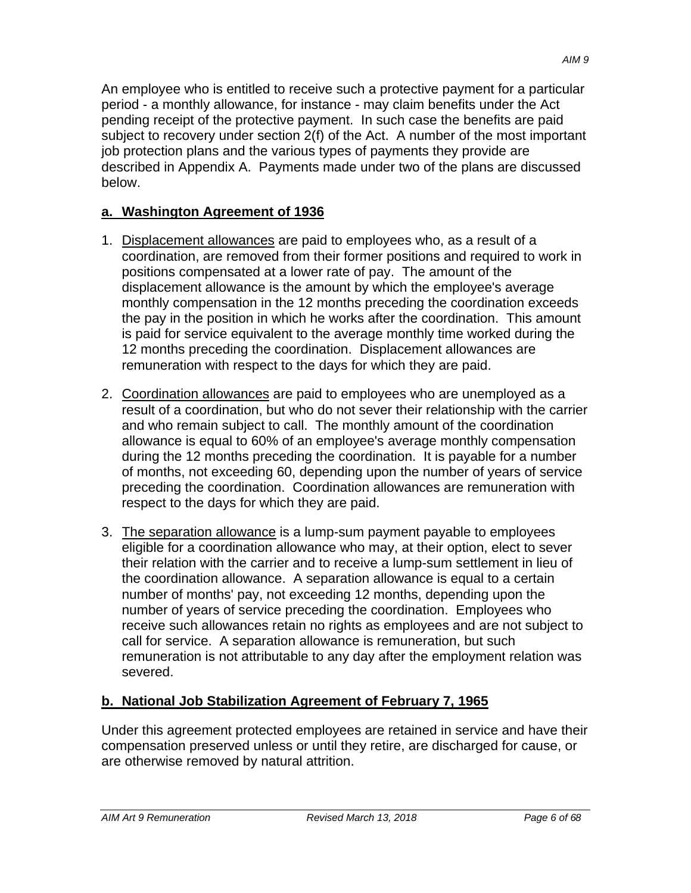An employee who is entitled to receive such a protective payment for a particular period - a monthly allowance, for instance - may claim benefits under the Act pending receipt of the protective payment. In such case the benefits are paid subject to recovery under section 2(f) of the Act. A number of the most important job protection plans and the various types of payments they provide are described in Appendix A. Payments made under two of the plans are discussed below.

## **a. Washington Agreement of 1936**

- 1. Displacement allowances are paid to employees who, as a result of a coordination, are removed from their former positions and required to work in positions compensated at a lower rate of pay. The amount of the displacement allowance is the amount by which the employee's average monthly compensation in the 12 months preceding the coordination exceeds the pay in the position in which he works after the coordination. This amount is paid for service equivalent to the average monthly time worked during the 12 months preceding the coordination. Displacement allowances are remuneration with respect to the days for which they are paid.
- 2. Coordination allowances are paid to employees who are unemployed as a result of a coordination, but who do not sever their relationship with the carrier and who remain subject to call. The monthly amount of the coordination allowance is equal to 60% of an employee's average monthly compensation during the 12 months preceding the coordination. It is payable for a number of months, not exceeding 60, depending upon the number of years of service preceding the coordination. Coordination allowances are remuneration with respect to the days for which they are paid.
- 3. The separation allowance is a lump-sum payment payable to employees eligible for a coordination allowance who may, at their option, elect to sever their relation with the carrier and to receive a lump-sum settlement in lieu of the coordination allowance. A separation allowance is equal to a certain number of months' pay, not exceeding 12 months, depending upon the number of years of service preceding the coordination. Employees who receive such allowances retain no rights as employees and are not subject to call for service. A separation allowance is remuneration, but such remuneration is not attributable to any day after the employment relation was severed.

## **b. National Job Stabilization Agreement of February 7, 1965**

Under this agreement protected employees are retained in service and have their compensation preserved unless or until they retire, are discharged for cause, or are otherwise removed by natural attrition.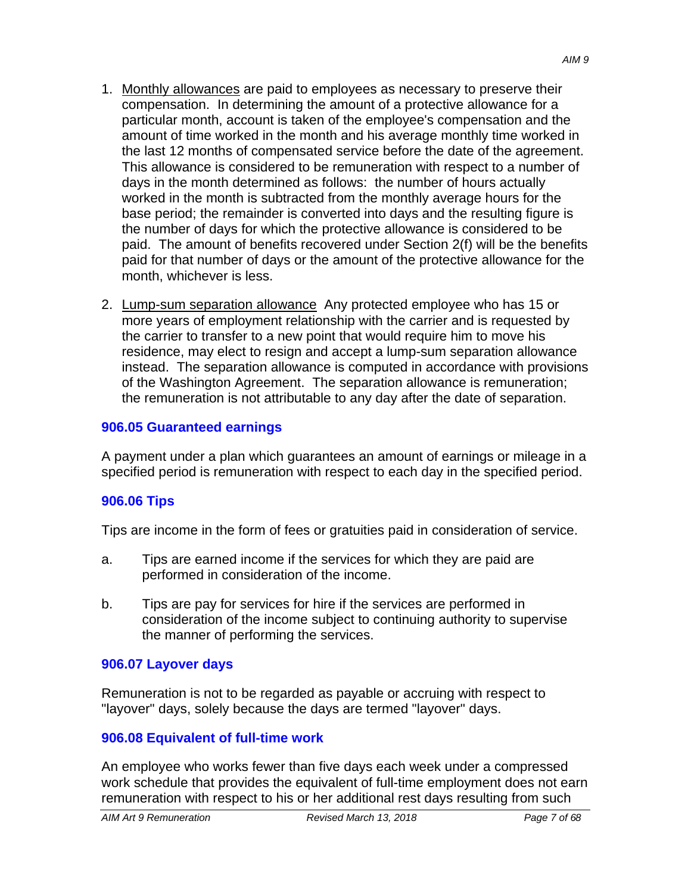- 1. Monthly allowances are paid to employees as necessary to preserve their compensation. In determining the amount of a protective allowance for a particular month, account is taken of the employee's compensation and the amount of time worked in the month and his average monthly time worked in the last 12 months of compensated service before the date of the agreement. This allowance is considered to be remuneration with respect to a number of days in the month determined as follows: the number of hours actually worked in the month is subtracted from the monthly average hours for the base period; the remainder is converted into days and the resulting figure is the number of days for which the protective allowance is considered to be paid. The amount of benefits recovered under Section 2(f) will be the benefits paid for that number of days or the amount of the protective allowance for the month, whichever is less.
- 2. Lump-sum separation allowance Any protected employee who has 15 or more years of employment relationship with the carrier and is requested by the carrier to transfer to a new point that would require him to move his residence, may elect to resign and accept a lump-sum separation allowance instead. The separation allowance is computed in accordance with provisions of the Washington Agreement. The separation allowance is remuneration; the remuneration is not attributable to any day after the date of separation.

#### **906.05 Guaranteed earnings**

A payment under a plan which guarantees an amount of earnings or mileage in a specified period is remuneration with respect to each day in the specified period.

#### **906.06 Tips**

Tips are income in the form of fees or gratuities paid in consideration of service.

- a. Tips are earned income if the services for which they are paid are performed in consideration of the income.
- b. Tips are pay for services for hire if the services are performed in consideration of the income subject to continuing authority to supervise the manner of performing the services.

#### **906.07 Layover days**

Remuneration is not to be regarded as payable or accruing with respect to "layover" days, solely because the days are termed "layover" days.

#### **906.08 Equivalent of full-time work**

An employee who works fewer than five days each week under a compressed work schedule that provides the equivalent of full-time employment does not earn remuneration with respect to his or her additional rest days resulting from such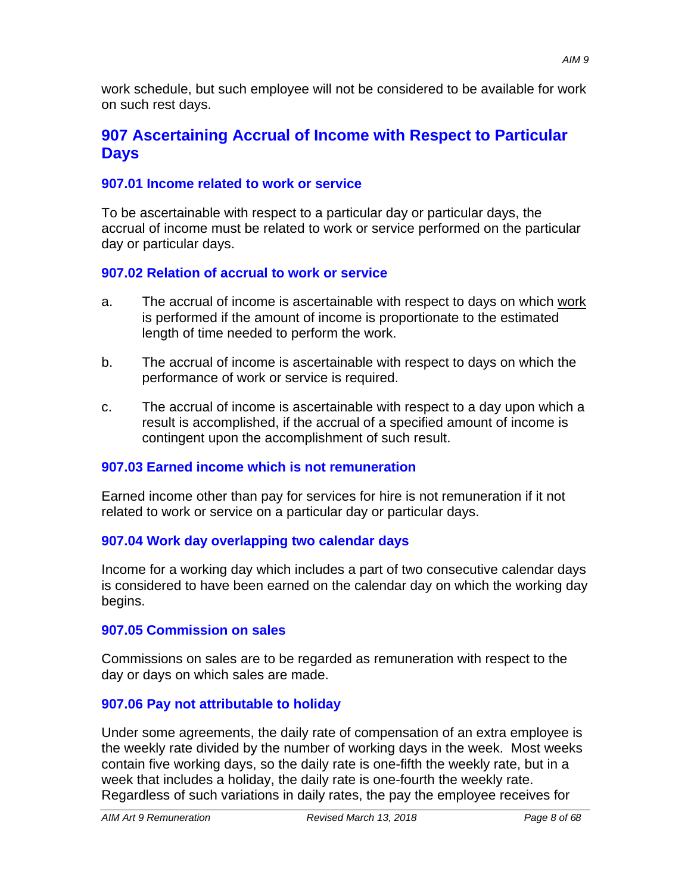work schedule, but such employee will not be considered to be available for work on such rest days.

## **907 Ascertaining Accrual of Income with Respect to Particular Days**

#### **907.01 Income related to work or service**

To be ascertainable with respect to a particular day or particular days, the accrual of income must be related to work or service performed on the particular day or particular days.

#### **907.02 Relation of accrual to work or service**

- a. The accrual of income is ascertainable with respect to days on which work is performed if the amount of income is proportionate to the estimated length of time needed to perform the work.
- b. The accrual of income is ascertainable with respect to days on which the performance of work or service is required.
- c. The accrual of income is ascertainable with respect to a day upon which a result is accomplished, if the accrual of a specified amount of income is contingent upon the accomplishment of such result.

#### **907.03 Earned income which is not remuneration**

Earned income other than pay for services for hire is not remuneration if it not related to work or service on a particular day or particular days.

#### **907.04 Work day overlapping two calendar days**

Income for a working day which includes a part of two consecutive calendar days is considered to have been earned on the calendar day on which the working day begins.

#### **907.05 Commission on sales**

Commissions on sales are to be regarded as remuneration with respect to the day or days on which sales are made.

#### **907.06 Pay not attributable to holiday**

Under some agreements, the daily rate of compensation of an extra employee is the weekly rate divided by the number of working days in the week. Most weeks contain five working days, so the daily rate is one-fifth the weekly rate, but in a week that includes a holiday, the daily rate is one-fourth the weekly rate. Regardless of such variations in daily rates, the pay the employee receives for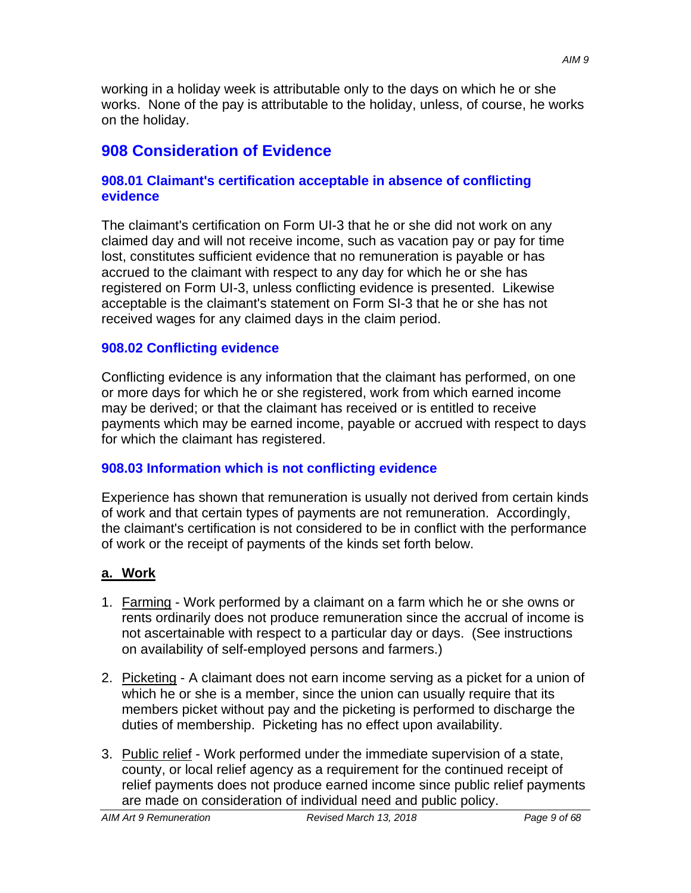working in a holiday week is attributable only to the days on which he or she works. None of the pay is attributable to the holiday, unless, of course, he works on the holiday.

# **908 Consideration of Evidence**

#### **908.01 Claimant's certification acceptable in absence of conflicting evidence**

The claimant's certification on Form UI-3 that he or she did not work on any claimed day and will not receive income, such as vacation pay or pay for time lost, constitutes sufficient evidence that no remuneration is payable or has accrued to the claimant with respect to any day for which he or she has registered on Form UI-3, unless conflicting evidence is presented. Likewise acceptable is the claimant's statement on Form SI-3 that he or she has not received wages for any claimed days in the claim period.

### **908.02 Conflicting evidence**

Conflicting evidence is any information that the claimant has performed, on one or more days for which he or she registered, work from which earned income may be derived; or that the claimant has received or is entitled to receive payments which may be earned income, payable or accrued with respect to days for which the claimant has registered.

## **908.03 Information which is not conflicting evidence**

Experience has shown that remuneration is usually not derived from certain kinds of work and that certain types of payments are not remuneration. Accordingly, the claimant's certification is not considered to be in conflict with the performance of work or the receipt of payments of the kinds set forth below.

## **a. Work**

- 1. Farming Work performed by a claimant on a farm which he or she owns or rents ordinarily does not produce remuneration since the accrual of income is not ascertainable with respect to a particular day or days. (See instructions on availability of self-employed persons and farmers.)
- 2. Picketing A claimant does not earn income serving as a picket for a union of which he or she is a member, since the union can usually require that its members picket without pay and the picketing is performed to discharge the duties of membership. Picketing has no effect upon availability.
- 3. Public relief Work performed under the immediate supervision of a state, county, or local relief agency as a requirement for the continued receipt of relief payments does not produce earned income since public relief payments are made on consideration of individual need and public policy.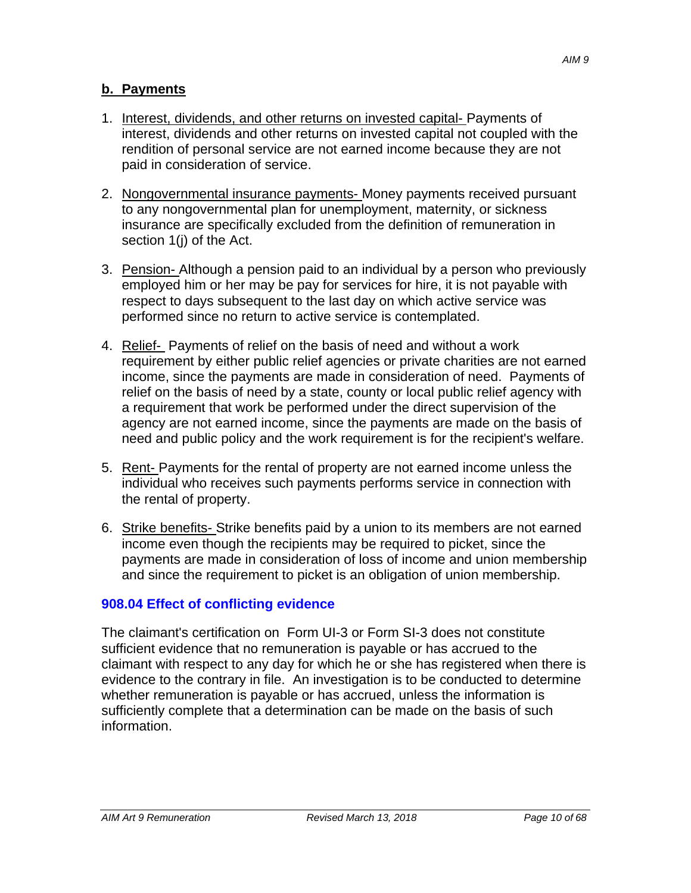- 1. Interest, dividends, and other returns on invested capital- Payments of interest, dividends and other returns on invested capital not coupled with the rendition of personal service are not earned income because they are not paid in consideration of service.
- 2. Nongovernmental insurance payments- Money payments received pursuant to any nongovernmental plan for unemployment, maternity, or sickness insurance are specifically excluded from the definition of remuneration in section 1(j) of the Act.
- 3. Pension- Although a pension paid to an individual by a person who previously employed him or her may be pay for services for hire, it is not payable with respect to days subsequent to the last day on which active service was performed since no return to active service is contemplated.
- 4. Relief- Payments of relief on the basis of need and without a work requirement by either public relief agencies or private charities are not earned income, since the payments are made in consideration of need. Payments of relief on the basis of need by a state, county or local public relief agency with a requirement that work be performed under the direct supervision of the agency are not earned income, since the payments are made on the basis of need and public policy and the work requirement is for the recipient's welfare.
- 5. Rent- Payments for the rental of property are not earned income unless the individual who receives such payments performs service in connection with the rental of property.
- 6. Strike benefits- Strike benefits paid by a union to its members are not earned income even though the recipients may be required to picket, since the payments are made in consideration of loss of income and union membership and since the requirement to picket is an obligation of union membership.

## **908.04 Effect of conflicting evidence**

The claimant's certification on Form UI-3 or Form SI-3 does not constitute sufficient evidence that no remuneration is payable or has accrued to the claimant with respect to any day for which he or she has registered when there is evidence to the contrary in file. An investigation is to be conducted to determine whether remuneration is payable or has accrued, unless the information is sufficiently complete that a determination can be made on the basis of such information.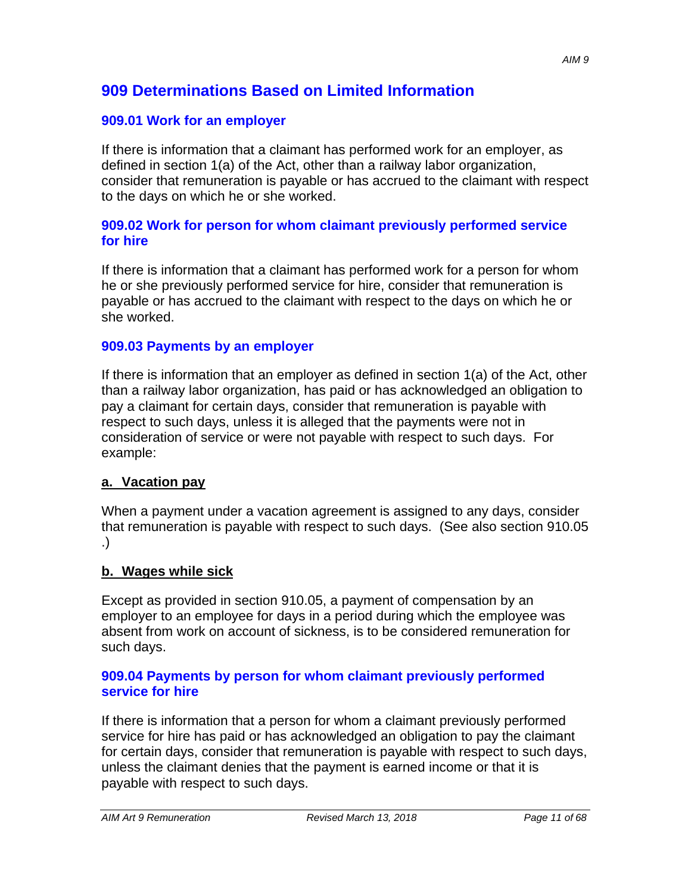## **909 Determinations Based on Limited Information**

#### **909.01 Work for an employer**

If there is information that a claimant has performed work for an employer, as defined in section 1(a) of the Act, other than a railway labor organization, consider that remuneration is payable or has accrued to the claimant with respect to the days on which he or she worked.

#### **909.02 Work for person for whom claimant previously performed service for hire**

If there is information that a claimant has performed work for a person for whom he or she previously performed service for hire, consider that remuneration is payable or has accrued to the claimant with respect to the days on which he or she worked.

#### **909.03 Payments by an employer**

If there is information that an employer as defined in section 1(a) of the Act, other than a railway labor organization, has paid or has acknowledged an obligation to pay a claimant for certain days, consider that remuneration is payable with respect to such days, unless it is alleged that the payments were not in consideration of service or were not payable with respect to such days. For example:

#### **a. Vacation pay**

When a payment under a vacation agreement is assigned to any days, consider that remuneration is payable with respect to such days. (See also section 910.05 .)

#### **b. Wages while sick**

Except as provided in section 910.05, a payment of compensation by an employer to an employee for days in a period during which the employee was absent from work on account of sickness, is to be considered remuneration for such days.

#### **909.04 Payments by person for whom claimant previously performed service for hire**

If there is information that a person for whom a claimant previously performed service for hire has paid or has acknowledged an obligation to pay the claimant for certain days, consider that remuneration is payable with respect to such days, unless the claimant denies that the payment is earned income or that it is payable with respect to such days.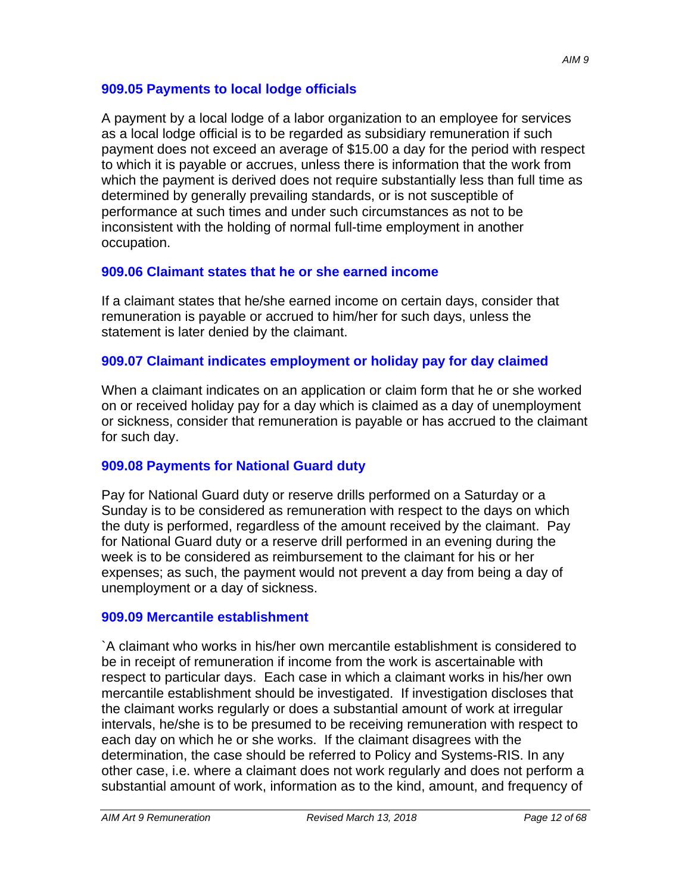#### **909.05 Payments to local lodge officials**

A payment by a local lodge of a labor organization to an employee for services as a local lodge official is to be regarded as subsidiary remuneration if such payment does not exceed an average of \$15.00 a day for the period with respect to which it is payable or accrues, unless there is information that the work from which the payment is derived does not require substantially less than full time as determined by generally prevailing standards, or is not susceptible of performance at such times and under such circumstances as not to be inconsistent with the holding of normal full-time employment in another occupation.

#### **909.06 Claimant states that he or she earned income**

If a claimant states that he/she earned income on certain days, consider that remuneration is payable or accrued to him/her for such days, unless the statement is later denied by the claimant.

#### **909.07 Claimant indicates employment or holiday pay for day claimed**

When a claimant indicates on an application or claim form that he or she worked on or received holiday pay for a day which is claimed as a day of unemployment or sickness, consider that remuneration is payable or has accrued to the claimant for such day.

#### **909.08 Payments for National Guard duty**

Pay for National Guard duty or reserve drills performed on a Saturday or a Sunday is to be considered as remuneration with respect to the days on which the duty is performed, regardless of the amount received by the claimant. Pay for National Guard duty or a reserve drill performed in an evening during the week is to be considered as reimbursement to the claimant for his or her expenses; as such, the payment would not prevent a day from being a day of unemployment or a day of sickness.

#### **909.09 Mercantile establishment**

`A claimant who works in his/her own mercantile establishment is considered to be in receipt of remuneration if income from the work is ascertainable with respect to particular days. Each case in which a claimant works in his/her own mercantile establishment should be investigated. If investigation discloses that the claimant works regularly or does a substantial amount of work at irregular intervals, he/she is to be presumed to be receiving remuneration with respect to each day on which he or she works. If the claimant disagrees with the determination, the case should be referred to Policy and Systems-RIS. In any other case, i.e. where a claimant does not work regularly and does not perform a substantial amount of work, information as to the kind, amount, and frequency of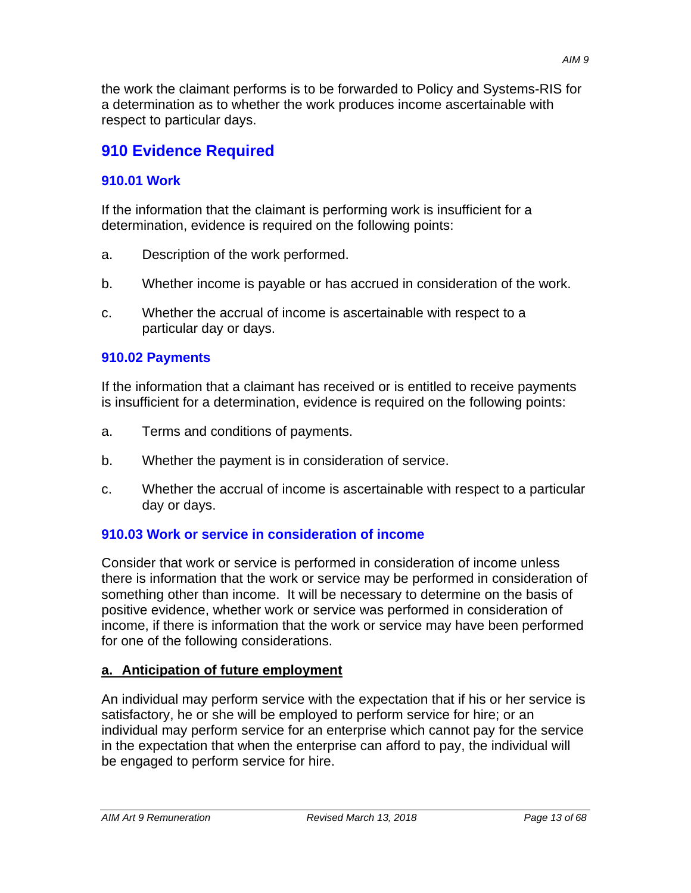the work the claimant performs is to be forwarded to Policy and Systems-RIS for a determination as to whether the work produces income ascertainable with respect to particular days.

# **910 Evidence Required**

## **910.01 Work**

If the information that the claimant is performing work is insufficient for a determination, evidence is required on the following points:

- a. Description of the work performed.
- b. Whether income is payable or has accrued in consideration of the work.
- c. Whether the accrual of income is ascertainable with respect to a particular day or days.

## **910.02 Payments**

If the information that a claimant has received or is entitled to receive payments is insufficient for a determination, evidence is required on the following points:

- a. Terms and conditions of payments.
- b. Whether the payment is in consideration of service.
- c. Whether the accrual of income is ascertainable with respect to a particular day or days.

## **910.03 Work or service in consideration of income**

Consider that work or service is performed in consideration of income unless there is information that the work or service may be performed in consideration of something other than income. It will be necessary to determine on the basis of positive evidence, whether work or service was performed in consideration of income, if there is information that the work or service may have been performed for one of the following considerations.

## **a. Anticipation of future employment**

An individual may perform service with the expectation that if his or her service is satisfactory, he or she will be employed to perform service for hire; or an individual may perform service for an enterprise which cannot pay for the service in the expectation that when the enterprise can afford to pay, the individual will be engaged to perform service for hire.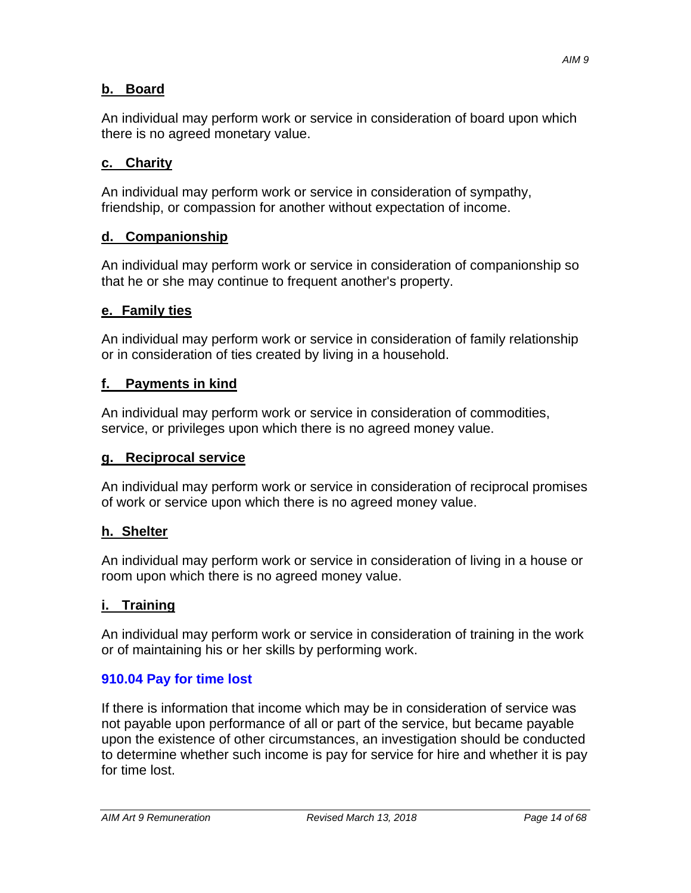#### **b. Board**

An individual may perform work or service in consideration of board upon which there is no agreed monetary value.

### **c. Charity**

An individual may perform work or service in consideration of sympathy, friendship, or compassion for another without expectation of income.

### **d. Companionship**

An individual may perform work or service in consideration of companionship so that he or she may continue to frequent another's property.

#### **e. Family ties**

An individual may perform work or service in consideration of family relationship or in consideration of ties created by living in a household.

#### **f. Payments in kind**

An individual may perform work or service in consideration of commodities, service, or privileges upon which there is no agreed money value.

#### **g. Reciprocal service**

An individual may perform work or service in consideration of reciprocal promises of work or service upon which there is no agreed money value.

#### **h. Shelter**

An individual may perform work or service in consideration of living in a house or room upon which there is no agreed money value.

#### **i. Training**

An individual may perform work or service in consideration of training in the work or of maintaining his or her skills by performing work.

#### **910.04 Pay for time lost**

If there is information that income which may be in consideration of service was not payable upon performance of all or part of the service, but became payable upon the existence of other circumstances, an investigation should be conducted to determine whether such income is pay for service for hire and whether it is pay for time lost.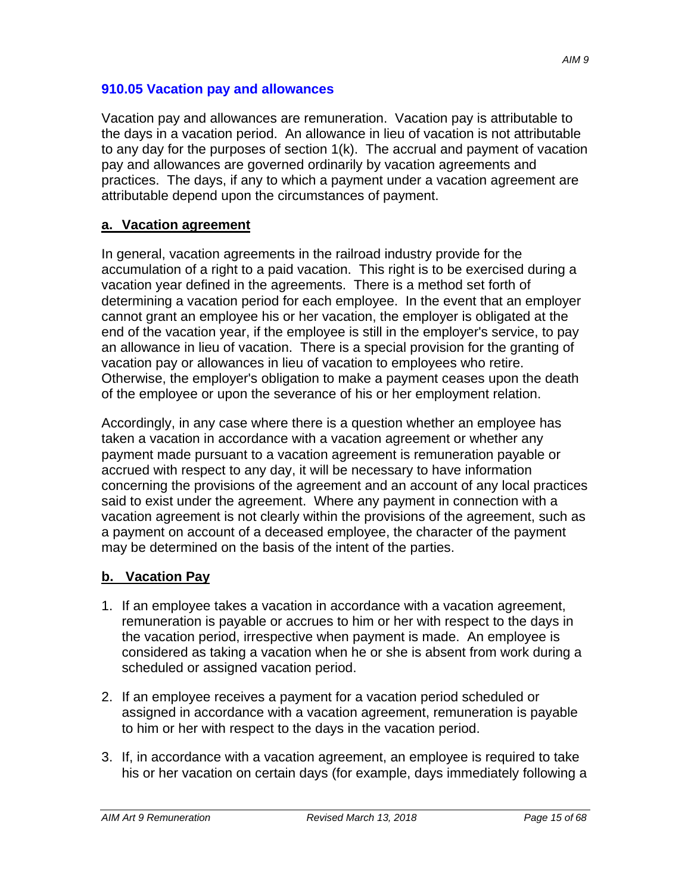#### **910.05 Vacation pay and allowances**

Vacation pay and allowances are remuneration. Vacation pay is attributable to the days in a vacation period. An allowance in lieu of vacation is not attributable to any day for the purposes of section 1(k). The accrual and payment of vacation pay and allowances are governed ordinarily by vacation agreements and practices. The days, if any to which a payment under a vacation agreement are attributable depend upon the circumstances of payment.

#### **a. Vacation agreement**

In general, vacation agreements in the railroad industry provide for the accumulation of a right to a paid vacation. This right is to be exercised during a vacation year defined in the agreements. There is a method set forth of determining a vacation period for each employee. In the event that an employer cannot grant an employee his or her vacation, the employer is obligated at the end of the vacation year, if the employee is still in the employer's service, to pay an allowance in lieu of vacation. There is a special provision for the granting of vacation pay or allowances in lieu of vacation to employees who retire. Otherwise, the employer's obligation to make a payment ceases upon the death of the employee or upon the severance of his or her employment relation.

Accordingly, in any case where there is a question whether an employee has taken a vacation in accordance with a vacation agreement or whether any payment made pursuant to a vacation agreement is remuneration payable or accrued with respect to any day, it will be necessary to have information concerning the provisions of the agreement and an account of any local practices said to exist under the agreement. Where any payment in connection with a vacation agreement is not clearly within the provisions of the agreement, such as a payment on account of a deceased employee, the character of the payment may be determined on the basis of the intent of the parties.

#### **b. Vacation Pay**

- 1. If an employee takes a vacation in accordance with a vacation agreement, remuneration is payable or accrues to him or her with respect to the days in the vacation period, irrespective when payment is made. An employee is considered as taking a vacation when he or she is absent from work during a scheduled or assigned vacation period.
- 2. If an employee receives a payment for a vacation period scheduled or assigned in accordance with a vacation agreement, remuneration is payable to him or her with respect to the days in the vacation period.
- 3. If, in accordance with a vacation agreement, an employee is required to take his or her vacation on certain days (for example, days immediately following a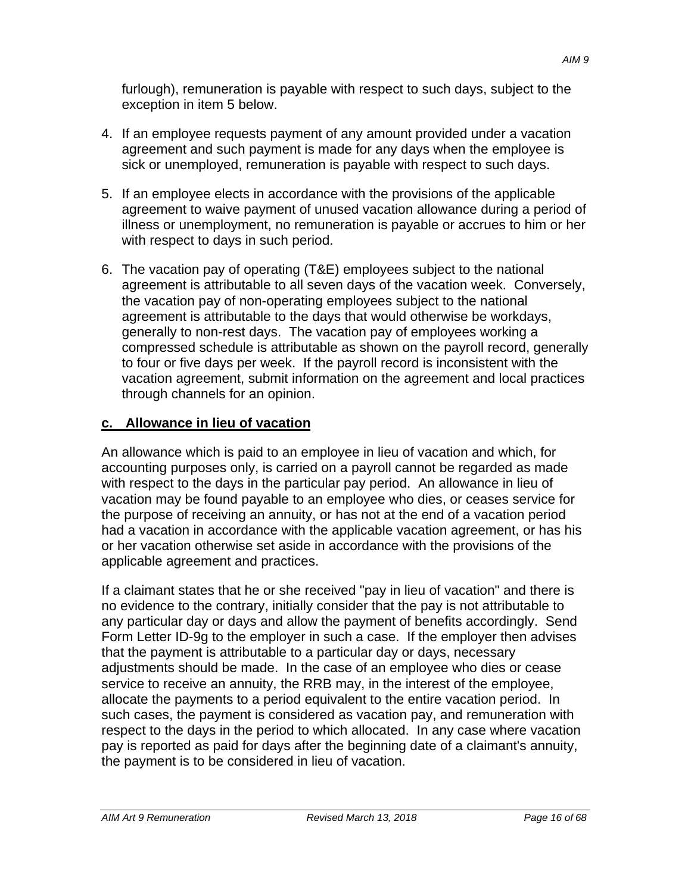furlough), remuneration is payable with respect to such days, subject to the exception in item 5 below.

- 4. If an employee requests payment of any amount provided under a vacation agreement and such payment is made for any days when the employee is sick or unemployed, remuneration is payable with respect to such days.
- 5. If an employee elects in accordance with the provisions of the applicable agreement to waive payment of unused vacation allowance during a period of illness or unemployment, no remuneration is payable or accrues to him or her with respect to days in such period.
- 6. The vacation pay of operating (T&E) employees subject to the national agreement is attributable to all seven days of the vacation week. Conversely, the vacation pay of non-operating employees subject to the national agreement is attributable to the days that would otherwise be workdays, generally to non-rest days. The vacation pay of employees working a compressed schedule is attributable as shown on the payroll record, generally to four or five days per week. If the payroll record is inconsistent with the vacation agreement, submit information on the agreement and local practices through channels for an opinion.

## **c. Allowance in lieu of vacation**

An allowance which is paid to an employee in lieu of vacation and which, for accounting purposes only, is carried on a payroll cannot be regarded as made with respect to the days in the particular pay period. An allowance in lieu of vacation may be found payable to an employee who dies, or ceases service for the purpose of receiving an annuity, or has not at the end of a vacation period had a vacation in accordance with the applicable vacation agreement, or has his or her vacation otherwise set aside in accordance with the provisions of the applicable agreement and practices.

If a claimant states that he or she received "pay in lieu of vacation" and there is no evidence to the contrary, initially consider that the pay is not attributable to any particular day or days and allow the payment of benefits accordingly. Send Form Letter ID-9g to the employer in such a case. If the employer then advises that the payment is attributable to a particular day or days, necessary adjustments should be made. In the case of an employee who dies or cease service to receive an annuity, the RRB may, in the interest of the employee, allocate the payments to a period equivalent to the entire vacation period. In such cases, the payment is considered as vacation pay, and remuneration with respect to the days in the period to which allocated. In any case where vacation pay is reported as paid for days after the beginning date of a claimant's annuity, the payment is to be considered in lieu of vacation.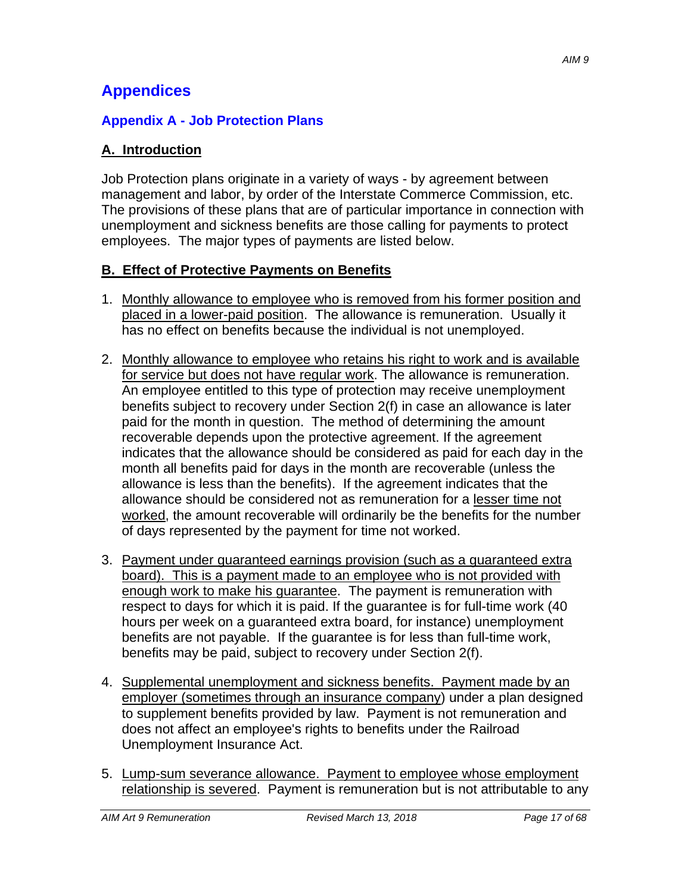## **Appendices**

### **Appendix A - Job Protection Plans**

#### **A. Introduction**

Job Protection plans originate in a variety of ways - by agreement between management and labor, by order of the Interstate Commerce Commission, etc. The provisions of these plans that are of particular importance in connection with unemployment and sickness benefits are those calling for payments to protect employees. The major types of payments are listed below.

#### **B. Effect of Protective Payments on Benefits**

- 1. Monthly allowance to employee who is removed from his former position and placed in a lower-paid position. The allowance is remuneration. Usually it has no effect on benefits because the individual is not unemployed.
- 2. Monthly allowance to employee who retains his right to work and is available for service but does not have regular work. The allowance is remuneration. An employee entitled to this type of protection may receive unemployment benefits subject to recovery under Section 2(f) in case an allowance is later paid for the month in question. The method of determining the amount recoverable depends upon the protective agreement. If the agreement indicates that the allowance should be considered as paid for each day in the month all benefits paid for days in the month are recoverable (unless the allowance is less than the benefits). If the agreement indicates that the allowance should be considered not as remuneration for a lesser time not worked, the amount recoverable will ordinarily be the benefits for the number of days represented by the payment for time not worked.
- 3. Payment under guaranteed earnings provision (such as a guaranteed extra board). This is a payment made to an employee who is not provided with enough work to make his guarantee. The payment is remuneration with respect to days for which it is paid. If the guarantee is for full-time work (40 hours per week on a guaranteed extra board, for instance) unemployment benefits are not payable. If the guarantee is for less than full-time work, benefits may be paid, subject to recovery under Section 2(f).
- 4. Supplemental unemployment and sickness benefits. Payment made by an employer (sometimes through an insurance company) under a plan designed to supplement benefits provided by law. Payment is not remuneration and does not affect an employee's rights to benefits under the Railroad Unemployment Insurance Act.
- 5. Lump-sum severance allowance. Payment to employee whose employment relationship is severed. Payment is remuneration but is not attributable to any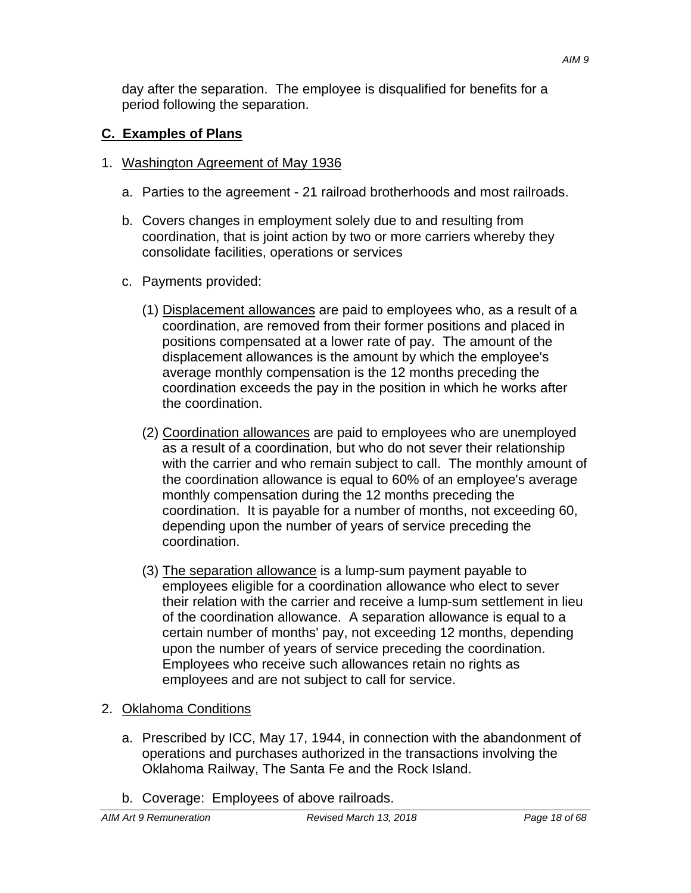day after the separation. The employee is disqualified for benefits for a period following the separation.

## **C. Examples of Plans**

### 1. Washington Agreement of May 1936

- a. Parties to the agreement 21 railroad brotherhoods and most railroads.
- b. Covers changes in employment solely due to and resulting from coordination, that is joint action by two or more carriers whereby they consolidate facilities, operations or services
- c. Payments provided:
	- (1) Displacement allowances are paid to employees who, as a result of a coordination, are removed from their former positions and placed in positions compensated at a lower rate of pay. The amount of the displacement allowances is the amount by which the employee's average monthly compensation is the 12 months preceding the coordination exceeds the pay in the position in which he works after the coordination.
	- (2) Coordination allowances are paid to employees who are unemployed as a result of a coordination, but who do not sever their relationship with the carrier and who remain subject to call. The monthly amount of the coordination allowance is equal to 60% of an employee's average monthly compensation during the 12 months preceding the coordination. It is payable for a number of months, not exceeding 60, depending upon the number of years of service preceding the coordination.
	- (3) The separation allowance is a lump-sum payment payable to employees eligible for a coordination allowance who elect to sever their relation with the carrier and receive a lump-sum settlement in lieu of the coordination allowance. A separation allowance is equal to a certain number of months' pay, not exceeding 12 months, depending upon the number of years of service preceding the coordination. Employees who receive such allowances retain no rights as employees and are not subject to call for service.

## 2. Oklahoma Conditions

- a. Prescribed by ICC, May 17, 1944, in connection with the abandonment of operations and purchases authorized in the transactions involving the Oklahoma Railway, The Santa Fe and the Rock Island.
- b. Coverage: Employees of above railroads.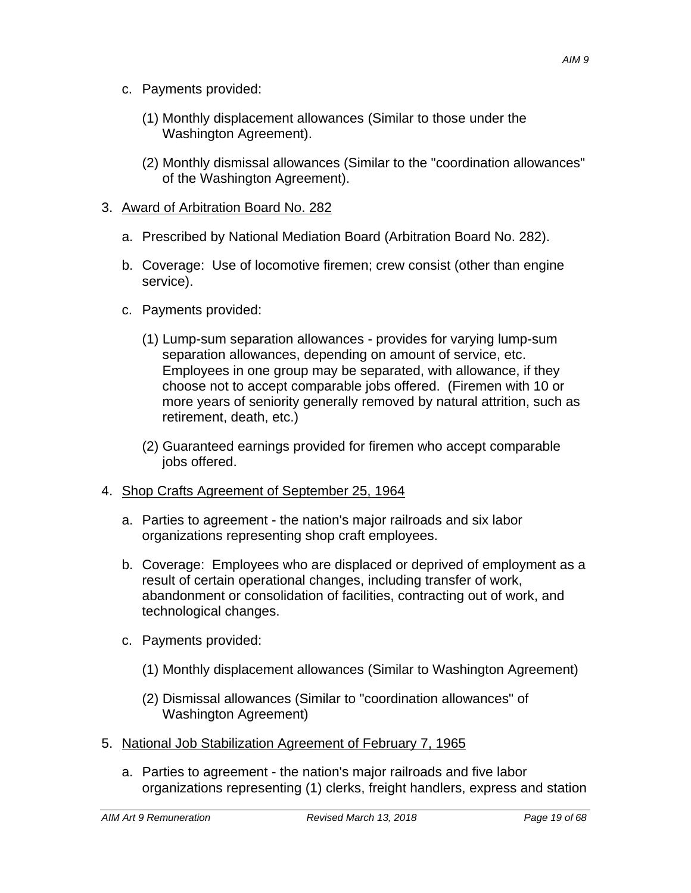- c. Payments provided:
	- (1) Monthly displacement allowances (Similar to those under the Washington Agreement).
	- (2) Monthly dismissal allowances (Similar to the "coordination allowances" of the Washington Agreement).

### 3. Award of Arbitration Board No. 282

- a. Prescribed by National Mediation Board (Arbitration Board No. 282).
- b. Coverage: Use of locomotive firemen; crew consist (other than engine service).
- c. Payments provided:
	- (1) Lump-sum separation allowances provides for varying lump-sum separation allowances, depending on amount of service, etc. Employees in one group may be separated, with allowance, if they choose not to accept comparable jobs offered. (Firemen with 10 or more years of seniority generally removed by natural attrition, such as retirement, death, etc.)
	- (2) Guaranteed earnings provided for firemen who accept comparable jobs offered.
- 4. Shop Crafts Agreement of September 25, 1964
	- a. Parties to agreement the nation's major railroads and six labor organizations representing shop craft employees.
	- b. Coverage: Employees who are displaced or deprived of employment as a result of certain operational changes, including transfer of work, abandonment or consolidation of facilities, contracting out of work, and technological changes.
	- c. Payments provided:
		- (1) Monthly displacement allowances (Similar to Washington Agreement)
		- (2) Dismissal allowances (Similar to "coordination allowances" of Washington Agreement)
- 5. National Job Stabilization Agreement of February 7, 1965
	- a. Parties to agreement the nation's major railroads and five labor organizations representing (1) clerks, freight handlers, express and station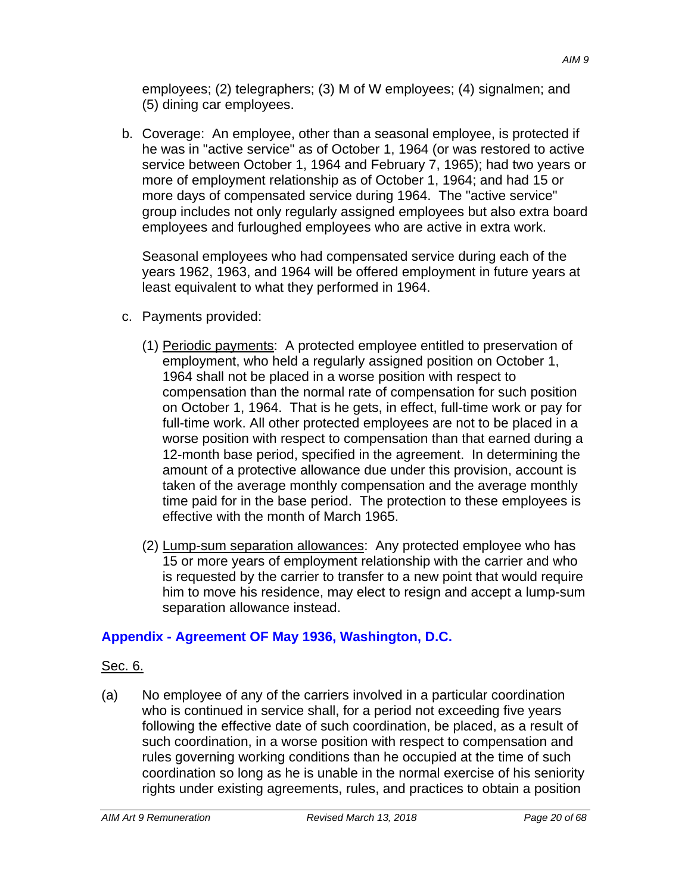employees; (2) telegraphers; (3) M of W employees; (4) signalmen; and (5) dining car employees.

b. Coverage: An employee, other than a seasonal employee, is protected if he was in "active service" as of October 1, 1964 (or was restored to active service between October 1, 1964 and February 7, 1965); had two years or more of employment relationship as of October 1, 1964; and had 15 or more days of compensated service during 1964. The "active service" group includes not only regularly assigned employees but also extra board employees and furloughed employees who are active in extra work.

Seasonal employees who had compensated service during each of the years 1962, 1963, and 1964 will be offered employment in future years at least equivalent to what they performed in 1964.

- c. Payments provided:
	- (1) Periodic payments: A protected employee entitled to preservation of employment, who held a regularly assigned position on October 1, 1964 shall not be placed in a worse position with respect to compensation than the normal rate of compensation for such position on October 1, 1964. That is he gets, in effect, full-time work or pay for full-time work. All other protected employees are not to be placed in a worse position with respect to compensation than that earned during a 12-month base period, specified in the agreement. In determining the amount of a protective allowance due under this provision, account is taken of the average monthly compensation and the average monthly time paid for in the base period. The protection to these employees is effective with the month of March 1965.
	- (2) Lump-sum separation allowances: Any protected employee who has 15 or more years of employment relationship with the carrier and who is requested by the carrier to transfer to a new point that would require him to move his residence, may elect to resign and accept a lump-sum separation allowance instead.

## **Appendix - Agreement OF May 1936, Washington, D.C.**

## Sec. 6.

(a) No employee of any of the carriers involved in a particular coordination who is continued in service shall, for a period not exceeding five years following the effective date of such coordination, be placed, as a result of such coordination, in a worse position with respect to compensation and rules governing working conditions than he occupied at the time of such coordination so long as he is unable in the normal exercise of his seniority rights under existing agreements, rules, and practices to obtain a position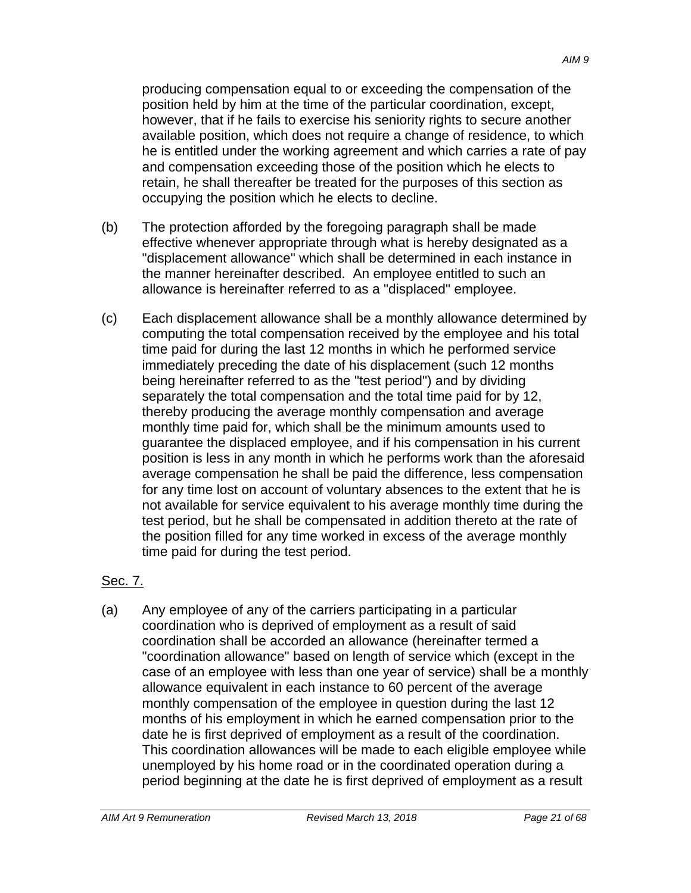producing compensation equal to or exceeding the compensation of the position held by him at the time of the particular coordination, except, however, that if he fails to exercise his seniority rights to secure another available position, which does not require a change of residence, to which he is entitled under the working agreement and which carries a rate of pay and compensation exceeding those of the position which he elects to retain, he shall thereafter be treated for the purposes of this section as occupying the position which he elects to decline.

- (b) The protection afforded by the foregoing paragraph shall be made effective whenever appropriate through what is hereby designated as a "displacement allowance" which shall be determined in each instance in the manner hereinafter described. An employee entitled to such an allowance is hereinafter referred to as a "displaced" employee.
- (c) Each displacement allowance shall be a monthly allowance determined by computing the total compensation received by the employee and his total time paid for during the last 12 months in which he performed service immediately preceding the date of his displacement (such 12 months being hereinafter referred to as the "test period") and by dividing separately the total compensation and the total time paid for by 12, thereby producing the average monthly compensation and average monthly time paid for, which shall be the minimum amounts used to guarantee the displaced employee, and if his compensation in his current position is less in any month in which he performs work than the aforesaid average compensation he shall be paid the difference, less compensation for any time lost on account of voluntary absences to the extent that he is not available for service equivalent to his average monthly time during the test period, but he shall be compensated in addition thereto at the rate of the position filled for any time worked in excess of the average monthly time paid for during the test period.

#### Sec. 7.

(a) Any employee of any of the carriers participating in a particular coordination who is deprived of employment as a result of said coordination shall be accorded an allowance (hereinafter termed a "coordination allowance" based on length of service which (except in the case of an employee with less than one year of service) shall be a monthly allowance equivalent in each instance to 60 percent of the average monthly compensation of the employee in question during the last 12 months of his employment in which he earned compensation prior to the date he is first deprived of employment as a result of the coordination. This coordination allowances will be made to each eligible employee while unemployed by his home road or in the coordinated operation during a period beginning at the date he is first deprived of employment as a result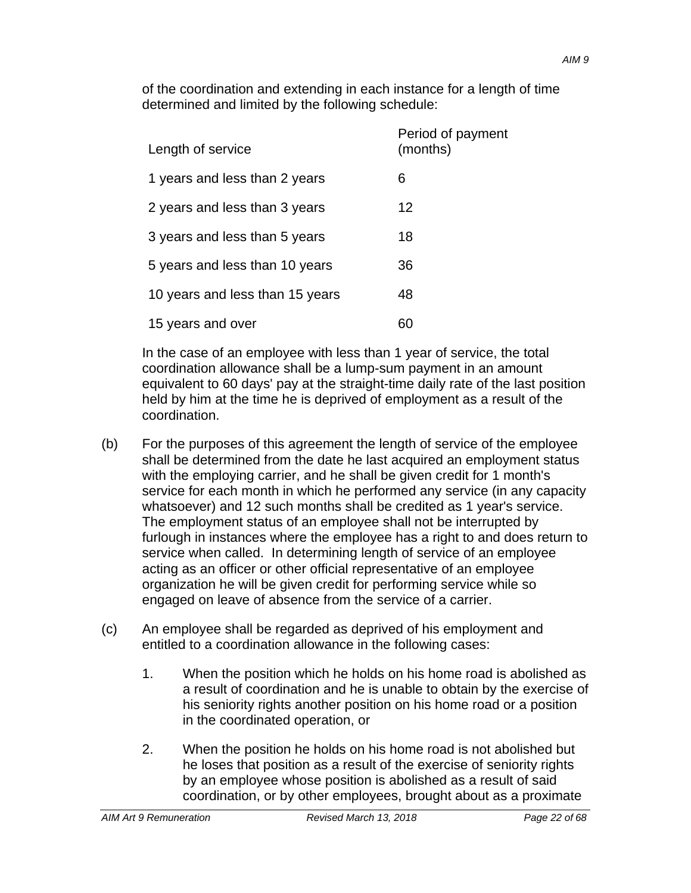of the coordination and extending in each instance for a length of time determined and limited by the following schedule:

| Length of service               | Period of payment<br>(months) |
|---------------------------------|-------------------------------|
| 1 years and less than 2 years   | 6                             |
| 2 years and less than 3 years   | 12                            |
| 3 years and less than 5 years   | 18                            |
| 5 years and less than 10 years  | 36                            |
| 10 years and less than 15 years | 48                            |
| 15 years and over               | 60                            |

In the case of an employee with less than 1 year of service, the total coordination allowance shall be a lump-sum payment in an amount equivalent to 60 days' pay at the straight-time daily rate of the last position held by him at the time he is deprived of employment as a result of the coordination.

- (b) For the purposes of this agreement the length of service of the employee shall be determined from the date he last acquired an employment status with the employing carrier, and he shall be given credit for 1 month's service for each month in which he performed any service (in any capacity whatsoever) and 12 such months shall be credited as 1 year's service. The employment status of an employee shall not be interrupted by furlough in instances where the employee has a right to and does return to service when called. In determining length of service of an employee acting as an officer or other official representative of an employee organization he will be given credit for performing service while so engaged on leave of absence from the service of a carrier.
- (c) An employee shall be regarded as deprived of his employment and entitled to a coordination allowance in the following cases:
	- 1. When the position which he holds on his home road is abolished as a result of coordination and he is unable to obtain by the exercise of his seniority rights another position on his home road or a position in the coordinated operation, or
	- 2. When the position he holds on his home road is not abolished but he loses that position as a result of the exercise of seniority rights by an employee whose position is abolished as a result of said coordination, or by other employees, brought about as a proximate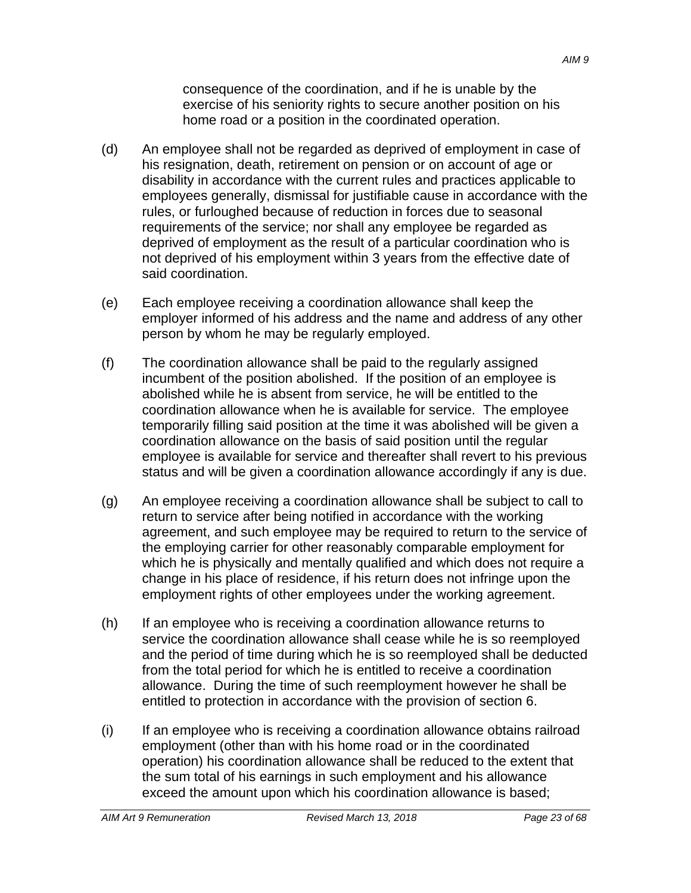consequence of the coordination, and if he is unable by the exercise of his seniority rights to secure another position on his home road or a position in the coordinated operation.

- (d) An employee shall not be regarded as deprived of employment in case of his resignation, death, retirement on pension or on account of age or disability in accordance with the current rules and practices applicable to employees generally, dismissal for justifiable cause in accordance with the rules, or furloughed because of reduction in forces due to seasonal requirements of the service; nor shall any employee be regarded as deprived of employment as the result of a particular coordination who is not deprived of his employment within 3 years from the effective date of said coordination.
- (e) Each employee receiving a coordination allowance shall keep the employer informed of his address and the name and address of any other person by whom he may be regularly employed.
- (f) The coordination allowance shall be paid to the regularly assigned incumbent of the position abolished. If the position of an employee is abolished while he is absent from service, he will be entitled to the coordination allowance when he is available for service. The employee temporarily filling said position at the time it was abolished will be given a coordination allowance on the basis of said position until the regular employee is available for service and thereafter shall revert to his previous status and will be given a coordination allowance accordingly if any is due.
- (g) An employee receiving a coordination allowance shall be subject to call to return to service after being notified in accordance with the working agreement, and such employee may be required to return to the service of the employing carrier for other reasonably comparable employment for which he is physically and mentally qualified and which does not require a change in his place of residence, if his return does not infringe upon the employment rights of other employees under the working agreement.
- (h) If an employee who is receiving a coordination allowance returns to service the coordination allowance shall cease while he is so reemployed and the period of time during which he is so reemployed shall be deducted from the total period for which he is entitled to receive a coordination allowance. During the time of such reemployment however he shall be entitled to protection in accordance with the provision of section 6.
- (i) If an employee who is receiving a coordination allowance obtains railroad employment (other than with his home road or in the coordinated operation) his coordination allowance shall be reduced to the extent that the sum total of his earnings in such employment and his allowance exceed the amount upon which his coordination allowance is based;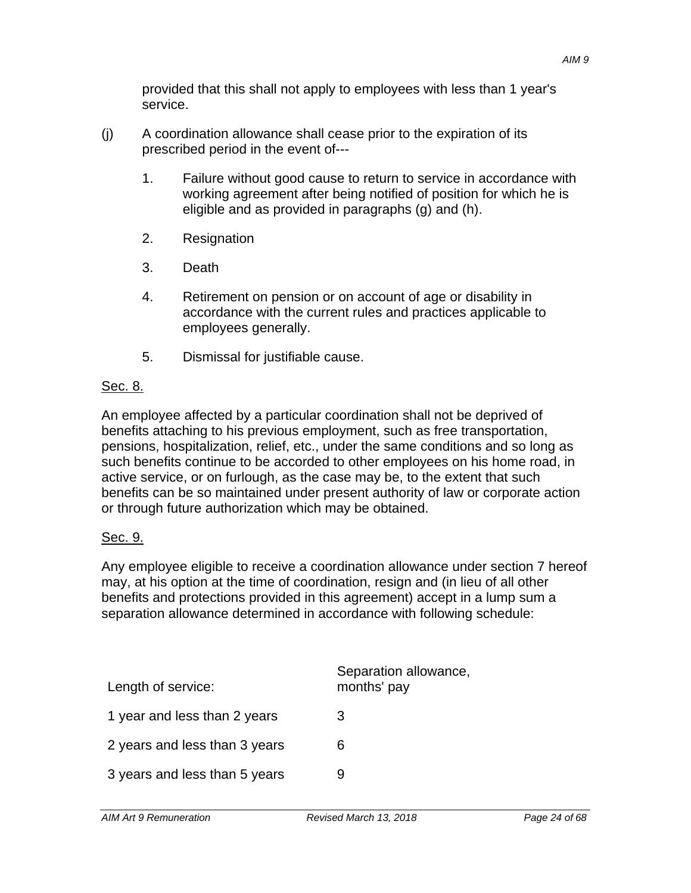provided that this shall not apply to employees with less than 1 year's service.

- (j) A coordination allowance shall cease prior to the expiration of its prescribed period in the event of---
	- 1. Failure without good cause to return to service in accordance with working agreement after being notified of position for which he is eligible and as provided in paragraphs (g) and (h).
	- 2. Resignation
	- 3. Death
	- 4. Retirement on pension or on account of age or disability in accordance with the current rules and practices applicable to employees generally.
	- 5. Dismissal for justifiable cause.

#### Sec. 8.

An employee affected by a particular coordination shall not be deprived of benefits attaching to his previous employment, such as free transportation, pensions, hospitalization, relief, etc., under the same conditions and so long as such benefits continue to be accorded to other employees on his home road, in active service, or on furlough, as the case may be, to the extent that such benefits can be so maintained under present authority of law or corporate action or through future authorization which may be obtained.

#### Sec. 9.

Any employee eligible to receive a coordination allowance under section 7 hereof may, at his option at the time of coordination, resign and (in lieu of all other benefits and protections provided in this agreement) accept in a lump sum a separation allowance determined in accordance with following schedule:

| Length of service:            | Separation allowance,<br>months' pay |
|-------------------------------|--------------------------------------|
| 1 year and less than 2 years  | 3                                    |
| 2 years and less than 3 years | 6                                    |
| 3 years and less than 5 years |                                      |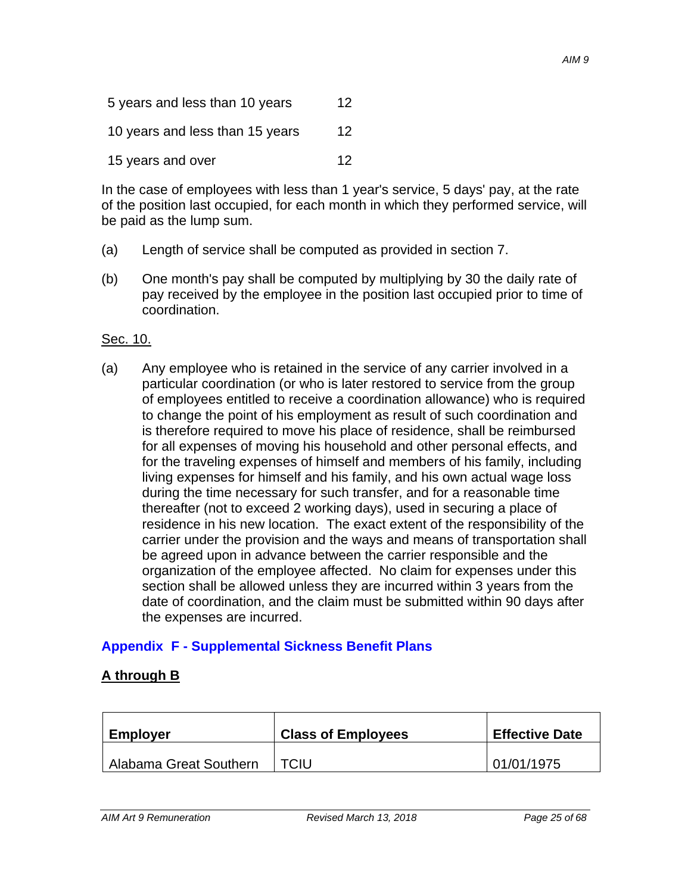| 5 years and less than 10 years  | 12 |
|---------------------------------|----|
| 10 years and less than 15 years | 12 |
| 15 years and over               | 12 |

In the case of employees with less than 1 year's service, 5 days' pay, at the rate of the position last occupied, for each month in which they performed service, will be paid as the lump sum.

- (a) Length of service shall be computed as provided in section 7.
- (b) One month's pay shall be computed by multiplying by 30 the daily rate of pay received by the employee in the position last occupied prior to time of coordination.

#### Sec. 10.

(a) Any employee who is retained in the service of any carrier involved in a particular coordination (or who is later restored to service from the group of employees entitled to receive a coordination allowance) who is required to change the point of his employment as result of such coordination and is therefore required to move his place of residence, shall be reimbursed for all expenses of moving his household and other personal effects, and for the traveling expenses of himself and members of his family, including living expenses for himself and his family, and his own actual wage loss during the time necessary for such transfer, and for a reasonable time thereafter (not to exceed 2 working days), used in securing a place of residence in his new location. The exact extent of the responsibility of the carrier under the provision and the ways and means of transportation shall be agreed upon in advance between the carrier responsible and the organization of the employee affected. No claim for expenses under this section shall be allowed unless they are incurred within 3 years from the date of coordination, and the claim must be submitted within 90 days after the expenses are incurred.

#### **+ Appendix F - Supplemental Sickness Benefit Plans**

#### **A through B**

| <b>Employer</b>        | <b>Class of Employees</b> | <b>Effective Date</b> |
|------------------------|---------------------------|-----------------------|
| Alabama Great Southern | TCIU                      | 01/01/1975            |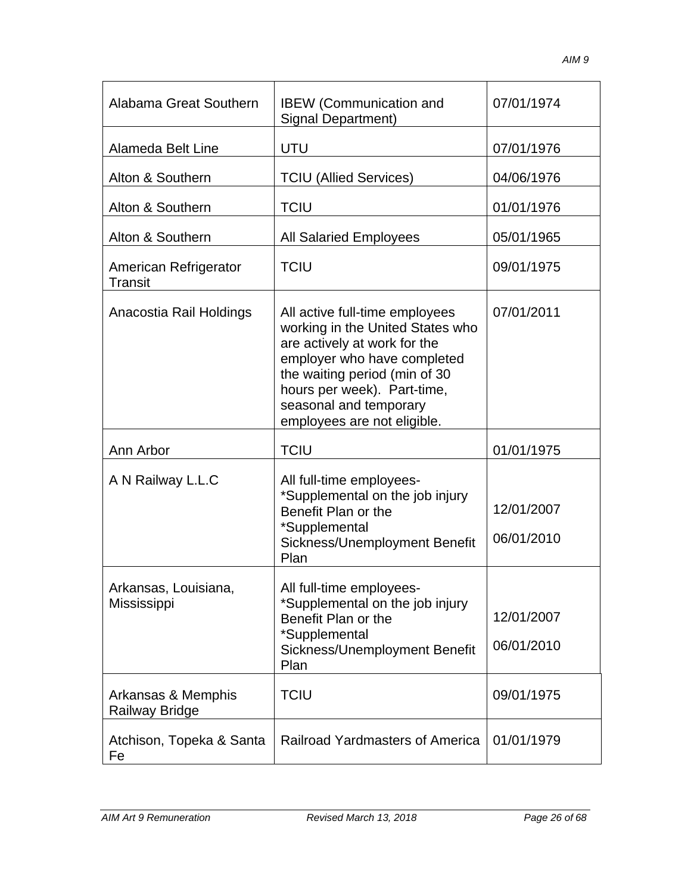| Alabama Great Southern                  | <b>IBEW</b> (Communication and<br><b>Signal Department)</b>                                                                                                                                                                                                | 07/01/1974               |
|-----------------------------------------|------------------------------------------------------------------------------------------------------------------------------------------------------------------------------------------------------------------------------------------------------------|--------------------------|
| Alameda Belt Line                       | UTU                                                                                                                                                                                                                                                        | 07/01/1976               |
| Alton & Southern                        | <b>TCIU (Allied Services)</b>                                                                                                                                                                                                                              | 04/06/1976               |
| Alton & Southern                        | <b>TCIU</b>                                                                                                                                                                                                                                                | 01/01/1976               |
| Alton & Southern                        | <b>All Salaried Employees</b>                                                                                                                                                                                                                              | 05/01/1965               |
| American Refrigerator<br><b>Transit</b> | <b>TCIU</b>                                                                                                                                                                                                                                                | 09/01/1975               |
| Anacostia Rail Holdings                 | All active full-time employees<br>working in the United States who<br>are actively at work for the<br>employer who have completed<br>the waiting period (min of 30<br>hours per week). Part-time,<br>seasonal and temporary<br>employees are not eligible. | 07/01/2011               |
| Ann Arbor                               | <b>TCIU</b>                                                                                                                                                                                                                                                | 01/01/1975               |
| A N Railway L.L.C                       | All full-time employees-<br>*Supplemental on the job injury<br>Benefit Plan or the<br>*Supplemental<br>Sickness/Unemployment Benefit<br>Plan                                                                                                               | 12/01/2007<br>06/01/2010 |
| Arkansas, Louisiana,<br>Mississippi     | All full-time employees-<br>*Supplemental on the job injury<br>Benefit Plan or the<br>*Supplemental<br>Sickness/Unemployment Benefit<br>Plan                                                                                                               | 12/01/2007<br>06/01/2010 |
| Arkansas & Memphis<br>Railway Bridge    | <b>TCIU</b>                                                                                                                                                                                                                                                | 09/01/1975               |
| Atchison, Topeka & Santa<br>Fe          | <b>Railroad Yardmasters of America</b>                                                                                                                                                                                                                     | 01/01/1979               |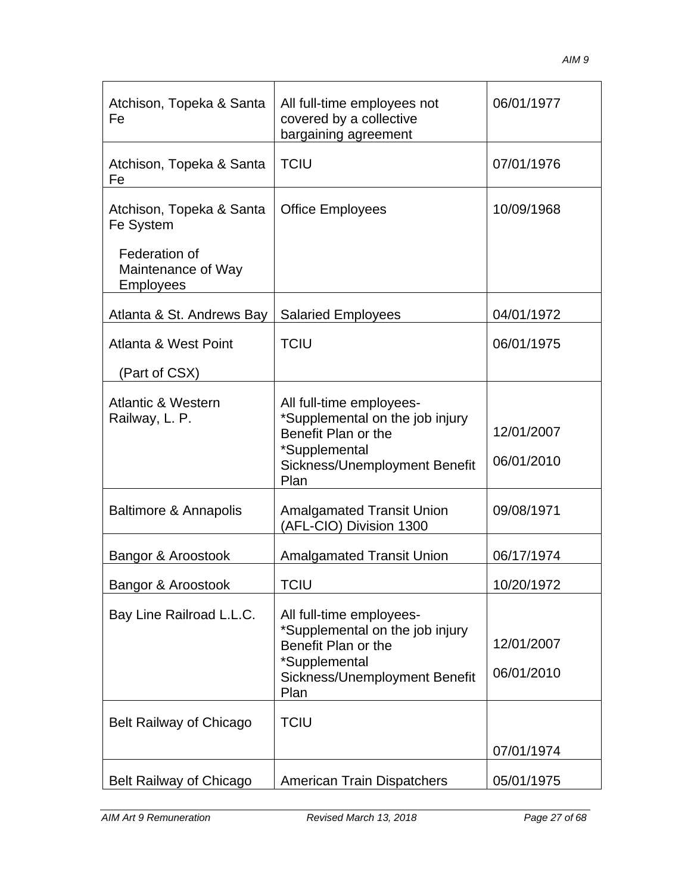| Atchison, Topeka & Santa<br>Fe                          | All full-time employees not<br>covered by a collective<br>bargaining agreement                                                               | 06/01/1977               |
|---------------------------------------------------------|----------------------------------------------------------------------------------------------------------------------------------------------|--------------------------|
| Atchison, Topeka & Santa<br>Fe                          | <b>TCIU</b>                                                                                                                                  | 07/01/1976               |
| Atchison, Topeka & Santa<br>Fe System                   | <b>Office Employees</b>                                                                                                                      | 10/09/1968               |
| Federation of<br>Maintenance of Way<br><b>Employees</b> |                                                                                                                                              |                          |
| Atlanta & St. Andrews Bay                               | <b>Salaried Employees</b>                                                                                                                    | 04/01/1972               |
| <b>Atlanta &amp; West Point</b>                         | <b>TCIU</b>                                                                                                                                  | 06/01/1975               |
| (Part of CSX)                                           |                                                                                                                                              |                          |
| <b>Atlantic &amp; Western</b><br>Railway, L. P.         | All full-time employees-<br>*Supplemental on the job injury<br>Benefit Plan or the<br>*Supplemental<br>Sickness/Unemployment Benefit<br>Plan | 12/01/2007<br>06/01/2010 |
| <b>Baltimore &amp; Annapolis</b>                        | <b>Amalgamated Transit Union</b><br>(AFL-CIO) Division 1300                                                                                  | 09/08/1971               |
| Bangor & Aroostook                                      | <b>Amalgamated Transit Union</b>                                                                                                             | 06/17/1974               |
| Bangor & Aroostook                                      | TCIU                                                                                                                                         | 10/20/1972               |
| Bay Line Railroad L.L.C.                                | All full-time employees-<br>*Supplemental on the job injury<br>Benefit Plan or the<br>*Supplemental<br>Sickness/Unemployment Benefit<br>Plan | 12/01/2007<br>06/01/2010 |
| <b>Belt Railway of Chicago</b>                          | <b>TCIU</b>                                                                                                                                  | 07/01/1974               |
| <b>Belt Railway of Chicago</b>                          | <b>American Train Dispatchers</b>                                                                                                            | 05/01/1975               |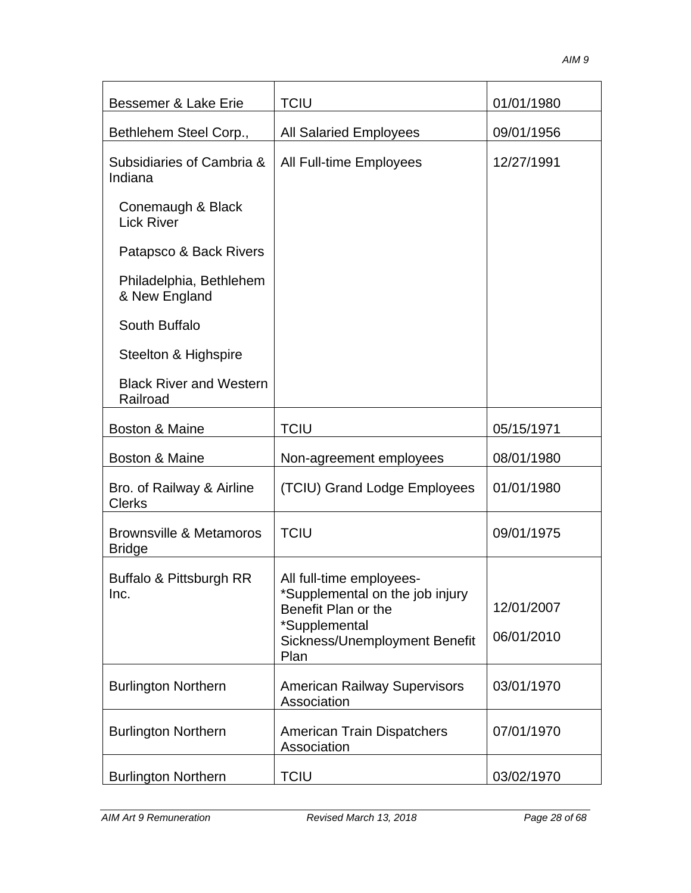| Bessemer & Lake Erie                                | TCIU                                                                                                                                         | 01/01/1980               |
|-----------------------------------------------------|----------------------------------------------------------------------------------------------------------------------------------------------|--------------------------|
| Bethlehem Steel Corp.,                              | <b>All Salaried Employees</b>                                                                                                                | 09/01/1956               |
| Subsidiaries of Cambria &<br>Indiana                | All Full-time Employees                                                                                                                      | 12/27/1991               |
| Conemaugh & Black<br><b>Lick River</b>              |                                                                                                                                              |                          |
| Patapsco & Back Rivers                              |                                                                                                                                              |                          |
| Philadelphia, Bethlehem<br>& New England            |                                                                                                                                              |                          |
| South Buffalo                                       |                                                                                                                                              |                          |
| Steelton & Highspire                                |                                                                                                                                              |                          |
| <b>Black River and Western</b><br>Railroad          |                                                                                                                                              |                          |
| Boston & Maine                                      | <b>TCIU</b>                                                                                                                                  | 05/15/1971               |
| Boston & Maine                                      | Non-agreement employees                                                                                                                      | 08/01/1980               |
| Bro. of Railway & Airline<br><b>Clerks</b>          | (TCIU) Grand Lodge Employees                                                                                                                 | 01/01/1980               |
| <b>Brownsville &amp; Metamoros</b><br><b>Bridge</b> | <b>TCIU</b>                                                                                                                                  | 09/01/1975               |
| Buffalo & Pittsburgh RR<br>Inc.                     | All full-time employees-<br>*Supplemental on the job injury<br>Benefit Plan or the<br>*Supplemental<br>Sickness/Unemployment Benefit<br>Plan | 12/01/2007<br>06/01/2010 |
| <b>Burlington Northern</b>                          | <b>American Railway Supervisors</b><br>Association                                                                                           | 03/01/1970               |
| <b>Burlington Northern</b>                          | <b>American Train Dispatchers</b><br>Association                                                                                             | 07/01/1970               |
| <b>Burlington Northern</b>                          | <b>TCIU</b>                                                                                                                                  | 03/02/1970               |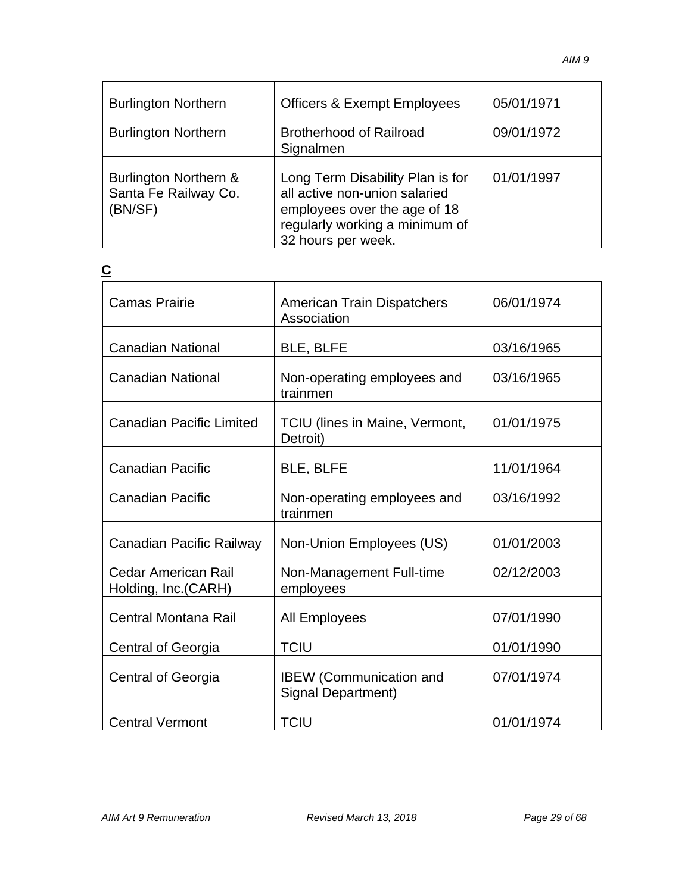| <b>Burlington Northern</b>                               | <b>Officers &amp; Exempt Employees</b>                                                                                                                    | 05/01/1971 |
|----------------------------------------------------------|-----------------------------------------------------------------------------------------------------------------------------------------------------------|------------|
| <b>Burlington Northern</b>                               | <b>Brotherhood of Railroad</b><br>Signalmen                                                                                                               | 09/01/1972 |
| Burlington Northern &<br>Santa Fe Railway Co.<br>(BN/SF) | Long Term Disability Plan is for<br>all active non-union salaried<br>employees over the age of 18<br>regularly working a minimum of<br>32 hours per week. | 01/01/1997 |

| $\overline{c}$                              |                                                      |            |
|---------------------------------------------|------------------------------------------------------|------------|
| <b>Camas Prairie</b>                        | <b>American Train Dispatchers</b><br>Association     | 06/01/1974 |
| <b>Canadian National</b>                    | <b>BLE, BLFE</b>                                     | 03/16/1965 |
| <b>Canadian National</b>                    | Non-operating employees and<br>trainmen              | 03/16/1965 |
| <b>Canadian Pacific Limited</b>             | TCIU (lines in Maine, Vermont,<br>Detroit)           | 01/01/1975 |
| <b>Canadian Pacific</b>                     | BLE, BLFE                                            | 11/01/1964 |
| <b>Canadian Pacific</b>                     | Non-operating employees and<br>trainmen              | 03/16/1992 |
| Canadian Pacific Railway                    | Non-Union Employees (US)                             | 01/01/2003 |
| Cedar American Rail<br>Holding, Inc. (CARH) | Non-Management Full-time<br>employees                | 02/12/2003 |
| <b>Central Montana Rail</b>                 | All Employees                                        | 07/01/1990 |
| <b>Central of Georgia</b>                   | <b>TCIU</b>                                          | 01/01/1990 |
| <b>Central of Georgia</b>                   | <b>IBEW</b> (Communication and<br>Signal Department) | 07/01/1974 |
| <b>Central Vermont</b>                      | <b>TCIU</b>                                          | 01/01/1974 |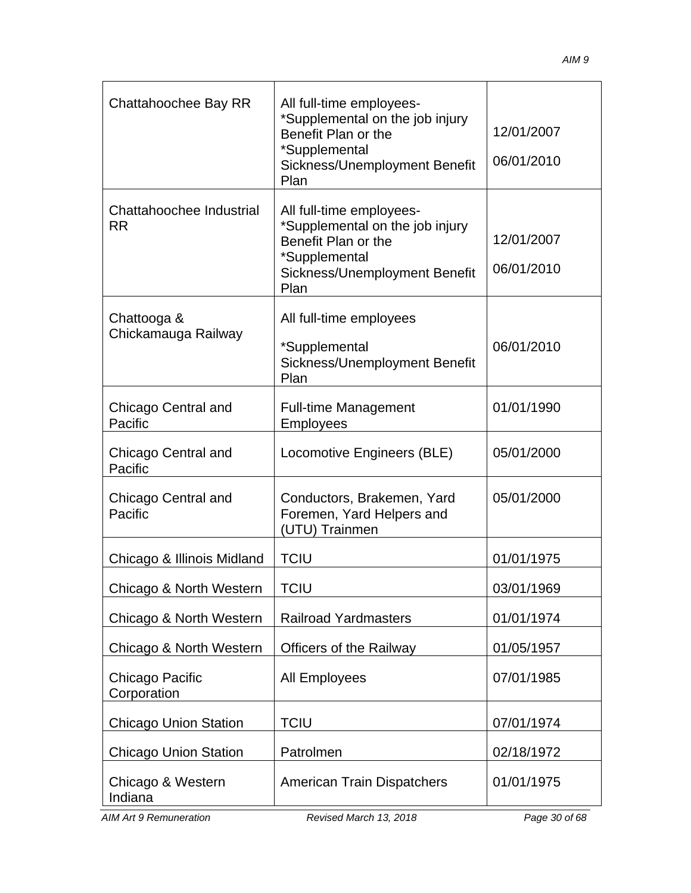| Chattahoochee Bay RR                  | All full-time employees-<br>*Supplemental on the job injury<br>Benefit Plan or the<br>*Supplemental<br>Sickness/Unemployment Benefit<br>Plan | 12/01/2007<br>06/01/2010 |
|---------------------------------------|----------------------------------------------------------------------------------------------------------------------------------------------|--------------------------|
| Chattahoochee Industrial<br><b>RR</b> | All full-time employees-<br>*Supplemental on the job injury<br>Benefit Plan or the<br>*Supplemental<br>Sickness/Unemployment Benefit<br>Plan | 12/01/2007<br>06/01/2010 |
| Chattooga &<br>Chickamauga Railway    | All full-time employees<br>*Supplemental<br>Sickness/Unemployment Benefit<br>Plan                                                            | 06/01/2010               |
| Chicago Central and<br>Pacific        | <b>Full-time Management</b><br><b>Employees</b>                                                                                              | 01/01/1990               |
| Chicago Central and<br>Pacific        | Locomotive Engineers (BLE)                                                                                                                   | 05/01/2000               |
| Chicago Central and<br>Pacific        | Conductors, Brakemen, Yard<br>Foremen, Yard Helpers and<br>(UTU) Trainmen                                                                    | 05/01/2000               |
| Chicago & Illinois Midland            | <b>TCIU</b>                                                                                                                                  | 01/01/1975               |
| Chicago & North Western               | <b>TCIU</b>                                                                                                                                  | 03/01/1969               |
| Chicago & North Western               | <b>Railroad Yardmasters</b>                                                                                                                  | 01/01/1974               |
| Chicago & North Western               | <b>Officers of the Railway</b>                                                                                                               | 01/05/1957               |
| Chicago Pacific<br>Corporation        | <b>All Employees</b>                                                                                                                         | 07/01/1985               |
| <b>Chicago Union Station</b>          | <b>TCIU</b>                                                                                                                                  | 07/01/1974               |
| <b>Chicago Union Station</b>          | Patrolmen                                                                                                                                    | 02/18/1972               |
| Chicago & Western<br>Indiana          | <b>American Train Dispatchers</b>                                                                                                            | 01/01/1975               |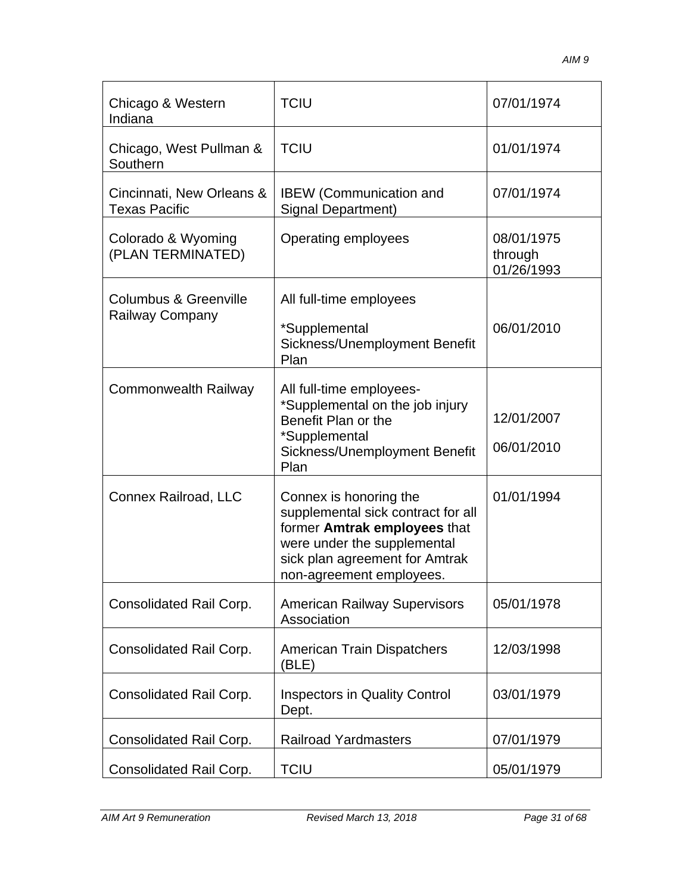| Chicago & Western<br>Indiana                      | <b>TCIU</b>                                                                                                                                                                               | 07/01/1974                          |
|---------------------------------------------------|-------------------------------------------------------------------------------------------------------------------------------------------------------------------------------------------|-------------------------------------|
| Chicago, West Pullman &<br>Southern               | <b>TCIU</b>                                                                                                                                                                               | 01/01/1974                          |
| Cincinnati, New Orleans &<br><b>Texas Pacific</b> | <b>IBEW</b> (Communication and<br><b>Signal Department)</b>                                                                                                                               | 07/01/1974                          |
| Colorado & Wyoming<br>(PLAN TERMINATED)           | Operating employees                                                                                                                                                                       | 08/01/1975<br>through<br>01/26/1993 |
| Columbus & Greenville<br><b>Railway Company</b>   | All full-time employees<br>*Supplemental<br>Sickness/Unemployment Benefit<br>Plan                                                                                                         | 06/01/2010                          |
| <b>Commonwealth Railway</b>                       | All full-time employees-<br>*Supplemental on the job injury<br>Benefit Plan or the<br>*Supplemental<br>Sickness/Unemployment Benefit<br>Plan                                              | 12/01/2007<br>06/01/2010            |
| Connex Railroad, LLC                              | Connex is honoring the<br>supplemental sick contract for all<br>former Amtrak employees that<br>were under the supplemental<br>sick plan agreement for Amtrak<br>non-agreement employees. | 01/01/1994                          |
| <b>Consolidated Rail Corp.</b>                    | <b>American Railway Supervisors</b><br>Association                                                                                                                                        | 05/01/1978                          |
| Consolidated Rail Corp.                           | <b>American Train Dispatchers</b><br>(BLE)                                                                                                                                                | 12/03/1998                          |
| Consolidated Rail Corp.                           | <b>Inspectors in Quality Control</b><br>Dept.                                                                                                                                             | 03/01/1979                          |
| <b>Consolidated Rail Corp.</b>                    | <b>Railroad Yardmasters</b>                                                                                                                                                               | 07/01/1979                          |
| <b>Consolidated Rail Corp.</b>                    | <b>TCIU</b>                                                                                                                                                                               | 05/01/1979                          |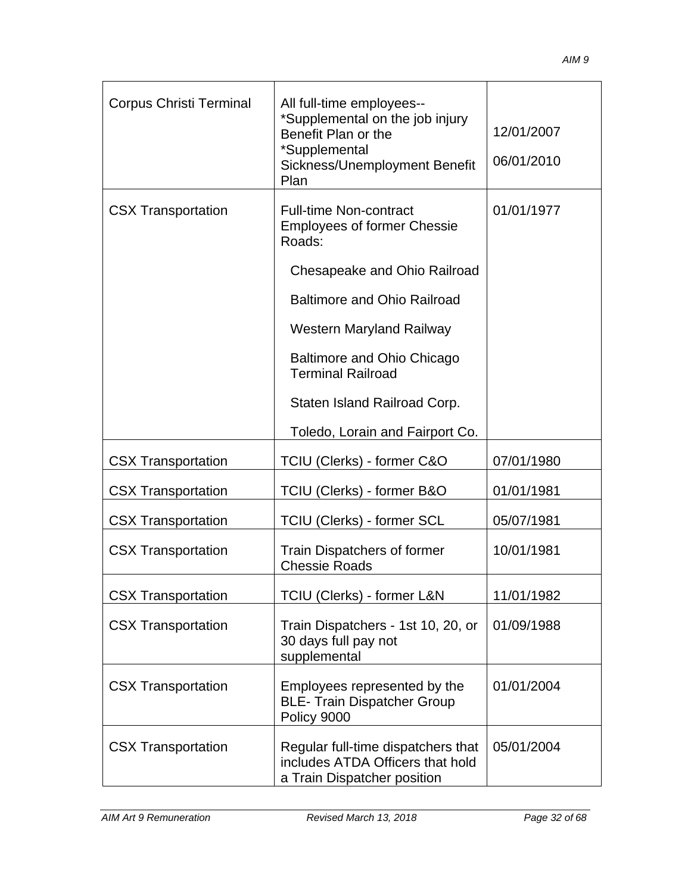| <b>Corpus Christi Terminal</b> | All full-time employees--<br>*Supplemental on the job injury<br>Benefit Plan or the<br>*Supplemental<br>Sickness/Unemployment Benefit<br>Plan | 12/01/2007<br>06/01/2010 |
|--------------------------------|-----------------------------------------------------------------------------------------------------------------------------------------------|--------------------------|
| <b>CSX Transportation</b>      | <b>Full-time Non-contract</b><br><b>Employees of former Chessie</b><br>Roads:                                                                 | 01/01/1977               |
|                                | Chesapeake and Ohio Railroad                                                                                                                  |                          |
|                                | <b>Baltimore and Ohio Railroad</b>                                                                                                            |                          |
|                                | Western Maryland Railway                                                                                                                      |                          |
|                                | Baltimore and Ohio Chicago<br><b>Terminal Railroad</b>                                                                                        |                          |
|                                | Staten Island Railroad Corp.                                                                                                                  |                          |
|                                | Toledo, Lorain and Fairport Co.                                                                                                               |                          |
| <b>CSX Transportation</b>      | TCIU (Clerks) - former C&O                                                                                                                    | 07/01/1980               |
| <b>CSX Transportation</b>      | TCIU (Clerks) - former B&O                                                                                                                    | 01/01/1981               |
| <b>CSX Transportation</b>      | <b>TCIU (Clerks) - former SCL</b>                                                                                                             | 05/07/1981               |
| <b>CSX Transportation</b>      | <b>Train Dispatchers of former</b><br><b>Chessie Roads</b>                                                                                    | 10/01/1981               |
| <b>CSX Transportation</b>      | TCIU (Clerks) - former L&N                                                                                                                    | 11/01/1982               |
| <b>CSX Transportation</b>      | Train Dispatchers - 1st 10, 20, or<br>30 days full pay not<br>supplemental                                                                    | 01/09/1988               |
| <b>CSX Transportation</b>      | Employees represented by the<br><b>BLE-Train Dispatcher Group</b><br>Policy 9000                                                              | 01/01/2004               |
| <b>CSX Transportation</b>      | Regular full-time dispatchers that<br>includes ATDA Officers that hold<br>a Train Dispatcher position                                         | 05/01/2004               |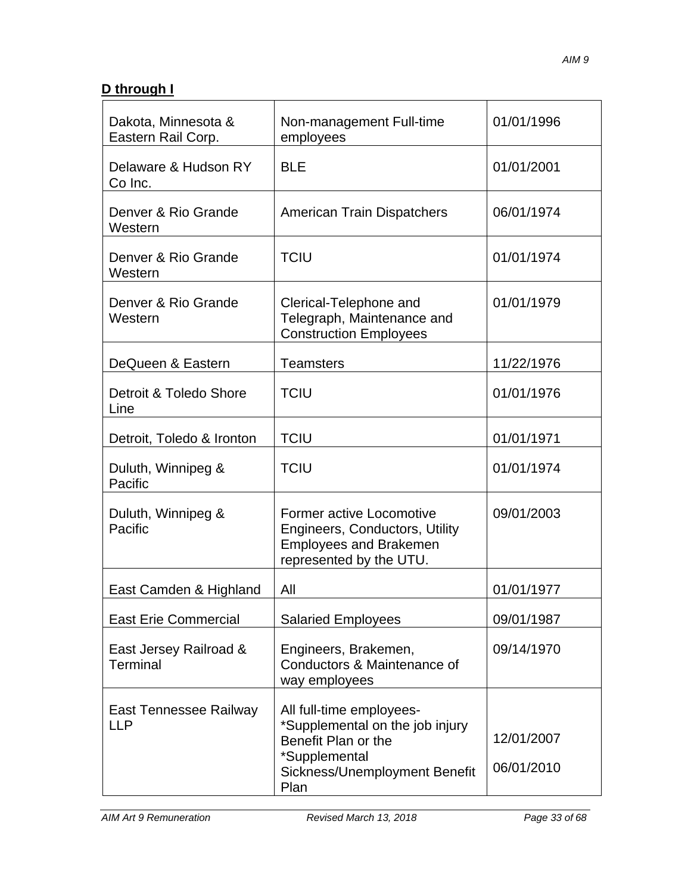## **D through I**

| Dakota, Minnesota &<br>Eastern Rail Corp. | Non-management Full-time<br>employees                                                                                                        | 01/01/1996               |
|-------------------------------------------|----------------------------------------------------------------------------------------------------------------------------------------------|--------------------------|
| Delaware & Hudson RY<br>Co Inc.           | <b>BLE</b>                                                                                                                                   | 01/01/2001               |
| Denver & Rio Grande<br>Western            | <b>American Train Dispatchers</b>                                                                                                            | 06/01/1974               |
| Denver & Rio Grande<br>Western            | <b>TCIU</b>                                                                                                                                  | 01/01/1974               |
| Denver & Rio Grande<br>Western            | Clerical-Telephone and<br>Telegraph, Maintenance and<br><b>Construction Employees</b>                                                        | 01/01/1979               |
| DeQueen & Eastern                         | <b>Teamsters</b>                                                                                                                             | 11/22/1976               |
| Detroit & Toledo Shore<br>Line            | <b>TCIU</b>                                                                                                                                  | 01/01/1976               |
| Detroit, Toledo & Ironton                 | <b>TCIU</b>                                                                                                                                  | 01/01/1971               |
| Duluth, Winnipeg &<br>Pacific             | <b>TCIU</b>                                                                                                                                  | 01/01/1974               |
| Duluth, Winnipeg &<br>Pacific             | Former active Locomotive<br>Engineers, Conductors, Utility<br><b>Employees and Brakemen</b><br>represented by the UTU.                       | 09/01/2003               |
| East Camden & Highland                    | All                                                                                                                                          | 01/01/1977               |
| <b>East Erie Commercial</b>               | <b>Salaried Employees</b>                                                                                                                    | 09/01/1987               |
| East Jersey Railroad &<br><b>Terminal</b> | Engineers, Brakemen,<br>Conductors & Maintenance of<br>way employees                                                                         | 09/14/1970               |
| East Tennessee Railway<br><b>LLP</b>      | All full-time employees-<br>*Supplemental on the job injury<br>Benefit Plan or the<br>*Supplemental<br>Sickness/Unemployment Benefit<br>Plan | 12/01/2007<br>06/01/2010 |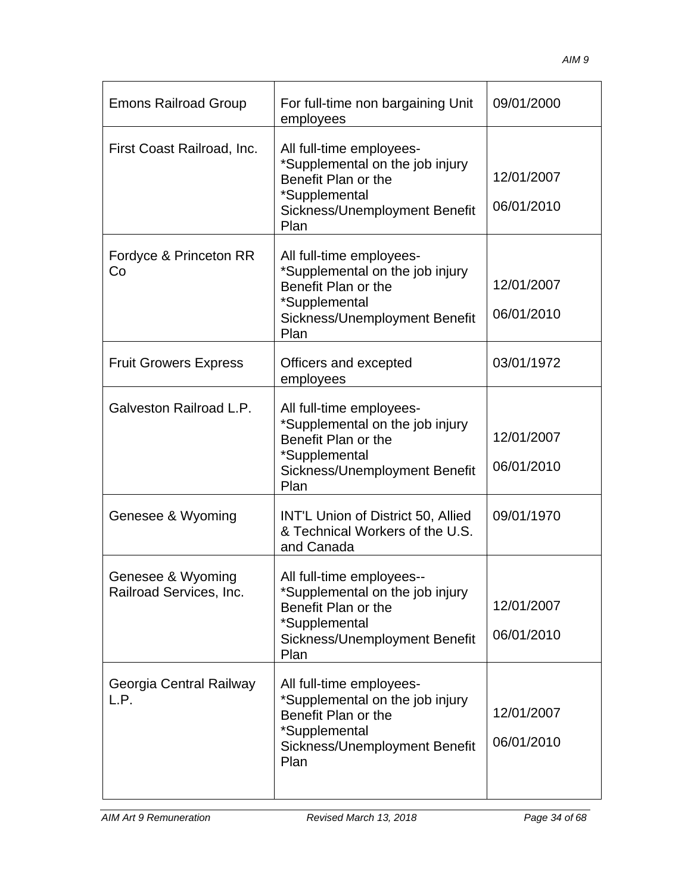| <b>Emons Railroad Group</b>                  | For full-time non bargaining Unit<br>employees                                                                                                | 09/01/2000               |
|----------------------------------------------|-----------------------------------------------------------------------------------------------------------------------------------------------|--------------------------|
| First Coast Railroad, Inc.                   | All full-time employees-<br>*Supplemental on the job injury<br>Benefit Plan or the<br>*Supplemental<br>Sickness/Unemployment Benefit<br>Plan  | 12/01/2007<br>06/01/2010 |
| Fordyce & Princeton RR<br>Co                 | All full-time employees-<br>*Supplemental on the job injury<br>Benefit Plan or the<br>*Supplemental<br>Sickness/Unemployment Benefit<br>Plan  | 12/01/2007<br>06/01/2010 |
| <b>Fruit Growers Express</b>                 | Officers and excepted<br>employees                                                                                                            | 03/01/1972               |
| Galveston Railroad L.P.                      | All full-time employees-<br>*Supplemental on the job injury<br>Benefit Plan or the<br>*Supplemental<br>Sickness/Unemployment Benefit<br>Plan  | 12/01/2007<br>06/01/2010 |
| Genesee & Wyoming                            | <b>INT'L Union of District 50, Allied</b><br>& Technical Workers of the U.S.<br>and Canada                                                    | 09/01/1970               |
| Genesee & Wyoming<br>Railroad Services, Inc. | All full-time employees--<br>*Supplemental on the job injury<br>Benefit Plan or the<br>*Supplemental<br>Sickness/Unemployment Benefit<br>Plan | 12/01/2007<br>06/01/2010 |
| Georgia Central Railway<br>L.P.              | All full-time employees-<br>*Supplemental on the job injury<br>Benefit Plan or the<br>*Supplemental<br>Sickness/Unemployment Benefit<br>Plan  | 12/01/2007<br>06/01/2010 |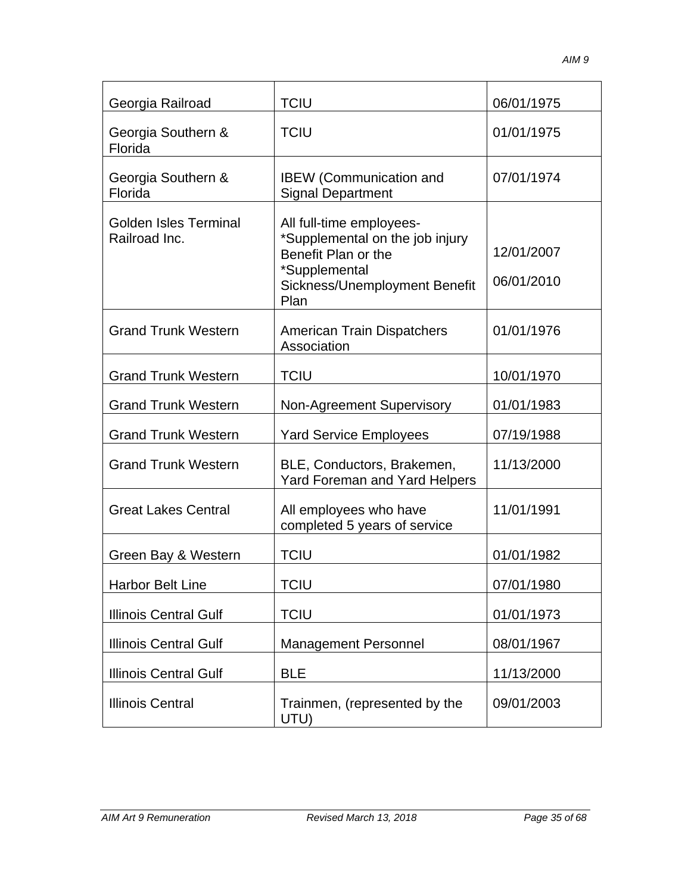| Georgia Railroad                              | <b>TCIU</b>                                                                                                                                  | 06/01/1975               |
|-----------------------------------------------|----------------------------------------------------------------------------------------------------------------------------------------------|--------------------------|
| Georgia Southern &<br>Florida                 | <b>TCIU</b>                                                                                                                                  | 01/01/1975               |
| Georgia Southern &<br>Florida                 | <b>IBEW</b> (Communication and<br><b>Signal Department</b>                                                                                   | 07/01/1974               |
| <b>Golden Isles Terminal</b><br>Railroad Inc. | All full-time employees-<br>*Supplemental on the job injury<br>Benefit Plan or the<br>*Supplemental<br>Sickness/Unemployment Benefit<br>Plan | 12/01/2007<br>06/01/2010 |
| <b>Grand Trunk Western</b>                    | <b>American Train Dispatchers</b><br>Association                                                                                             | 01/01/1976               |
| <b>Grand Trunk Western</b>                    | <b>TCIU</b>                                                                                                                                  | 10/01/1970               |
| <b>Grand Trunk Western</b>                    | <b>Non-Agreement Supervisory</b>                                                                                                             | 01/01/1983               |
| <b>Grand Trunk Western</b>                    | <b>Yard Service Employees</b>                                                                                                                | 07/19/1988               |
| <b>Grand Trunk Western</b>                    | BLE, Conductors, Brakemen,<br><b>Yard Foreman and Yard Helpers</b>                                                                           | 11/13/2000               |
| <b>Great Lakes Central</b>                    | All employees who have<br>completed 5 years of service                                                                                       | 11/01/1991               |
| Green Bay & Western                           | <b>TCIU</b>                                                                                                                                  | 01/01/1982               |
| Harbor Belt Line                              | <b>TCIU</b>                                                                                                                                  | 07/01/1980               |
| <b>Illinois Central Gulf</b>                  | <b>TCIU</b>                                                                                                                                  | 01/01/1973               |
| <b>Illinois Central Gulf</b>                  | <b>Management Personnel</b>                                                                                                                  | 08/01/1967               |
| <b>Illinois Central Gulf</b>                  | <b>BLE</b>                                                                                                                                   | 11/13/2000               |
| <b>Illinois Central</b>                       | Trainmen, (represented by the<br>UTU)                                                                                                        | 09/01/2003               |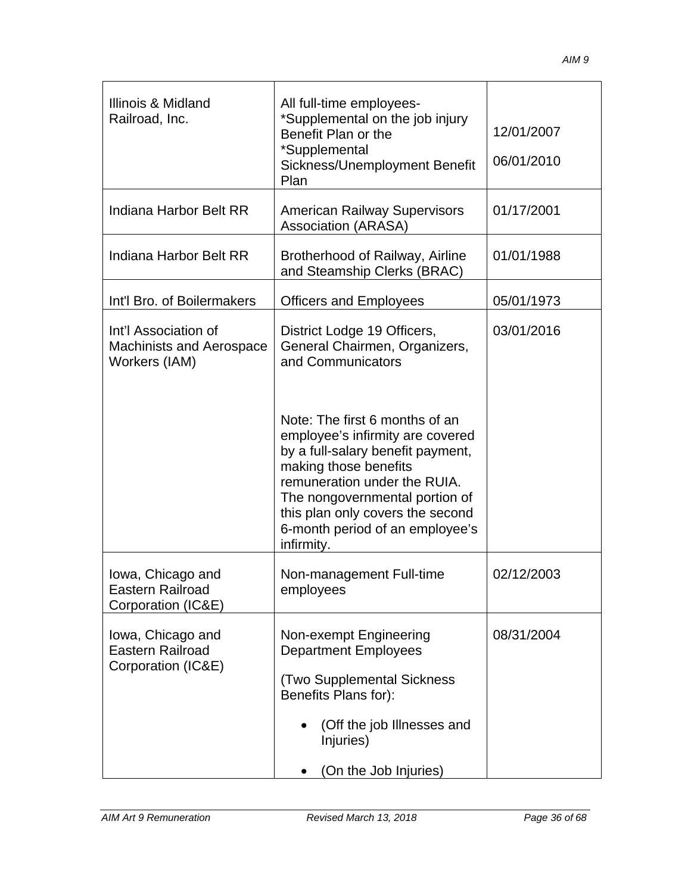| Illinois & Midland<br>Railroad, Inc.                                     | All full-time employees-<br>*Supplemental on the job injury<br>Benefit Plan or the<br>*Supplemental<br>Sickness/Unemployment Benefit<br>Plan                                                                                                                                            | 12/01/2007<br>06/01/2010 |
|--------------------------------------------------------------------------|-----------------------------------------------------------------------------------------------------------------------------------------------------------------------------------------------------------------------------------------------------------------------------------------|--------------------------|
| <b>Indiana Harbor Belt RR</b>                                            | <b>American Railway Supervisors</b><br><b>Association (ARASA)</b>                                                                                                                                                                                                                       | 01/17/2001               |
| <b>Indiana Harbor Belt RR</b>                                            | Brotherhood of Railway, Airline<br>and Steamship Clerks (BRAC)                                                                                                                                                                                                                          | 01/01/1988               |
| Int'l Bro. of Boilermakers                                               | <b>Officers and Employees</b>                                                                                                                                                                                                                                                           | 05/01/1973               |
| Int'l Association of<br><b>Machinists and Aerospace</b><br>Workers (IAM) | District Lodge 19 Officers,<br>General Chairmen, Organizers,<br>and Communicators                                                                                                                                                                                                       | 03/01/2016               |
|                                                                          | Note: The first 6 months of an<br>employee's infirmity are covered<br>by a full-salary benefit payment,<br>making those benefits<br>remuneration under the RUIA.<br>The nongovernmental portion of<br>this plan only covers the second<br>6-month period of an employee's<br>infirmity. |                          |
| lowa, Chicago and<br><b>Eastern Railroad</b><br>Corporation (IC&E)       | Non-management Full-time<br>employees                                                                                                                                                                                                                                                   | 02/12/2003               |
| lowa, Chicago and<br><b>Eastern Railroad</b><br>Corporation (IC&E)       | Non-exempt Engineering<br><b>Department Employees</b><br><b>(Two Supplemental Sickness)</b><br>Benefits Plans for):                                                                                                                                                                     | 08/31/2004               |
|                                                                          | (Off the job Illnesses and<br>Injuries)                                                                                                                                                                                                                                                 |                          |
|                                                                          | On the Job Injuries)                                                                                                                                                                                                                                                                    |                          |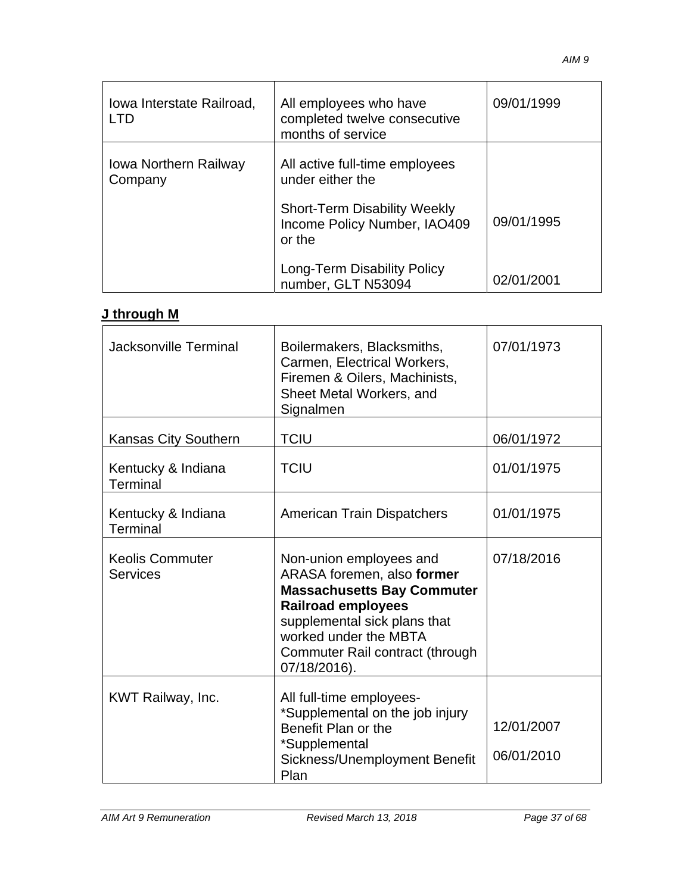| Iowa Interstate Railroad,<br>I TD       | All employees who have<br>completed twelve consecutive<br>months of service   | 09/01/1999 |
|-----------------------------------------|-------------------------------------------------------------------------------|------------|
| <b>Iowa Northern Railway</b><br>Company | All active full-time employees<br>under either the                            |            |
|                                         | <b>Short-Term Disability Weekly</b><br>Income Policy Number, IAO409<br>or the | 09/01/1995 |
|                                         | Long-Term Disability Policy<br>number, GLT N53094                             | 02/01/2001 |

## **J through M**

| <b>Jacksonville Terminal</b>              | Boilermakers, Blacksmiths,<br>Carmen, Electrical Workers,<br>Firemen & Oilers, Machinists,<br>Sheet Metal Workers, and<br>Signalmen                                                                                                 | 07/01/1973               |
|-------------------------------------------|-------------------------------------------------------------------------------------------------------------------------------------------------------------------------------------------------------------------------------------|--------------------------|
| Kansas City Southern                      | <b>TCIU</b>                                                                                                                                                                                                                         | 06/01/1972               |
| Kentucky & Indiana<br>Terminal            | <b>TCIU</b>                                                                                                                                                                                                                         | 01/01/1975               |
| Kentucky & Indiana<br>Terminal            | <b>American Train Dispatchers</b>                                                                                                                                                                                                   | 01/01/1975               |
| <b>Keolis Commuter</b><br><b>Services</b> | Non-union employees and<br>ARASA foremen, also former<br><b>Massachusetts Bay Commuter</b><br><b>Railroad employees</b><br>supplemental sick plans that<br>worked under the MBTA<br>Commuter Rail contract (through<br>07/18/2016). | 07/18/2016               |
| KWT Railway, Inc.                         | All full-time employees-<br>*Supplemental on the job injury<br>Benefit Plan or the<br>*Supplemental<br>Sickness/Unemployment Benefit<br>Plan                                                                                        | 12/01/2007<br>06/01/2010 |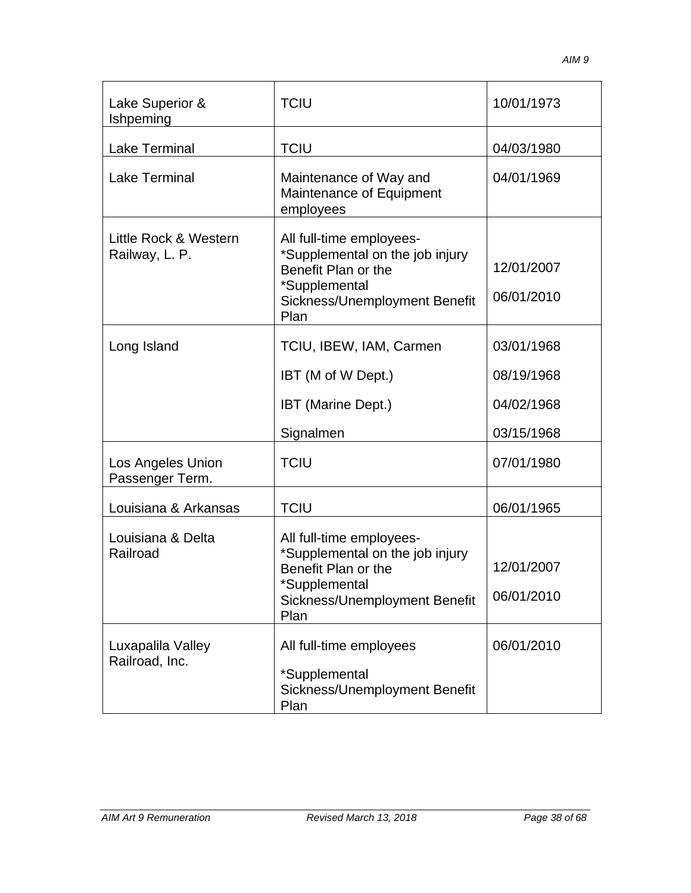| Lake Superior &<br>Ishpeming                | <b>TCIU</b>                                                                                                                                  | 10/01/1973                             |
|---------------------------------------------|----------------------------------------------------------------------------------------------------------------------------------------------|----------------------------------------|
| <b>Lake Terminal</b>                        | <b>TCIU</b>                                                                                                                                  | 04/03/1980                             |
| <b>Lake Terminal</b>                        | Maintenance of Way and<br>Maintenance of Equipment<br>employees                                                                              | 04/01/1969                             |
| Little Rock & Western<br>Railway, L. P.     | All full-time employees-<br>*Supplemental on the job injury<br>Benefit Plan or the<br>*Supplemental<br>Sickness/Unemployment Benefit<br>Plan | 12/01/2007<br>06/01/2010               |
| Long Island                                 | TCIU, IBEW, IAM, Carmen<br>IBT (M of W Dept.)<br>IBT (Marine Dept.)                                                                          | 03/01/1968<br>08/19/1968<br>04/02/1968 |
| <b>Los Angeles Union</b><br>Passenger Term. | Signalmen<br><b>TCIU</b>                                                                                                                     | 03/15/1968<br>07/01/1980               |
| Louisiana & Arkansas                        | <b>TCIU</b>                                                                                                                                  | 06/01/1965                             |
| Louisiana & Delta<br>Railroad               | All full-time employees-<br>*Supplemental on the job injury<br>Benefit Plan or the<br>*Supplemental<br>Sickness/Unemployment Benefit<br>Plan | 12/01/2007<br>06/01/2010               |
| Luxapalila Valley<br>Railroad, Inc.         | All full-time employees<br>*Supplemental<br>Sickness/Unemployment Benefit<br>Plan                                                            | 06/01/2010                             |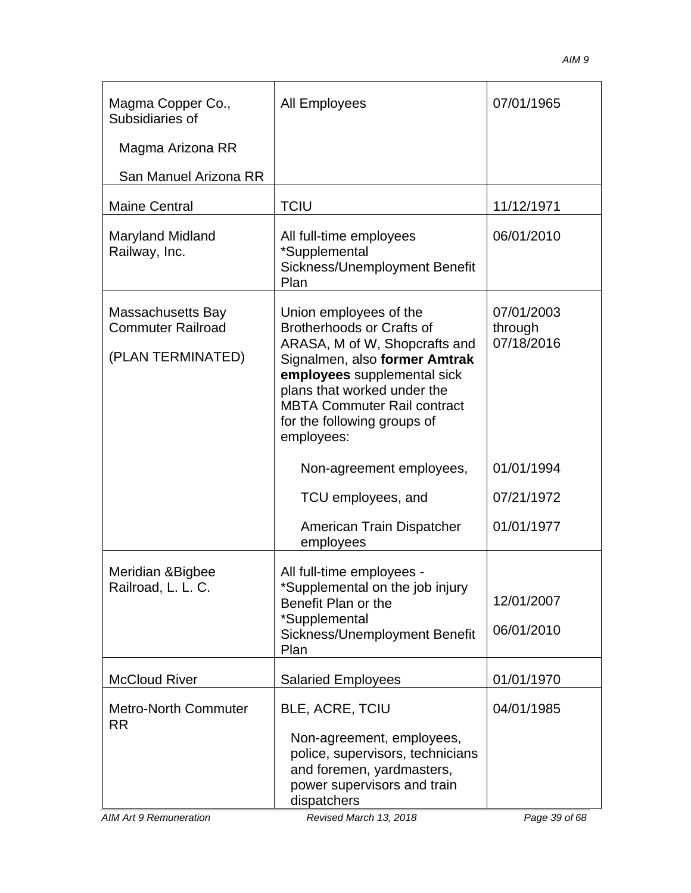| Magma Copper Co.,<br>Subsidiaries of<br>Magma Arizona RR<br>San Manuel Arizona RR | All Employees                                                                                                                                                                                                                                                                 | 07/01/1965                          |
|-----------------------------------------------------------------------------------|-------------------------------------------------------------------------------------------------------------------------------------------------------------------------------------------------------------------------------------------------------------------------------|-------------------------------------|
| <b>Maine Central</b>                                                              | <b>TCIU</b>                                                                                                                                                                                                                                                                   | 11/12/1971                          |
| Maryland Midland<br>Railway, Inc.                                                 | All full-time employees<br>*Supplemental<br>Sickness/Unemployment Benefit<br>Plan                                                                                                                                                                                             | 06/01/2010                          |
| Massachusetts Bay<br><b>Commuter Railroad</b><br>(PLAN TERMINATED)                | Union employees of the<br><b>Brotherhoods or Crafts of</b><br>ARASA, M of W, Shopcrafts and<br>Signalmen, also former Amtrak<br>employees supplemental sick<br>plans that worked under the<br><b>MBTA Commuter Rail contract</b><br>for the following groups of<br>employees: | 07/01/2003<br>through<br>07/18/2016 |
|                                                                                   | Non-agreement employees,                                                                                                                                                                                                                                                      | 01/01/1994                          |
|                                                                                   | TCU employees, and                                                                                                                                                                                                                                                            | 07/21/1972                          |
|                                                                                   | American Train Dispatcher<br>employees                                                                                                                                                                                                                                        | 01/01/1977                          |
| Meridian & Bigbee<br>Railroad, L. L. C.                                           | All full-time employees -<br>*Supplemental on the job injury<br>Benefit Plan or the<br>*Supplemental<br>Sickness/Unemployment Benefit<br>Plan                                                                                                                                 | 12/01/2007<br>06/01/2010            |
| <b>McCloud River</b>                                                              | <b>Salaried Employees</b>                                                                                                                                                                                                                                                     | 01/01/1970                          |
| <b>Metro-North Commuter</b><br><b>RR</b>                                          | <b>BLE, ACRE, TCIU</b><br>Non-agreement, employees,<br>police, supervisors, technicians<br>and foremen, yardmasters,<br>power supervisors and train<br>dispatchers                                                                                                            | 04/01/1985                          |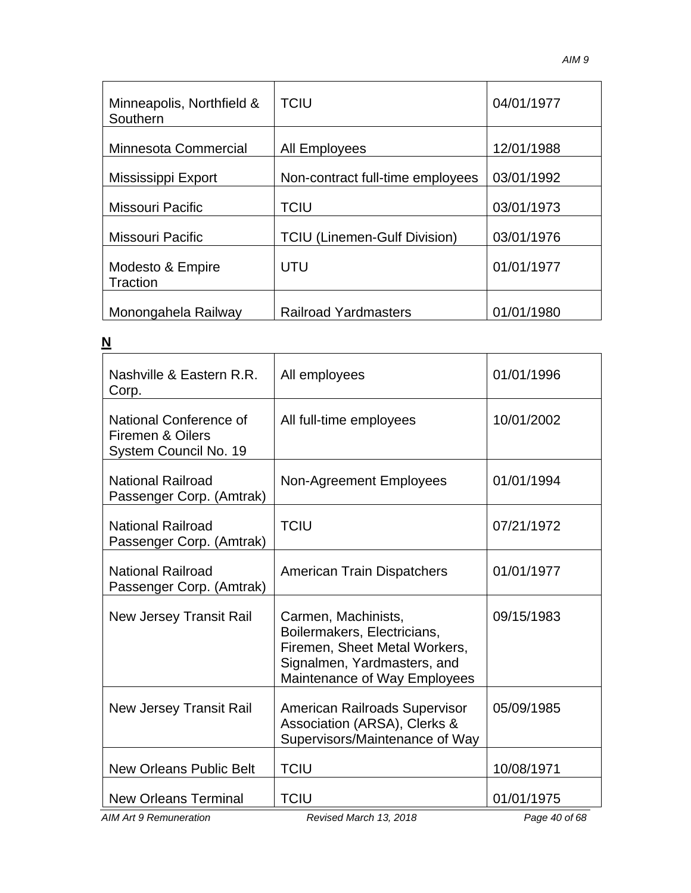| Minneapolis, Northfield &<br>Southern | <b>TCIU</b>                         | 04/01/1977 |
|---------------------------------------|-------------------------------------|------------|
| <b>Minnesota Commercial</b>           | All Employees                       | 12/01/1988 |
| Mississippi Export                    | Non-contract full-time employees    | 03/01/1992 |
| Missouri Pacific                      | <b>TCIU</b>                         | 03/01/1973 |
| Missouri Pacific                      | <b>TCIU (Linemen-Gulf Division)</b> | 03/01/1976 |
| Modesto & Empire<br>Traction          | UTU                                 | 01/01/1977 |
| Monongahela Railway                   | <b>Railroad Yardmasters</b>         | 01/01/1980 |

| <u>N</u>                                                            |                                                                                                                                                    |            |
|---------------------------------------------------------------------|----------------------------------------------------------------------------------------------------------------------------------------------------|------------|
| Nashville & Eastern R.R.<br>Corp.                                   | All employees                                                                                                                                      | 01/01/1996 |
| National Conference of<br>Firemen & Oilers<br>System Council No. 19 | All full-time employees                                                                                                                            | 10/01/2002 |
| <b>National Railroad</b><br>Passenger Corp. (Amtrak)                | Non-Agreement Employees                                                                                                                            | 01/01/1994 |
| <b>National Railroad</b><br>Passenger Corp. (Amtrak)                | <b>TCIU</b>                                                                                                                                        | 07/21/1972 |
| <b>National Railroad</b><br>Passenger Corp. (Amtrak)                | <b>American Train Dispatchers</b>                                                                                                                  | 01/01/1977 |
| <b>New Jersey Transit Rail</b>                                      | Carmen, Machinists,<br>Boilermakers, Electricians,<br>Firemen, Sheet Metal Workers,<br>Signalmen, Yardmasters, and<br>Maintenance of Way Employees | 09/15/1983 |
| New Jersey Transit Rail                                             | American Railroads Supervisor<br>Association (ARSA), Clerks &<br>Supervisors/Maintenance of Way                                                    | 05/09/1985 |
| <b>New Orleans Public Belt</b>                                      | <b>TCIU</b>                                                                                                                                        | 10/08/1971 |
| <b>New Orleans Terminal</b>                                         | <b>TCIU</b>                                                                                                                                        | 01/01/1975 |

**AIM Art 9 Remuneration**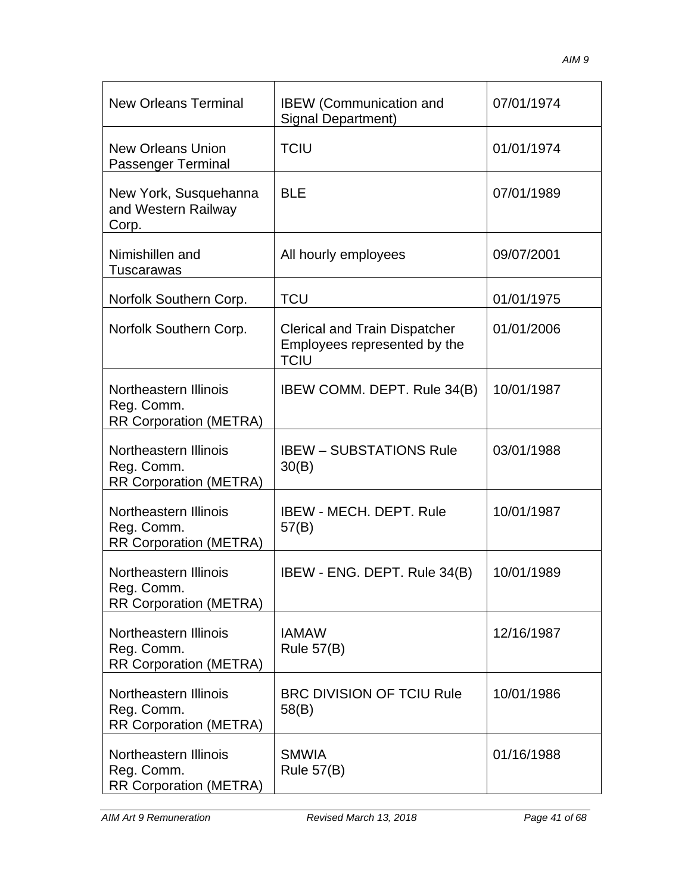| <b>New Orleans Terminal</b>                                          | <b>IBEW</b> (Communication and<br>Signal Department)                                | 07/01/1974 |
|----------------------------------------------------------------------|-------------------------------------------------------------------------------------|------------|
| <b>New Orleans Union</b><br><b>Passenger Terminal</b>                | <b>TCIU</b>                                                                         | 01/01/1974 |
| New York, Susquehanna<br>and Western Railway<br>Corp.                | <b>BLE</b>                                                                          | 07/01/1989 |
| Nimishillen and<br>Tuscarawas                                        | All hourly employees                                                                | 09/07/2001 |
| Norfolk Southern Corp.                                               | <b>TCU</b>                                                                          | 01/01/1975 |
| Norfolk Southern Corp.                                               | <b>Clerical and Train Dispatcher</b><br>Employees represented by the<br><b>TCIU</b> | 01/01/2006 |
| Northeastern Illinois<br>Reg. Comm.<br><b>RR Corporation (METRA)</b> | IBEW COMM. DEPT. Rule 34(B)                                                         | 10/01/1987 |
| Northeastern Illinois<br>Reg. Comm.<br><b>RR Corporation (METRA)</b> | <b>IBEW - SUBSTATIONS Rule</b><br>30(B)                                             | 03/01/1988 |
| Northeastern Illinois<br>Reg. Comm.<br><b>RR Corporation (METRA)</b> | <b>IBEW - MECH. DEPT. Rule</b><br>57(B)                                             | 10/01/1987 |
| Northeastern Illinois<br>Reg. Comm.<br><b>RR Corporation (METRA)</b> | IBEW - ENG. DEPT. Rule 34(B)                                                        | 10/01/1989 |
| Northeastern Illinois<br>Reg. Comm.<br><b>RR Corporation (METRA)</b> | <b>IAMAW</b><br><b>Rule 57(B)</b>                                                   | 12/16/1987 |
| Northeastern Illinois<br>Reg. Comm.<br><b>RR Corporation (METRA)</b> | <b>BRC DIVISION OF TCIU Rule</b><br>58(B)                                           | 10/01/1986 |
| Northeastern Illinois<br>Reg. Comm.<br><b>RR Corporation (METRA)</b> | <b>SMWIA</b><br><b>Rule 57(B)</b>                                                   | 01/16/1988 |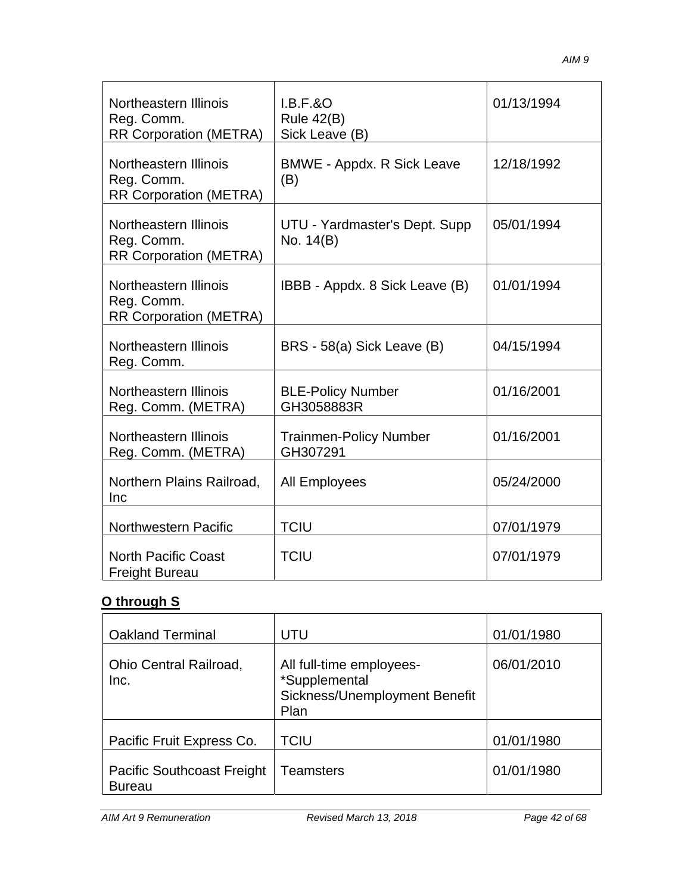| Northeastern Illinois<br>Reg. Comm.<br><b>RR Corporation (METRA)</b> | $I.B.F.$ & $O$<br><b>Rule 42(B)</b><br>Sick Leave (B) | 01/13/1994 |
|----------------------------------------------------------------------|-------------------------------------------------------|------------|
| Northeastern Illinois<br>Reg. Comm.<br><b>RR Corporation (METRA)</b> | <b>BMWE - Appdx. R Sick Leave</b><br>(B)              | 12/18/1992 |
| Northeastern Illinois<br>Reg. Comm.<br><b>RR Corporation (METRA)</b> | UTU - Yardmaster's Dept. Supp<br>No. 14(B)            | 05/01/1994 |
| Northeastern Illinois<br>Reg. Comm.<br><b>RR Corporation (METRA)</b> | IBBB - Appdx. 8 Sick Leave (B)                        | 01/01/1994 |
| Northeastern Illinois<br>Reg. Comm.                                  | BRS - 58(a) Sick Leave (B)                            | 04/15/1994 |
| Northeastern Illinois<br>Reg. Comm. (METRA)                          | <b>BLE-Policy Number</b><br>GH3058883R                | 01/16/2001 |
| Northeastern Illinois<br>Reg. Comm. (METRA)                          | <b>Trainmen-Policy Number</b><br>GH307291             | 01/16/2001 |
| Northern Plains Railroad,<br>Inc                                     | All Employees                                         | 05/24/2000 |
| <b>Northwestern Pacific</b>                                          | <b>TCIU</b>                                           | 07/01/1979 |
| <b>North Pacific Coast</b><br><b>Freight Bureau</b>                  | <b>TCIU</b>                                           | 07/01/1979 |

## **O through S**

| <b>Oakland Terminal</b>                            | UTU                                                                                | 01/01/1980 |
|----------------------------------------------------|------------------------------------------------------------------------------------|------------|
| <b>Ohio Central Railroad,</b><br>Inc.              | All full-time employees-<br>*Supplemental<br>Sickness/Unemployment Benefit<br>Plan | 06/01/2010 |
| Pacific Fruit Express Co.                          | TCIU                                                                               | 01/01/1980 |
| <b>Pacific Southcoast Freight</b><br><b>Bureau</b> | Teamsters                                                                          | 01/01/1980 |

**AIM Art 9 Remuneration**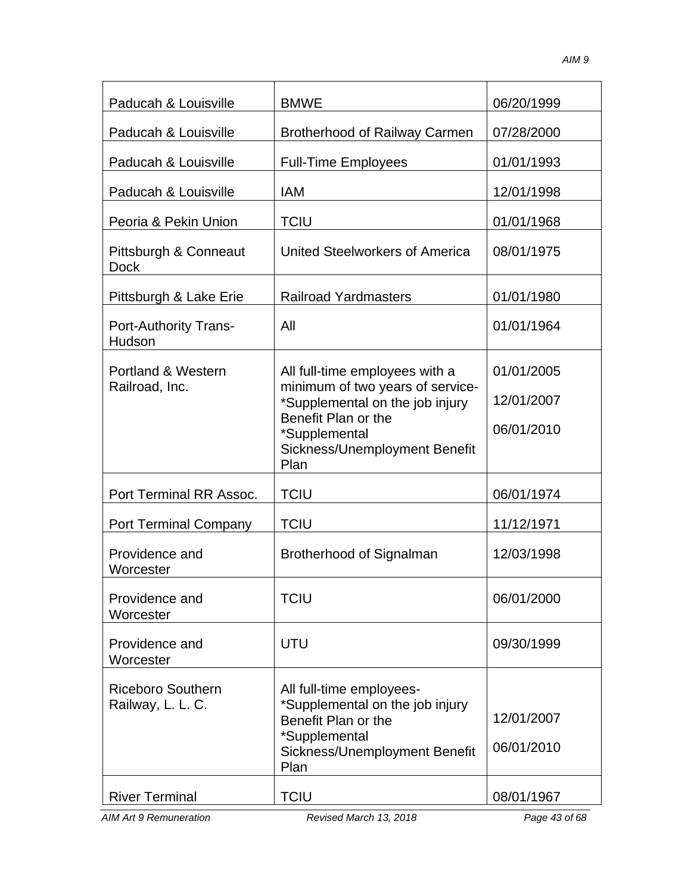| Paducah & Louisville                          | <b>BMWE</b>                                                                                                                                                                            | 06/20/1999                             |
|-----------------------------------------------|----------------------------------------------------------------------------------------------------------------------------------------------------------------------------------------|----------------------------------------|
| Paducah & Louisville                          | <b>Brotherhood of Railway Carmen</b>                                                                                                                                                   | 07/28/2000                             |
| Paducah & Louisville                          | <b>Full-Time Employees</b>                                                                                                                                                             | 01/01/1993                             |
| Paducah & Louisville                          | <b>IAM</b>                                                                                                                                                                             | 12/01/1998                             |
| Peoria & Pekin Union                          | <b>TCIU</b>                                                                                                                                                                            | 01/01/1968                             |
| Pittsburgh & Conneaut<br><b>Dock</b>          | United Steelworkers of America                                                                                                                                                         | 08/01/1975                             |
| Pittsburgh & Lake Erie                        | <b>Railroad Yardmasters</b>                                                                                                                                                            | 01/01/1980                             |
| <b>Port-Authority Trans-</b><br>Hudson        | All                                                                                                                                                                                    | 01/01/1964                             |
| Portland & Western<br>Railroad, Inc.          | All full-time employees with a<br>minimum of two years of service-<br>*Supplemental on the job injury<br>Benefit Plan or the<br>*Supplemental<br>Sickness/Unemployment Benefit<br>Plan | 01/01/2005<br>12/01/2007<br>06/01/2010 |
| Port Terminal RR Assoc.                       | <b>TCIU</b>                                                                                                                                                                            | 06/01/1974                             |
| <b>Port Terminal Company</b>                  | <b>TCIU</b>                                                                                                                                                                            | 11/12/1971                             |
| Providence and<br>Worcester                   | Brotherhood of Signalman                                                                                                                                                               | 12/03/1998                             |
| Providence and<br>Worcester                   | <b>TCIU</b>                                                                                                                                                                            | 06/01/2000                             |
| Providence and<br>Worcester                   | UTU                                                                                                                                                                                    | 09/30/1999                             |
| <b>Riceboro Southern</b><br>Railway, L. L. C. | All full-time employees-<br>*Supplemental on the job injury<br>Benefit Plan or the<br>*Supplemental<br>Sickness/Unemployment Benefit<br>Plan                                           | 12/01/2007<br>06/01/2010               |
| <b>River Terminal</b>                         | <b>TCIU</b>                                                                                                                                                                            | 08/01/1967                             |

**AIM Art 9 Remuneration**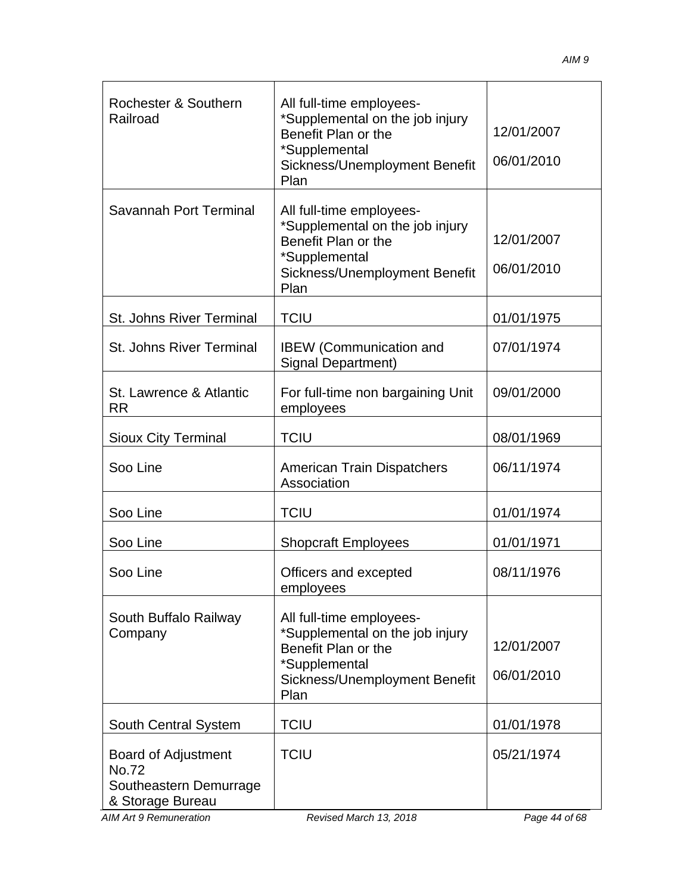| Rochester & Southern<br>Railroad                                                  | All full-time employees-<br>*Supplemental on the job injury<br>Benefit Plan or the<br>*Supplemental<br>Sickness/Unemployment Benefit<br>Plan | 12/01/2007<br>06/01/2010 |
|-----------------------------------------------------------------------------------|----------------------------------------------------------------------------------------------------------------------------------------------|--------------------------|
| Savannah Port Terminal                                                            | All full-time employees-<br>*Supplemental on the job injury<br>Benefit Plan or the<br>*Supplemental<br>Sickness/Unemployment Benefit<br>Plan | 12/01/2007<br>06/01/2010 |
| St. Johns River Terminal                                                          | <b>TCIU</b>                                                                                                                                  | 01/01/1975               |
| <b>St. Johns River Terminal</b>                                                   | <b>IBEW</b> (Communication and<br>Signal Department)                                                                                         | 07/01/1974               |
| St. Lawrence & Atlantic<br><b>RR</b>                                              | For full-time non bargaining Unit<br>employees                                                                                               | 09/01/2000               |
| <b>Sioux City Terminal</b>                                                        | <b>TCIU</b>                                                                                                                                  | 08/01/1969               |
| Soo Line                                                                          | <b>American Train Dispatchers</b><br>Association                                                                                             | 06/11/1974               |
| Soo Line                                                                          | <b>TCIU</b>                                                                                                                                  | 01/01/1974               |
| Soo Line                                                                          | <b>Shopcraft Employees</b>                                                                                                                   | 01/01/1971               |
| Soo Line                                                                          | Officers and excepted<br>employees                                                                                                           | 08/11/1976               |
| South Buffalo Railway<br>Company                                                  | All full-time employees-<br>*Supplemental on the job injury<br>Benefit Plan or the<br>*Supplemental<br>Sickness/Unemployment Benefit<br>Plan | 12/01/2007<br>06/01/2010 |
| South Central System                                                              | <b>TCIU</b>                                                                                                                                  | 01/01/1978               |
| <b>Board of Adjustment</b><br>No.72<br>Southeastern Demurrage<br>& Storage Bureau | <b>TCIU</b>                                                                                                                                  | 05/21/1974               |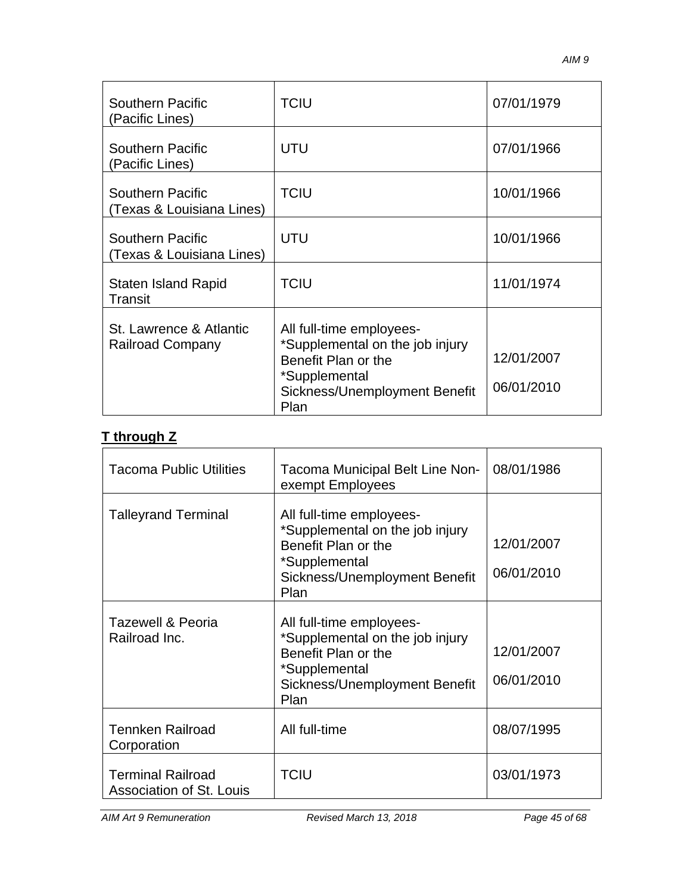| <b>Southern Pacific</b><br>(Pacific Lines)           | <b>TCIU</b>                                                                                                                                  | 07/01/1979               |
|------------------------------------------------------|----------------------------------------------------------------------------------------------------------------------------------------------|--------------------------|
| Southern Pacific<br>(Pacific Lines)                  | UTU                                                                                                                                          | 07/01/1966               |
| <b>Southern Pacific</b><br>(Texas & Louisiana Lines) | <b>TCIU</b>                                                                                                                                  | 10/01/1966               |
| Southern Pacific<br>(Texas & Louisiana Lines)        | UTU                                                                                                                                          | 10/01/1966               |
| Staten Island Rapid<br>Transit                       | TCIU                                                                                                                                         | 11/01/1974               |
| St. Lawrence & Atlantic<br><b>Railroad Company</b>   | All full-time employees-<br>*Supplemental on the job injury<br>Benefit Plan or the<br>*Supplemental<br>Sickness/Unemployment Benefit<br>Plan | 12/01/2007<br>06/01/2010 |

# **T through Z**

| <b>Tacoma Public Utilities</b>                       | Tacoma Municipal Belt Line Non-<br>exempt Employees                                                                                          | 08/01/1986               |
|------------------------------------------------------|----------------------------------------------------------------------------------------------------------------------------------------------|--------------------------|
| <b>Talleyrand Terminal</b>                           | All full-time employees-<br>*Supplemental on the job injury<br>Benefit Plan or the<br>*Supplemental<br>Sickness/Unemployment Benefit<br>Plan | 12/01/2007<br>06/01/2010 |
| <b>Tazewell &amp; Peoria</b><br>Railroad Inc.        | All full-time employees-<br>*Supplemental on the job injury<br>Benefit Plan or the<br>*Supplemental<br>Sickness/Unemployment Benefit<br>Plan | 12/01/2007<br>06/01/2010 |
| <b>Tennken Railroad</b><br>Corporation               | All full-time                                                                                                                                | 08/07/1995               |
| <b>Terminal Railroad</b><br>Association of St. Louis | <b>TCIU</b>                                                                                                                                  | 03/01/1973               |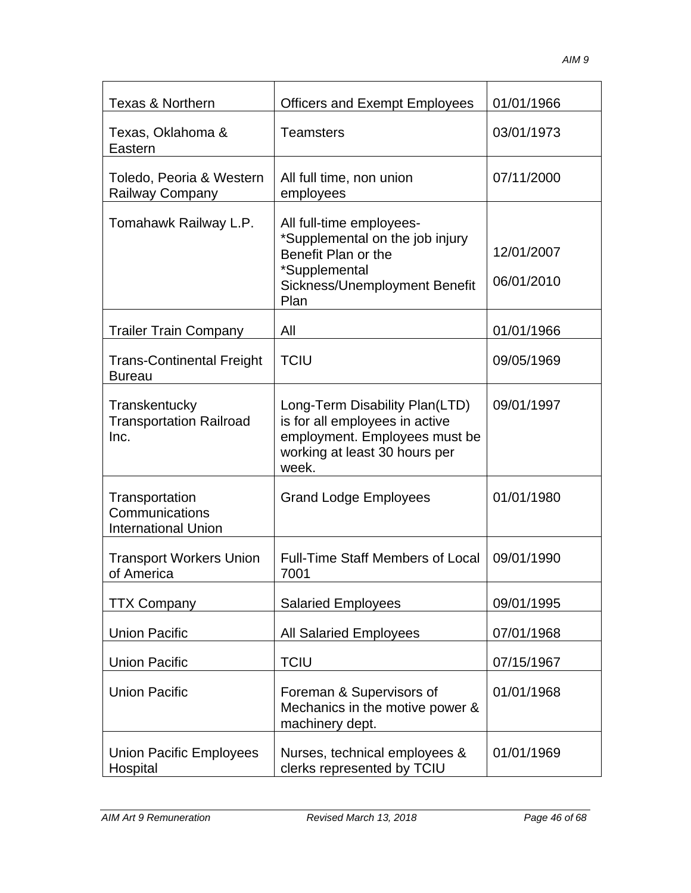| <b>Texas &amp; Northern</b>                                    | <b>Officers and Exempt Employees</b>                                                                                                         | 01/01/1966               |
|----------------------------------------------------------------|----------------------------------------------------------------------------------------------------------------------------------------------|--------------------------|
| Texas, Oklahoma &<br>Eastern                                   | <b>Teamsters</b>                                                                                                                             | 03/01/1973               |
| Toledo, Peoria & Western<br>Railway Company                    | All full time, non union<br>employees                                                                                                        | 07/11/2000               |
| Tomahawk Railway L.P.                                          | All full-time employees-<br>*Supplemental on the job injury<br>Benefit Plan or the<br>*Supplemental<br>Sickness/Unemployment Benefit<br>Plan | 12/01/2007<br>06/01/2010 |
| <b>Trailer Train Company</b>                                   | All                                                                                                                                          | 01/01/1966               |
| <b>Trans-Continental Freight</b><br><b>Bureau</b>              | <b>TCIU</b>                                                                                                                                  | 09/05/1969               |
| Transkentucky<br><b>Transportation Railroad</b><br>Inc.        | Long-Term Disability Plan(LTD)<br>is for all employees in active<br>employment. Employees must be<br>working at least 30 hours per<br>week.  | 09/01/1997               |
| Transportation<br>Communications<br><b>International Union</b> | <b>Grand Lodge Employees</b>                                                                                                                 | 01/01/1980               |
| <b>Transport Workers Union</b><br>of America                   | <b>Full-Time Staff Members of Local</b><br>7001                                                                                              | 09/01/1990               |
| <b>TTX Company</b>                                             | <b>Salaried Employees</b>                                                                                                                    | 09/01/1995               |
| <b>Union Pacific</b>                                           | <b>All Salaried Employees</b>                                                                                                                | 07/01/1968               |
| <b>Union Pacific</b>                                           | <b>TCIU</b>                                                                                                                                  | 07/15/1967               |
| <b>Union Pacific</b>                                           | Foreman & Supervisors of<br>Mechanics in the motive power &<br>machinery dept.                                                               | 01/01/1968               |
| <b>Union Pacific Employees</b><br>Hospital                     | Nurses, technical employees &<br>clerks represented by TCIU                                                                                  | 01/01/1969               |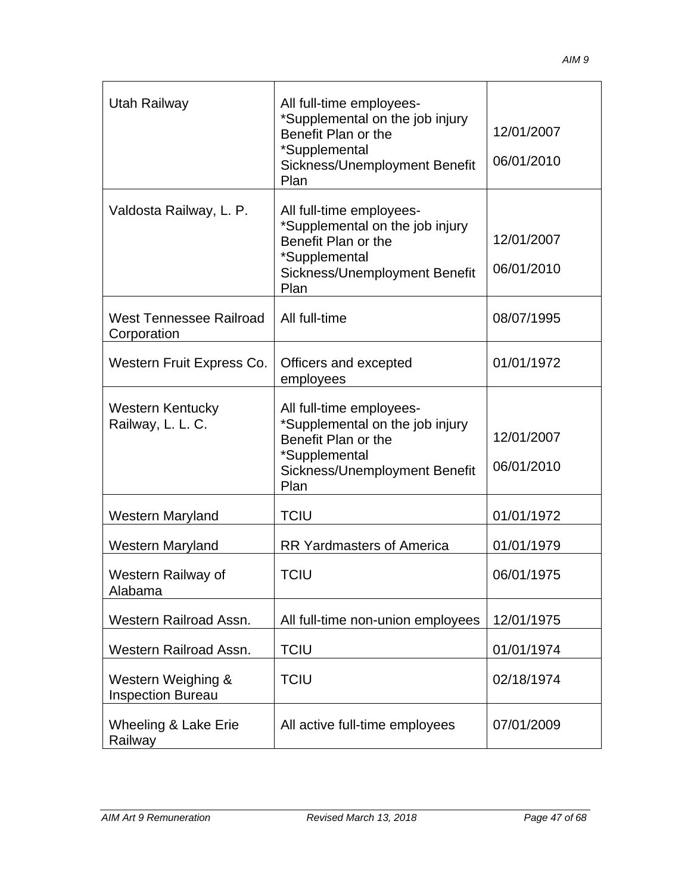| Utah Railway                                   | All full-time employees-<br>*Supplemental on the job injury<br>Benefit Plan or the<br>*Supplemental<br>Sickness/Unemployment Benefit<br>Plan | 12/01/2007<br>06/01/2010 |
|------------------------------------------------|----------------------------------------------------------------------------------------------------------------------------------------------|--------------------------|
| Valdosta Railway, L. P.                        | All full-time employees-<br>*Supplemental on the job injury<br>Benefit Plan or the<br>*Supplemental<br>Sickness/Unemployment Benefit<br>Plan | 12/01/2007<br>06/01/2010 |
| West Tennessee Railroad<br>Corporation         | All full-time                                                                                                                                | 08/07/1995               |
| Western Fruit Express Co.                      | Officers and excepted<br>employees                                                                                                           | 01/01/1972               |
| <b>Western Kentucky</b><br>Railway, L. L. C.   | All full-time employees-<br>*Supplemental on the job injury<br>Benefit Plan or the<br>*Supplemental<br>Sickness/Unemployment Benefit<br>Plan | 12/01/2007<br>06/01/2010 |
| <b>Western Maryland</b>                        | <b>TCIU</b>                                                                                                                                  | 01/01/1972               |
| Western Maryland                               | <b>RR Yardmasters of America</b>                                                                                                             | 01/01/1979               |
| Western Railway of<br>Alabama                  | <b>TCIU</b>                                                                                                                                  | 06/01/1975               |
| Western Railroad Assn.                         | All full-time non-union employees                                                                                                            | 12/01/1975               |
| Western Railroad Assn.                         | <b>TCIU</b>                                                                                                                                  | 01/01/1974               |
| Western Weighing &<br><b>Inspection Bureau</b> | <b>TCIU</b>                                                                                                                                  | 02/18/1974               |
| Wheeling & Lake Erie<br>Railway                | All active full-time employees                                                                                                               | 07/01/2009               |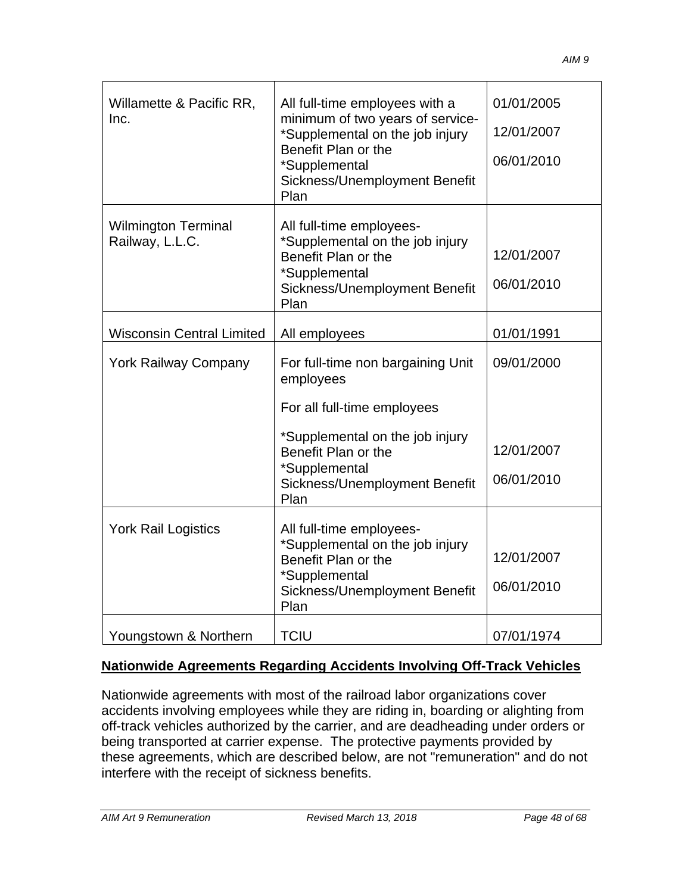| Willamette & Pacific RR,<br>Inc.              | All full-time employees with a<br>minimum of two years of service-<br>*Supplemental on the job injury<br>Benefit Plan or the<br>*Supplemental<br>Sickness/Unemployment Benefit<br>Plan | 01/01/2005<br>12/01/2007<br>06/01/2010 |
|-----------------------------------------------|----------------------------------------------------------------------------------------------------------------------------------------------------------------------------------------|----------------------------------------|
| <b>Wilmington Terminal</b><br>Railway, L.L.C. | All full-time employees-<br>*Supplemental on the job injury<br>Benefit Plan or the<br>*Supplemental<br>Sickness/Unemployment Benefit<br>Plan                                           | 12/01/2007<br>06/01/2010               |
| <b>Wisconsin Central Limited</b>              | All employees                                                                                                                                                                          | 01/01/1991                             |
| <b>York Railway Company</b>                   | For full-time non bargaining Unit<br>employees<br>For all full-time employees                                                                                                          | 09/01/2000                             |
|                                               | *Supplemental on the job injury<br>Benefit Plan or the<br>*Supplemental<br>Sickness/Unemployment Benefit<br>Plan                                                                       | 12/01/2007<br>06/01/2010               |
| <b>York Rail Logistics</b>                    | All full-time employees-<br>*Supplemental on the job injury<br>Benefit Plan or the<br>*Supplemental<br>Sickness/Unemployment Benefit<br>Plan                                           | 12/01/2007<br>06/01/2010               |
| Youngstown & Northern                         | <b>TCIU</b>                                                                                                                                                                            | 07/01/1974                             |

#### **Nationwide Agreements Regarding Accidents Involving Off-Track Vehicles**

Nationwide agreements with most of the railroad labor organizations cover accidents involving employees while they are riding in, boarding or alighting from off-track vehicles authorized by the carrier, and are deadheading under orders or being transported at carrier expense. The protective payments provided by these agreements, which are described below, are not "remuneration" and do not interfere with the receipt of sickness benefits.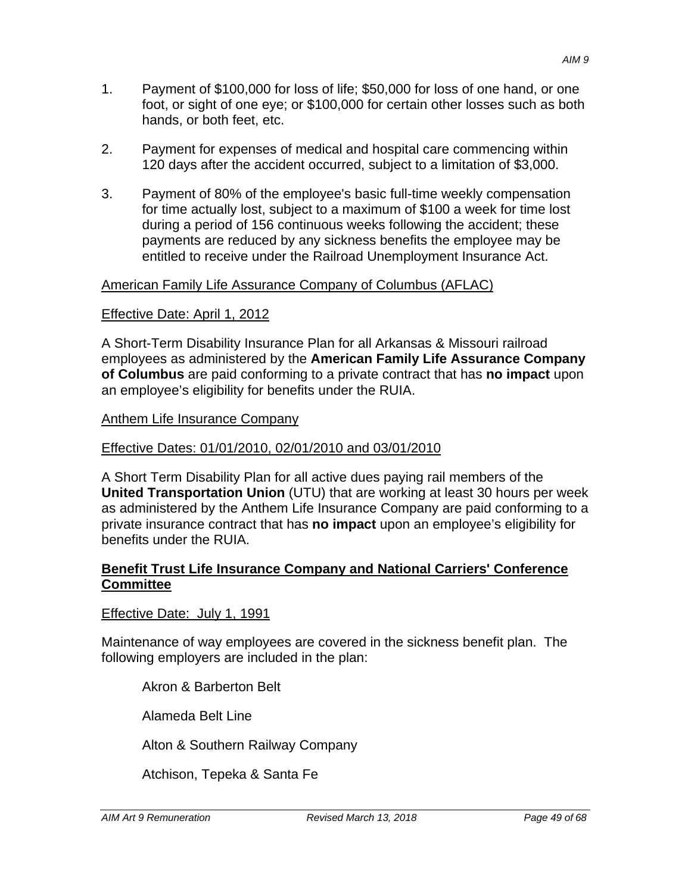- 2. Payment for expenses of medical and hospital care commencing within 120 days after the accident occurred, subject to a limitation of \$3,000.
- 3. Payment of 80% of the employee's basic full-time weekly compensation for time actually lost, subject to a maximum of \$100 a week for time lost during a period of 156 continuous weeks following the accident; these payments are reduced by any sickness benefits the employee may be entitled to receive under the Railroad Unemployment Insurance Act.

#### American Family Life Assurance Company of Columbus (AFLAC)

#### Effective Date: April 1, 2012

A Short-Term Disability Insurance Plan for all Arkansas & Missouri railroad employees as administered by the **American Family Life Assurance Company of Columbus** are paid conforming to a private contract that has **no impact** upon an employee's eligibility for benefits under the RUIA.

#### Anthem Life Insurance Company

#### Effective Dates: 01/01/2010, 02/01/2010 and 03/01/2010

A Short Term Disability Plan for all active dues paying rail members of the **United Transportation Union** (UTU) that are working at least 30 hours per week as administered by the Anthem Life Insurance Company are paid conforming to a private insurance contract that has **no impact** upon an employee's eligibility for benefits under the RUIA.

#### **Benefit Trust Life Insurance Company and National Carriers' Conference Committee**

Effective Date: July 1, 1991

Maintenance of way employees are covered in the sickness benefit plan. The following employers are included in the plan:

Akron & Barberton Belt

Alameda Belt Line

Alton & Southern Railway Company

Atchison, Tepeka & Santa Fe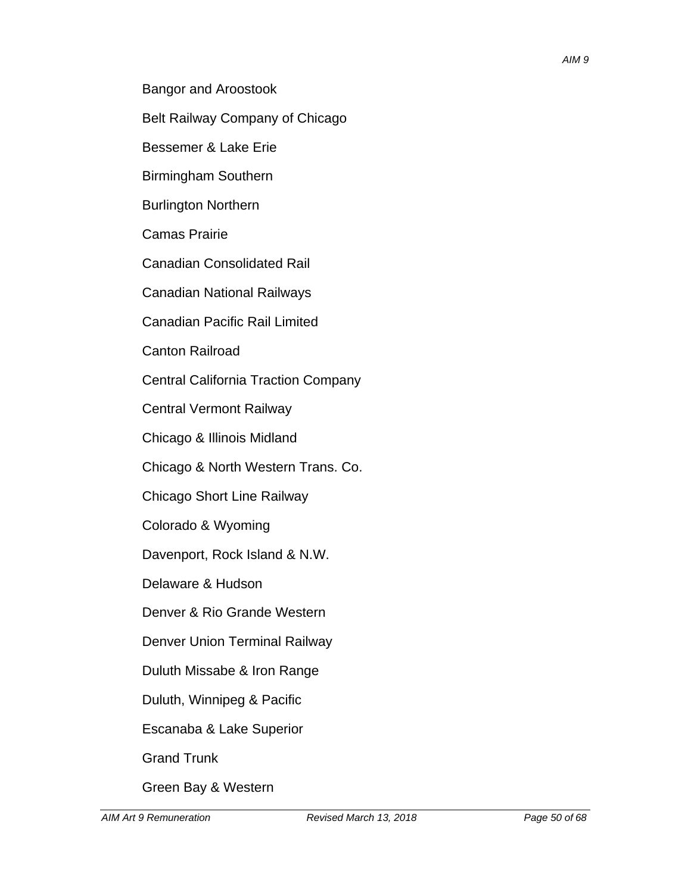- Belt Railway Company of Chicago
- Bessemer & Lake Erie
- Birmingham Southern
- Burlington Northern
- Camas Prairie
- Canadian Consolidated Rail
- Canadian National Railways
- Canadian Pacific Rail Limited
- Canton Railroad
- Central California Traction Company
- Central Vermont Railway
- Chicago & Illinois Midland
- Chicago & North Western Trans. Co.
- Chicago Short Line Railway
- Colorado & Wyoming
- Davenport, Rock Island & N.W.
- Delaware & Hudson
- Denver & Rio Grande Western
- Denver Union Terminal Railway
- Duluth Missabe & Iron Range
- Duluth, Winnipeg & Pacific
- Escanaba & Lake Superior
- Grand Trunk
- Green Bay & Western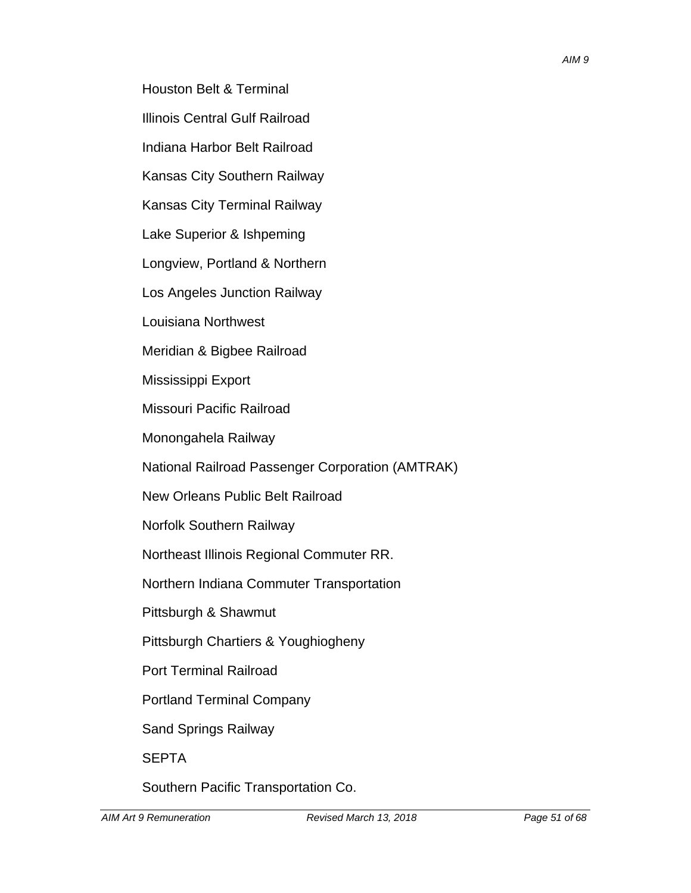Houston Belt & Terminal

Illinois Central Gulf Railroad

Indiana Harbor Belt Railroad

Kansas City Southern Railway

Kansas City Terminal Railway

Lake Superior & Ishpeming

Longview, Portland & Northern

Los Angeles Junction Railway

Louisiana Northwest

Meridian & Bigbee Railroad

Mississippi Export

Missouri Pacific Railroad

Monongahela Railway

National Railroad Passenger Corporation (AMTRAK)

New Orleans Public Belt Railroad

Norfolk Southern Railway

Northeast Illinois Regional Commuter RR.

Northern Indiana Commuter Transportation

Pittsburgh & Shawmut

Pittsburgh Chartiers & Youghiogheny

Port Terminal Railroad

Portland Terminal Company

Sand Springs Railway

**SEPTA** 

Southern Pacific Transportation Co.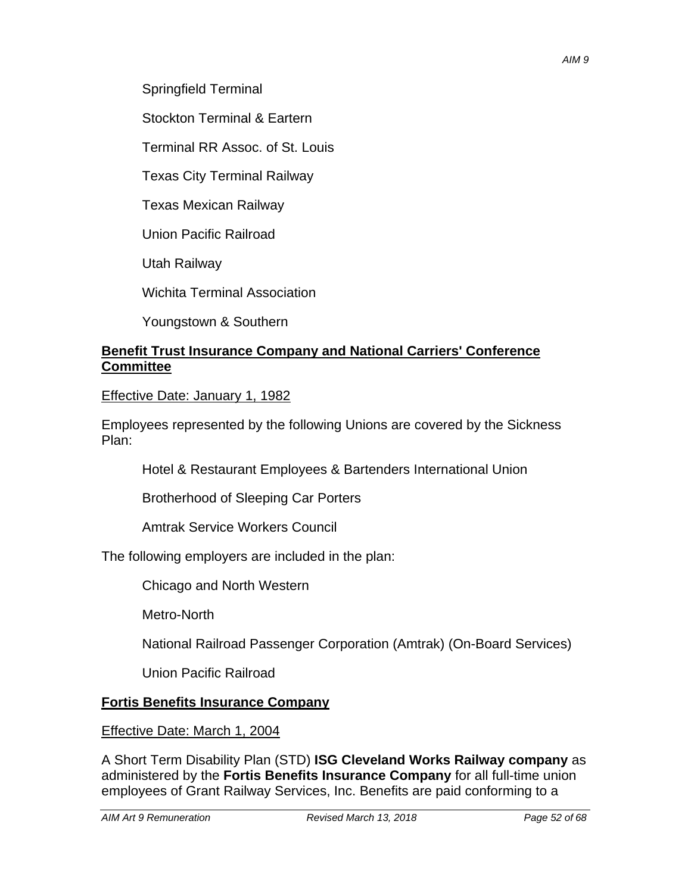Springfield Terminal

Stockton Terminal & Eartern

Terminal RR Assoc. of St. Louis

Texas City Terminal Railway

Texas Mexican Railway

Union Pacific Railroad

Utah Railway

Wichita Terminal Association

Youngstown & Southern

## **Benefit Trust Insurance Company and National Carriers' Conference Committee**

Effective Date: January 1, 1982

Employees represented by the following Unions are covered by the Sickness Plan:

Hotel & Restaurant Employees & Bartenders International Union

Brotherhood of Sleeping Car Porters

Amtrak Service Workers Council

The following employers are included in the plan:

Chicago and North Western

Metro-North

National Railroad Passenger Corporation (Amtrak) (On-Board Services)

Union Pacific Railroad

## **Fortis Benefits Insurance Company**

Effective Date: March 1, 2004

A Short Term Disability Plan (STD) **ISG Cleveland Works Railway company** as administered by the **Fortis Benefits Insurance Company** for all full-time union employees of Grant Railway Services, Inc. Benefits are paid conforming to a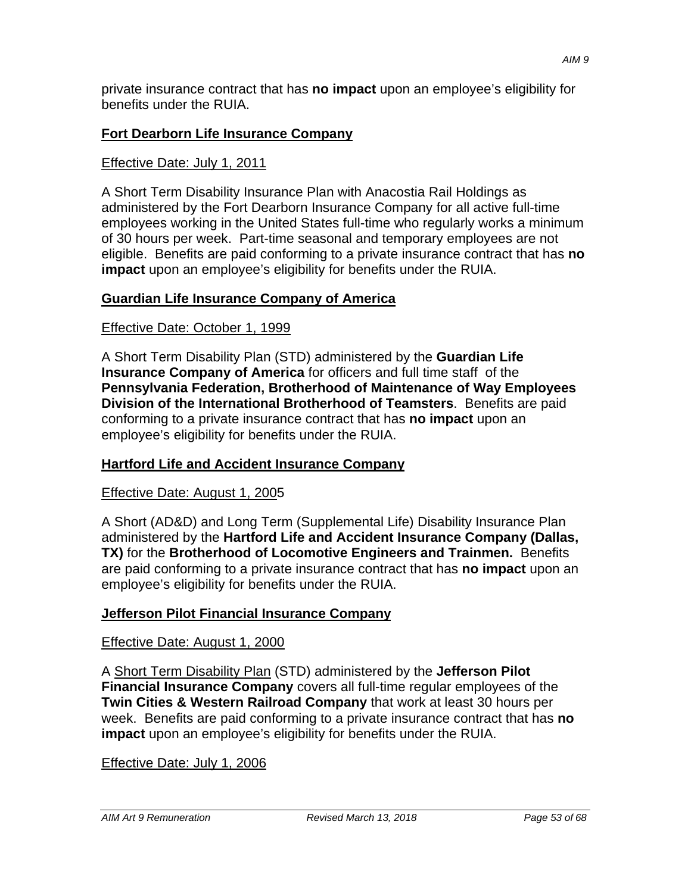private insurance contract that has **no impact** upon an employee's eligibility for benefits under the RUIA.

#### **Fort Dearborn Life Insurance Company**

#### Effective Date: July 1, 2011

A Short Term Disability Insurance Plan with Anacostia Rail Holdings as administered by the Fort Dearborn Insurance Company for all active full-time employees working in the United States full-time who regularly works a minimum of 30 hours per week. Part-time seasonal and temporary employees are not eligible. Benefits are paid conforming to a private insurance contract that has **no impact** upon an employee's eligibility for benefits under the RUIA.

#### **Guardian Life Insurance Company of America**

#### Effective Date: October 1, 1999

A Short Term Disability Plan (STD) administered by the **Guardian Life Insurance Company of America** for officers and full time staff of the **Pennsylvania Federation, Brotherhood of Maintenance of Way Employees Division of the International Brotherhood of Teamsters**. Benefits are paid conforming to a private insurance contract that has **no impact** upon an employee's eligibility for benefits under the RUIA.

#### **Hartford Life and Accident Insurance Company**

#### Effective Date: August 1, 2005

A Short (AD&D) and Long Term (Supplemental Life) Disability Insurance Plan administered by the **Hartford Life and Accident Insurance Company (Dallas, TX)** for the **Brotherhood of Locomotive Engineers and Trainmen.** Benefits are paid conforming to a private insurance contract that has **no impact** upon an employee's eligibility for benefits under the RUIA.

#### **Jefferson Pilot Financial Insurance Company**

#### Effective Date: August 1, 2000

A Short Term Disability Plan (STD) administered by the **Jefferson Pilot Financial Insurance Company** covers all full-time regular employees of the **Twin Cities & Western Railroad Company** that work at least 30 hours per week. Benefits are paid conforming to a private insurance contract that has **no impact** upon an employee's eligibility for benefits under the RUIA.

#### Effective Date: July 1, 2006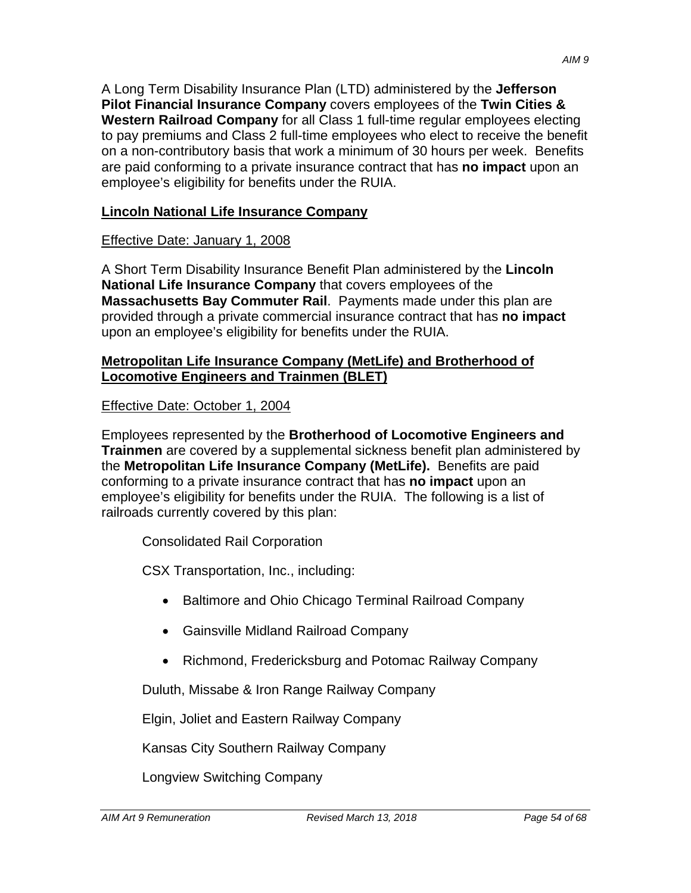A Long Term Disability Insurance Plan (LTD) administered by the **Jefferson Pilot Financial Insurance Company** covers employees of the **Twin Cities & Western Railroad Company** for all Class 1 full-time regular employees electing to pay premiums and Class 2 full-time employees who elect to receive the benefit on a non-contributory basis that work a minimum of 30 hours per week. Benefits are paid conforming to a private insurance contract that has **no impact** upon an employee's eligibility for benefits under the RUIA.

## **Lincoln National Life Insurance Company**

## Effective Date: January 1, 2008

A Short Term Disability Insurance Benefit Plan administered by the **Lincoln National Life Insurance Company** that covers employees of the **Massachusetts Bay Commuter Rail**. Payments made under this plan are provided through a private commercial insurance contract that has **no impact**  upon an employee's eligibility for benefits under the RUIA.

#### **Metropolitan Life Insurance Company (MetLife) and Brotherhood of Locomotive Engineers and Trainmen (BLET)**

## Effective Date: October 1, 2004

Employees represented by the **Brotherhood of Locomotive Engineers and Trainmen** are covered by a supplemental sickness benefit plan administered by the **Metropolitan Life Insurance Company (MetLife).** Benefits are paid conforming to a private insurance contract that has **no impact** upon an employee's eligibility for benefits under the RUIA. The following is a list of railroads currently covered by this plan:

Consolidated Rail Corporation

CSX Transportation, Inc., including:

- Baltimore and Ohio Chicago Terminal Railroad Company
- Gainsville Midland Railroad Company
- Richmond, Fredericksburg and Potomac Railway Company

Duluth, Missabe & Iron Range Railway Company

Elgin, Joliet and Eastern Railway Company

Kansas City Southern Railway Company

Longview Switching Company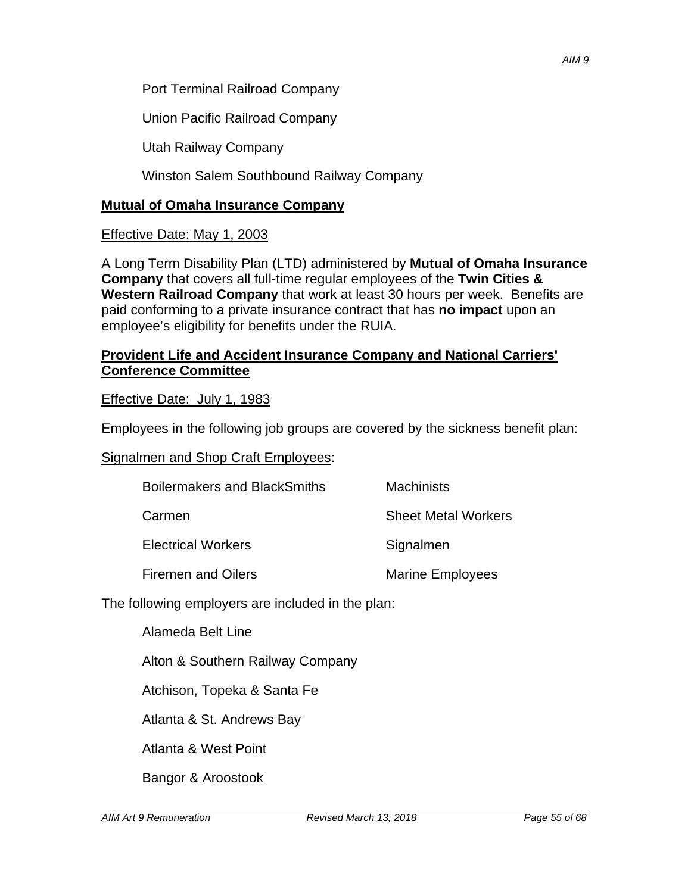Port Terminal Railroad Company

Union Pacific Railroad Company

Utah Railway Company

Winston Salem Southbound Railway Company

#### **Mutual of Omaha Insurance Company**

#### Effective Date: May 1, 2003

A Long Term Disability Plan (LTD) administered by **Mutual of Omaha Insurance Company** that covers all full-time regular employees of the **Twin Cities & Western Railroad Company** that work at least 30 hours per week. Benefits are paid conforming to a private insurance contract that has **no impact** upon an employee's eligibility for benefits under the RUIA.

#### **Provident Life and Accident Insurance Company and National Carriers' Conference Committee**

Effective Date: July 1, 1983

Employees in the following job groups are covered by the sickness benefit plan:

#### Signalmen and Shop Craft Employees:

| Boilermakers and BlackSmiths | <b>Machinists</b>          |
|------------------------------|----------------------------|
| Carmen                       | <b>Sheet Metal Workers</b> |
| <b>Electrical Workers</b>    | Signalmen                  |
| <b>Firemen and Oilers</b>    | <b>Marine Employees</b>    |
|                              |                            |

The following employers are included in the plan:

Alameda Belt Line

Alton & Southern Railway Company

Atchison, Topeka & Santa Fe

Atlanta & St. Andrews Bay

Atlanta & West Point

Bangor & Aroostook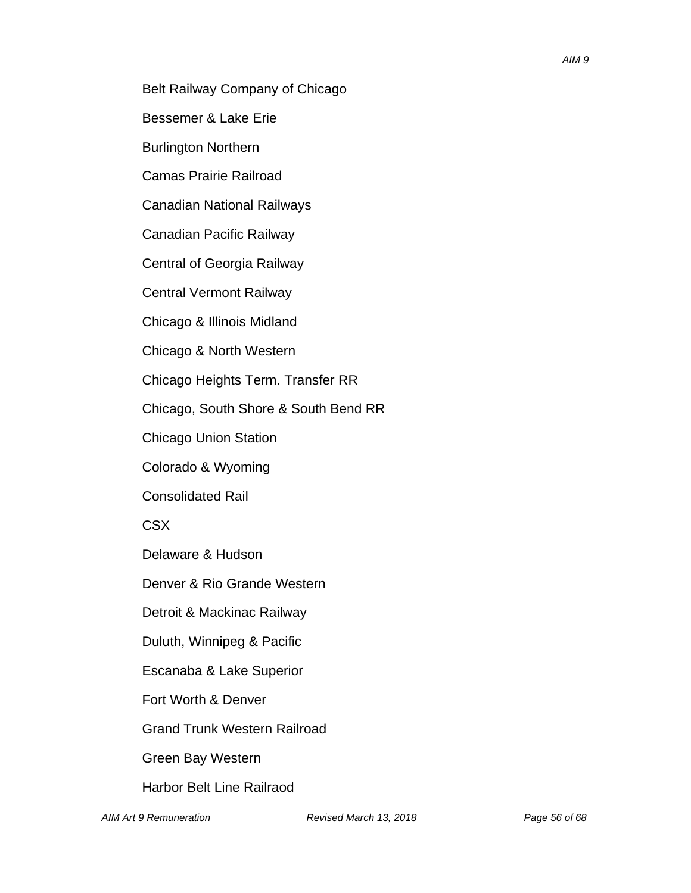Bessemer & Lake Erie

Burlington Northern

Camas Prairie Railroad

Canadian National Railways

Canadian Pacific Railway

Central of Georgia Railway

Central Vermont Railway

Chicago & Illinois Midland

Chicago & North Western

Chicago Heights Term. Transfer RR

Chicago, South Shore & South Bend RR

Chicago Union Station

Colorado & Wyoming

Consolidated Rail

CSX

Delaware & Hudson

Denver & Rio Grande Western

Detroit & Mackinac Railway

Duluth, Winnipeg & Pacific

Escanaba & Lake Superior

Fort Worth & Denver

Grand Trunk Western Railroad

Green Bay Western

Harbor Belt Line Railraod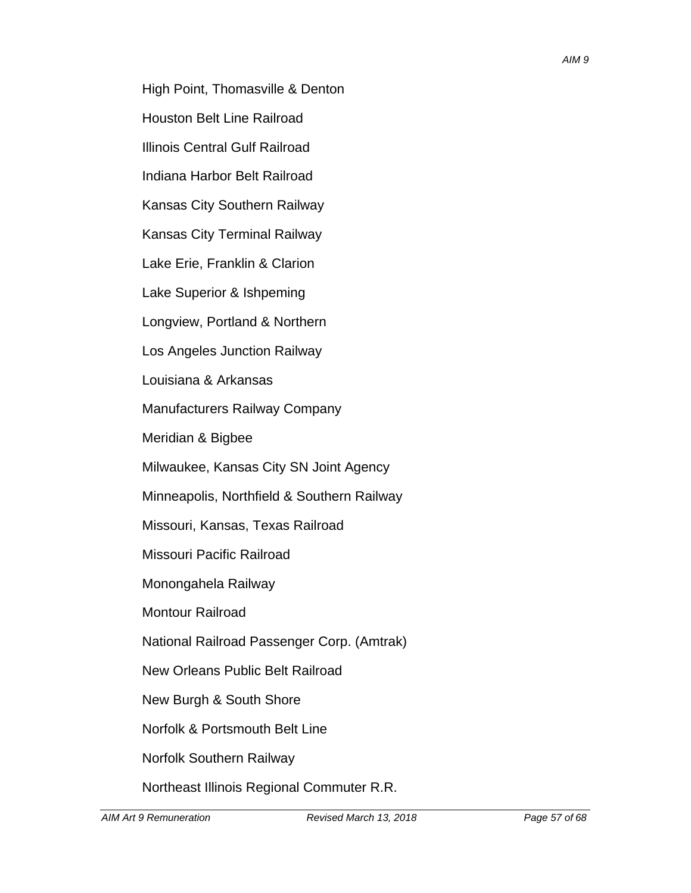Houston Belt Line Railroad

Illinois Central Gulf Railroad

Indiana Harbor Belt Railroad

Kansas City Southern Railway

Kansas City Terminal Railway

Lake Erie, Franklin & Clarion

Lake Superior & Ishpeming

Longview, Portland & Northern

Los Angeles Junction Railway

Louisiana & Arkansas

Manufacturers Railway Company

Meridian & Bigbee

Milwaukee, Kansas City SN Joint Agency

Minneapolis, Northfield & Southern Railway

Missouri, Kansas, Texas Railroad

Missouri Pacific Railroad

Monongahela Railway

Montour Railroad

National Railroad Passenger Corp. (Amtrak)

New Orleans Public Belt Railroad

New Burgh & South Shore

Norfolk & Portsmouth Belt Line

Norfolk Southern Railway

Northeast Illinois Regional Commuter R.R.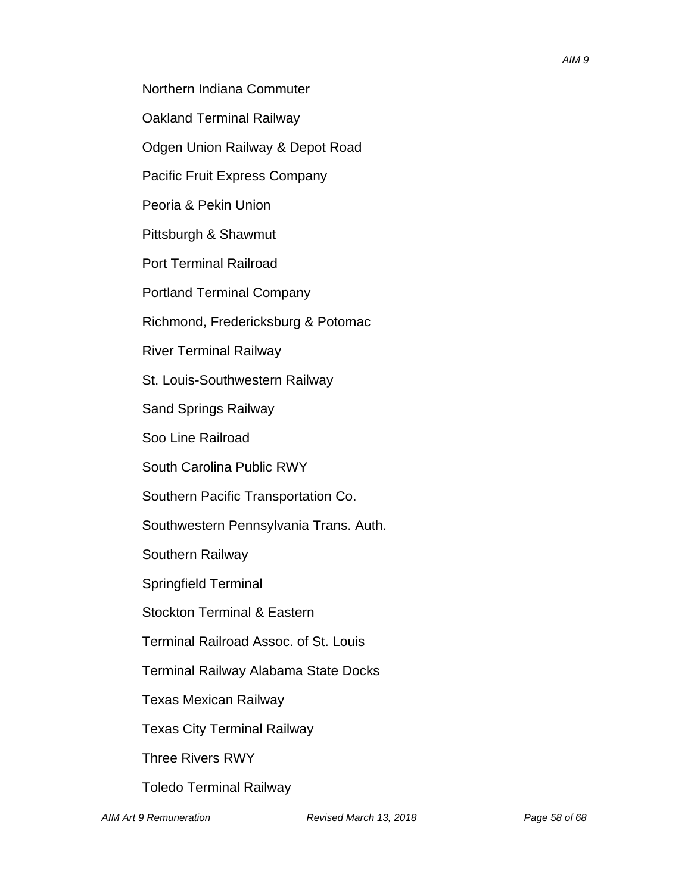Northern Indiana Commuter

Oakland Terminal Railway

Odgen Union Railway & Depot Road

Pacific Fruit Express Company

Peoria & Pekin Union

Pittsburgh & Shawmut

Port Terminal Railroad

Portland Terminal Company

Richmond, Fredericksburg & Potomac

River Terminal Railway

St. Louis-Southwestern Railway

Sand Springs Railway

Soo Line Railroad

South Carolina Public RWY

Southern Pacific Transportation Co.

Southwestern Pennsylvania Trans. Auth.

Southern Railway

Springfield Terminal

Stockton Terminal & Eastern

Terminal Railroad Assoc. of St. Louis

Terminal Railway Alabama State Docks

Texas Mexican Railway

Texas City Terminal Railway

Three Rivers RWY

Toledo Terminal Railway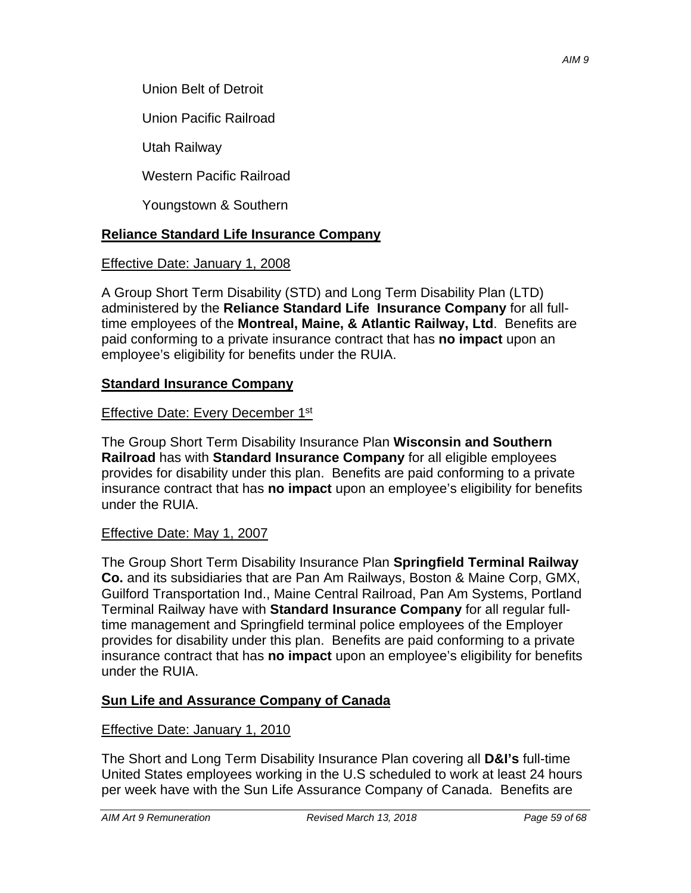Union Pacific Railroad

Utah Railway

Western Pacific Railroad

Youngstown & Southern

# **Reliance Standard Life Insurance Company**

## Effective Date: January 1, 2008

A Group Short Term Disability (STD) and Long Term Disability Plan (LTD) administered by the **Reliance Standard Life Insurance Company** for all fulltime employees of the **Montreal, Maine, & Atlantic Railway, Ltd**. Benefits are paid conforming to a private insurance contract that has **no impact** upon an employee's eligibility for benefits under the RUIA.

## **Standard Insurance Company**

## Effective Date: Every December 1st

The Group Short Term Disability Insurance Plan **Wisconsin and Southern Railroad** has with **Standard Insurance Company** for all eligible employees provides for disability under this plan. Benefits are paid conforming to a private insurance contract that has **no impact** upon an employee's eligibility for benefits under the RUIA.

## Effective Date: May 1, 2007

The Group Short Term Disability Insurance Plan **Springfield Terminal Railway Co.** and its subsidiaries that are Pan Am Railways, Boston & Maine Corp, GMX, Guilford Transportation Ind., Maine Central Railroad, Pan Am Systems, Portland Terminal Railway have with **Standard Insurance Company** for all regular fulltime management and Springfield terminal police employees of the Employer provides for disability under this plan. Benefits are paid conforming to a private insurance contract that has **no impact** upon an employee's eligibility for benefits under the RUIA.

# **Sun Life and Assurance Company of Canada**

## Effective Date: January 1, 2010

The Short and Long Term Disability Insurance Plan covering all **D&I's** full-time United States employees working in the U.S scheduled to work at least 24 hours per week have with the Sun Life Assurance Company of Canada. Benefits are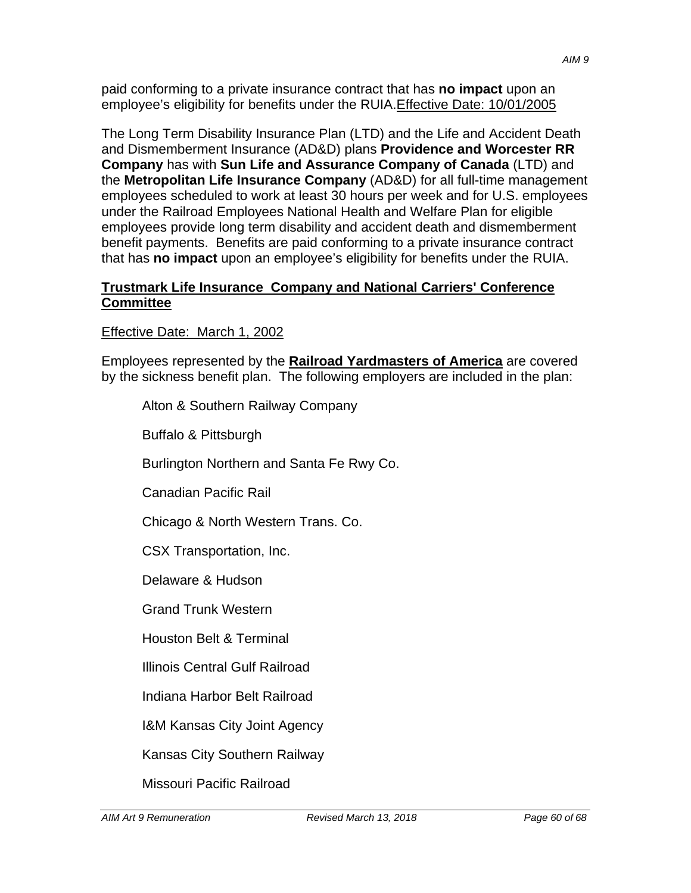paid conforming to a private insurance contract that has **no impact** upon an employee's eligibility for benefits under the RUIA.Effective Date: 10/01/2005

The Long Term Disability Insurance Plan (LTD) and the Life and Accident Death and Dismemberment Insurance (AD&D) plans **Providence and Worcester RR Company** has with **Sun Life and Assurance Company of Canada** (LTD) and the **Metropolitan Life Insurance Company** (AD&D) for all full-time management employees scheduled to work at least 30 hours per week and for U.S. employees under the Railroad Employees National Health and Welfare Plan for eligible employees provide long term disability and accident death and dismemberment benefit payments. Benefits are paid conforming to a private insurance contract that has **no impact** upon an employee's eligibility for benefits under the RUIA.

#### **Trustmark Life Insurance Company and National Carriers' Conference Committee**

#### Effective Date: March 1, 2002

Employees represented by the **Railroad Yardmasters of America** are covered by the sickness benefit plan. The following employers are included in the plan:

Alton & Southern Railway Company

Buffalo & Pittsburgh

Burlington Northern and Santa Fe Rwy Co.

Canadian Pacific Rail

Chicago & North Western Trans. Co.

CSX Transportation, Inc.

Delaware & Hudson

Grand Trunk Western

Houston Belt & Terminal

Illinois Central Gulf Railroad

Indiana Harbor Belt Railroad

I&M Kansas City Joint Agency

Kansas City Southern Railway

Missouri Pacific Railroad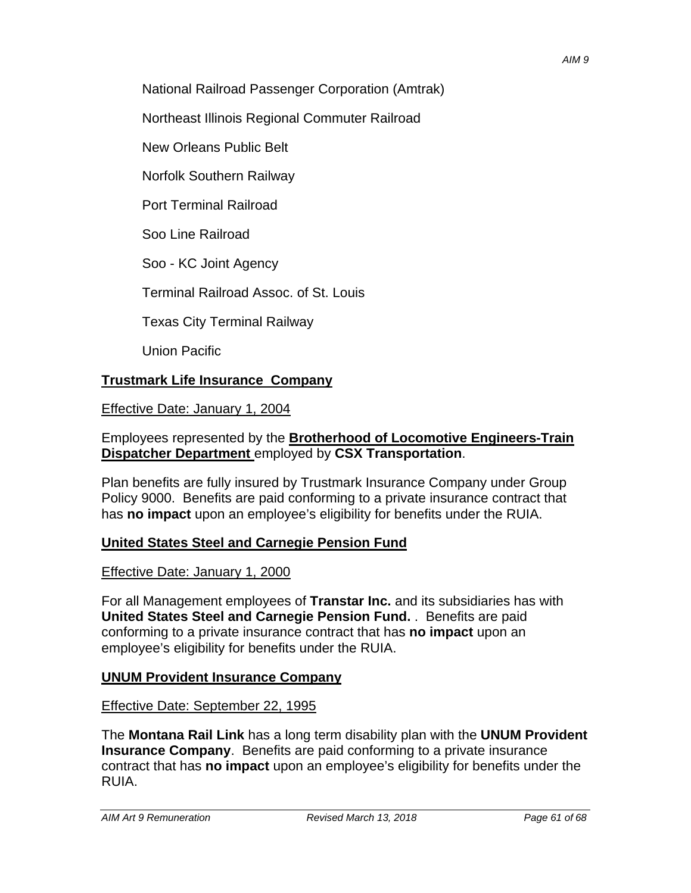National Railroad Passenger Corporation (Amtrak)

Northeast Illinois Regional Commuter Railroad

New Orleans Public Belt

Norfolk Southern Railway

Port Terminal Railroad

Soo Line Railroad

Soo - KC Joint Agency

Terminal Railroad Assoc. of St. Louis

Texas City Terminal Railway

Union Pacific

#### **Trustmark Life Insurance Company**

Effective Date: January 1, 2004

#### Employees represented by the **Brotherhood of Locomotive Engineers-Train Dispatcher Department** employed by **CSX Transportation**.

Plan benefits are fully insured by Trustmark Insurance Company under Group Policy 9000. Benefits are paid conforming to a private insurance contract that has **no impact** upon an employee's eligibility for benefits under the RUIA.

#### **United States Steel and Carnegie Pension Fund**

#### Effective Date: January 1, 2000

For all Management employees of **Transtar Inc.** and its subsidiaries has with **United States Steel and Carnegie Pension Fund.** . Benefits are paid conforming to a private insurance contract that has **no impact** upon an employee's eligibility for benefits under the RUIA.

#### **UNUM Provident Insurance Company**

#### Effective Date: September 22, 1995

The **Montana Rail Link** has a long term disability plan with the **UNUM Provident Insurance Company**. Benefits are paid conforming to a private insurance contract that has **no impact** upon an employee's eligibility for benefits under the RUIA.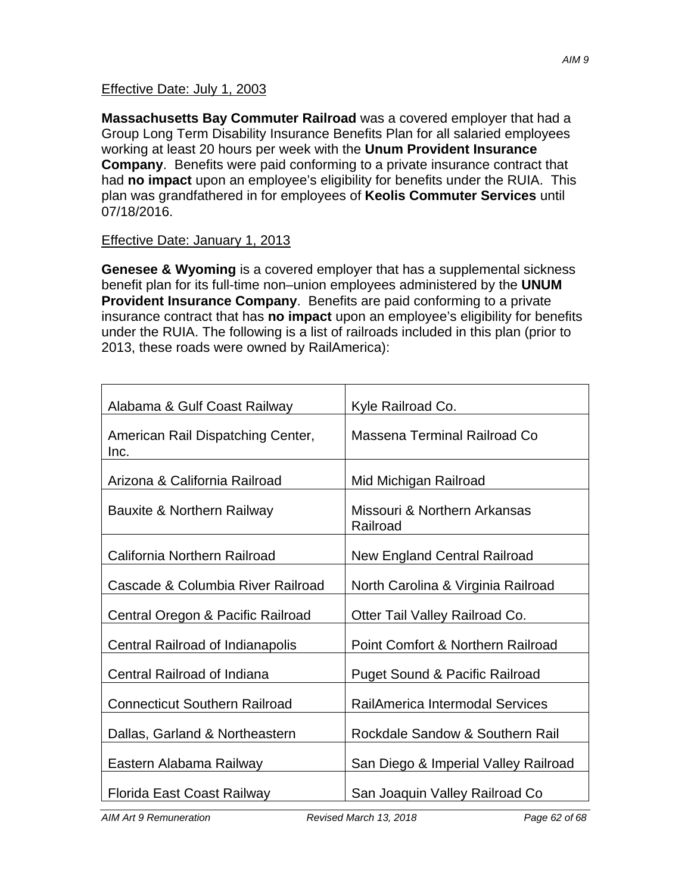#### Effective Date: July 1, 2003

**Massachusetts Bay Commuter Railroad** was a covered employer that had a Group Long Term Disability Insurance Benefits Plan for all salaried employees working at least 20 hours per week with the **Unum Provident Insurance Company**. Benefits were paid conforming to a private insurance contract that had **no impact** upon an employee's eligibility for benefits under the RUIA. This plan was grandfathered in for employees of **Keolis Commuter Services** until 07/18/2016.

#### Effective Date: January 1, 2013

**Genesee & Wyoming** is a covered employer that has a supplemental sickness benefit plan for its full-time non–union employees administered by the **UNUM Provident Insurance Company**. Benefits are paid conforming to a private insurance contract that has **no impact** upon an employee's eligibility for benefits under the RUIA. The following is a list of railroads included in this plan (prior to 2013, these roads were owned by RailAmerica):

| Alabama & Gulf Coast Railway              | Kyle Railroad Co.                         |
|-------------------------------------------|-------------------------------------------|
| American Rail Dispatching Center,<br>Inc. | Massena Terminal Railroad Co              |
| Arizona & California Railroad             | Mid Michigan Railroad                     |
| Bauxite & Northern Railway                | Missouri & Northern Arkansas<br>Railroad  |
| California Northern Railroad              | <b>New England Central Railroad</b>       |
| Cascade & Columbia River Railroad         | North Carolina & Virginia Railroad        |
| Central Oregon & Pacific Railroad         | Otter Tail Valley Railroad Co.            |
| Central Railroad of Indianapolis          | Point Comfort & Northern Railroad         |
| Central Railroad of Indiana               | <b>Puget Sound &amp; Pacific Railroad</b> |
| <b>Connecticut Southern Railroad</b>      | RailAmerica Intermodal Services           |
| Dallas, Garland & Northeastern            | Rockdale Sandow & Southern Rail           |
| Eastern Alabama Railway                   | San Diego & Imperial Valley Railroad      |
| Florida East Coast Railway                | San Joaquin Valley Railroad Co            |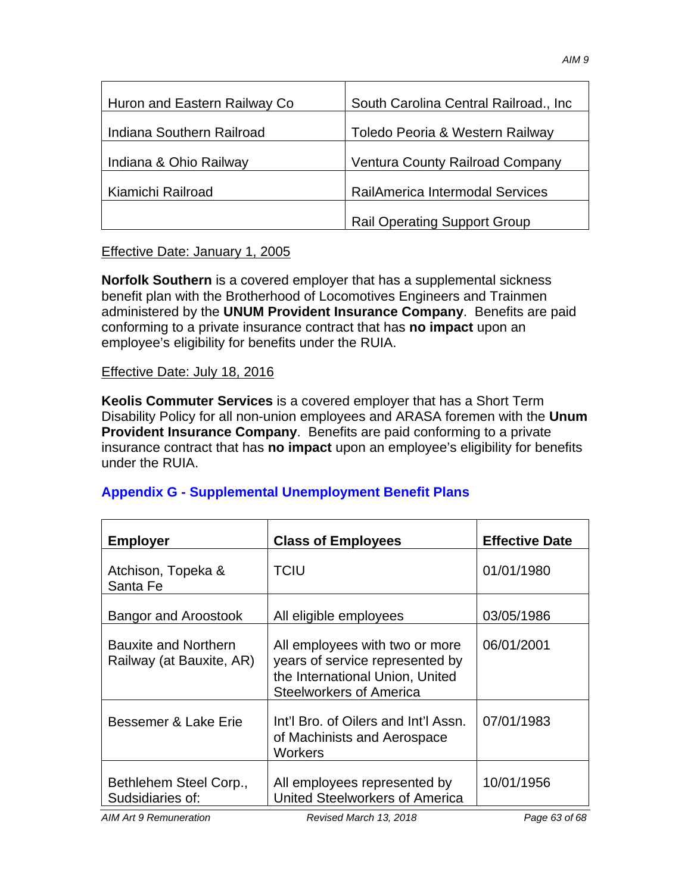| Huron and Eastern Railway Co | South Carolina Central Railroad., Inc. |
|------------------------------|----------------------------------------|
| Indiana Southern Railroad    | Toledo Peoria & Western Railway        |
| Indiana & Ohio Railway       | <b>Ventura County Railroad Company</b> |
| Kiamichi Railroad            | RailAmerica Intermodal Services        |
|                              | <b>Rail Operating Support Group</b>    |

#### Effective Date: January 1, 2005

**Norfolk Southern** is a covered employer that has a supplemental sickness benefit plan with the Brotherhood of Locomotives Engineers and Trainmen administered by the **UNUM Provident Insurance Company**. Benefits are paid conforming to a private insurance contract that has **no impact** upon an employee's eligibility for benefits under the RUIA.

#### Effective Date: July 18, 2016

**Keolis Commuter Services** is a covered employer that has a Short Term Disability Policy for all non-union employees and ARASA foremen with the **Unum Provident Insurance Company**. Benefits are paid conforming to a private insurance contract that has **no impact** upon an employee's eligibility for benefits under the RUIA.

#### **Appendix G - Supplemental Unemployment Benefit Plans**

| <b>Employer</b>                                         | <b>Class of Employees</b>                                                                                                              | <b>Effective Date</b> |
|---------------------------------------------------------|----------------------------------------------------------------------------------------------------------------------------------------|-----------------------|
| Atchison, Topeka &<br>Santa Fe                          | TCIU                                                                                                                                   | 01/01/1980            |
| <b>Bangor and Aroostook</b>                             | All eligible employees                                                                                                                 | 03/05/1986            |
| <b>Bauxite and Northern</b><br>Railway (at Bauxite, AR) | All employees with two or more<br>years of service represented by<br>the International Union, United<br><b>Steelworkers of America</b> | 06/01/2001            |
| Bessemer & Lake Erie                                    | Int'l Bro. of Oilers and Int'l Assn.<br>of Machinists and Aerospace<br>Workers                                                         | 07/01/1983            |
| Bethlehem Steel Corp.,<br>Sudsidiaries of:              | All employees represented by<br><b>United Steelworkers of America</b>                                                                  | 10/01/1956            |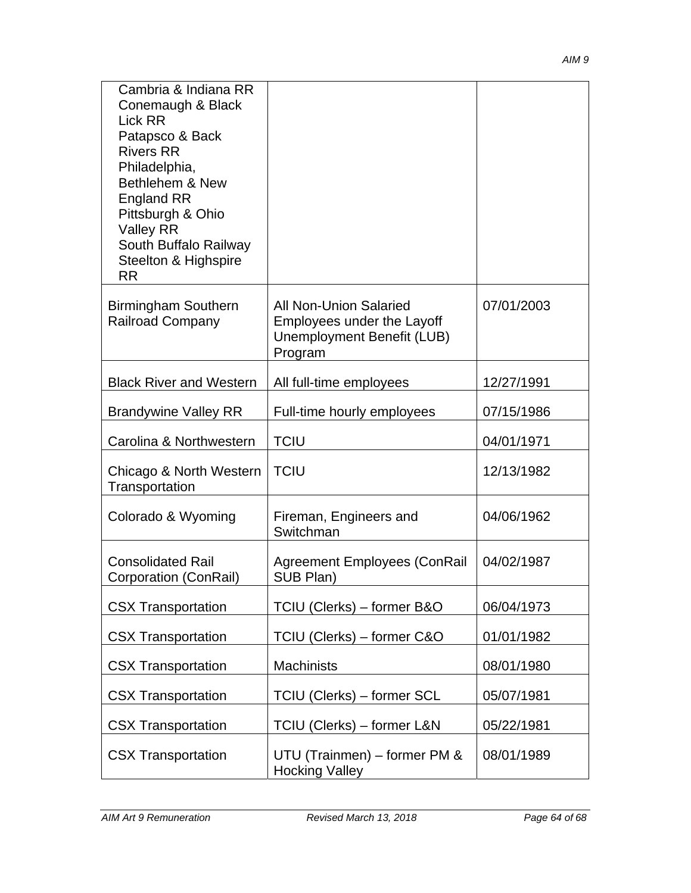| Cambria & Indiana RR<br>Conemaugh & Black<br>Lick RR<br>Patapsco & Back<br><b>Rivers RR</b><br>Philadelphia,<br>Bethlehem & New<br><b>England RR</b><br>Pittsburgh & Ohio<br><b>Valley RR</b><br>South Buffalo Railway<br>Steelton & Highspire<br><b>RR</b> |                                                                                                      |            |
|-------------------------------------------------------------------------------------------------------------------------------------------------------------------------------------------------------------------------------------------------------------|------------------------------------------------------------------------------------------------------|------------|
| Birmingham Southern<br><b>Railroad Company</b>                                                                                                                                                                                                              | <b>All Non-Union Salaried</b><br>Employees under the Layoff<br>Unemployment Benefit (LUB)<br>Program | 07/01/2003 |
| <b>Black River and Western</b>                                                                                                                                                                                                                              | All full-time employees                                                                              | 12/27/1991 |
| <b>Brandywine Valley RR</b>                                                                                                                                                                                                                                 | Full-time hourly employees                                                                           | 07/15/1986 |
| Carolina & Northwestern                                                                                                                                                                                                                                     | <b>TCIU</b>                                                                                          | 04/01/1971 |
| Chicago & North Western<br>Transportation                                                                                                                                                                                                                   | <b>TCIU</b>                                                                                          | 12/13/1982 |
| Colorado & Wyoming                                                                                                                                                                                                                                          | Fireman, Engineers and<br>Switchman                                                                  | 04/06/1962 |
| <b>Consolidated Rail</b><br><b>Corporation (ConRail)</b>                                                                                                                                                                                                    | <b>Agreement Employees (ConRail</b><br>SUB Plan)                                                     | 04/02/1987 |
| <b>CSX Transportation</b>                                                                                                                                                                                                                                   | TCIU (Clerks) - former B&O                                                                           | 06/04/1973 |
| <b>CSX Transportation</b>                                                                                                                                                                                                                                   | TCIU (Clerks) – former C&O                                                                           | 01/01/1982 |
| <b>CSX Transportation</b>                                                                                                                                                                                                                                   | Machinists                                                                                           | 08/01/1980 |
| <b>CSX Transportation</b>                                                                                                                                                                                                                                   | TCIU (Clerks) - former SCL                                                                           | 05/07/1981 |
| <b>CSX Transportation</b>                                                                                                                                                                                                                                   | TCIU (Clerks) – former L&N                                                                           | 05/22/1981 |
| <b>CSX Transportation</b>                                                                                                                                                                                                                                   | UTU (Trainmen) - former PM &<br><b>Hocking Valley</b>                                                | 08/01/1989 |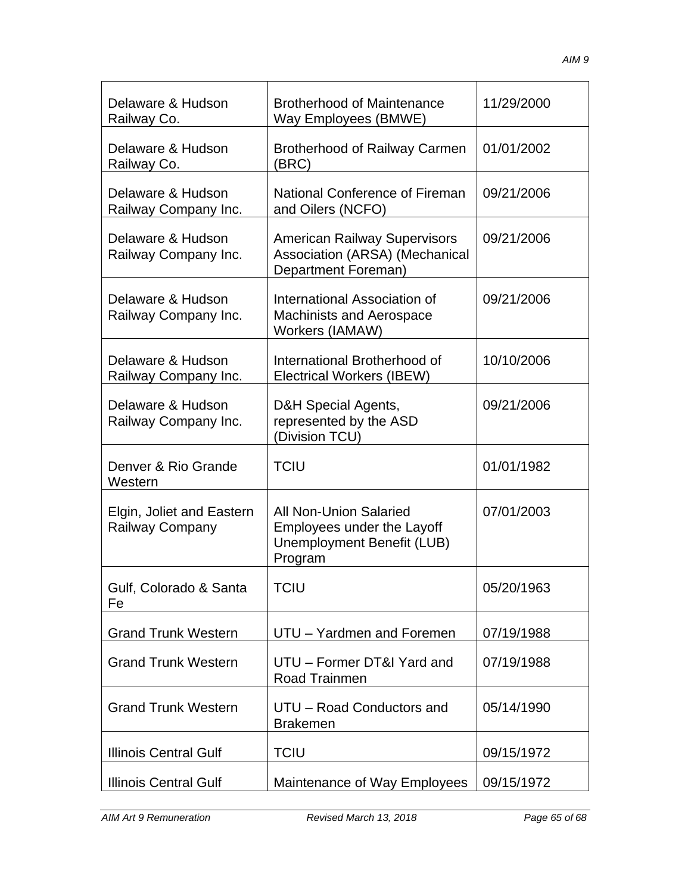| Delaware & Hudson<br>Railway Co.             | <b>Brotherhood of Maintenance</b><br>Way Employees (BMWE)                                            | 11/29/2000 |
|----------------------------------------------|------------------------------------------------------------------------------------------------------|------------|
| Delaware & Hudson<br>Railway Co.             | <b>Brotherhood of Railway Carmen</b><br>(BRC)                                                        | 01/01/2002 |
| Delaware & Hudson<br>Railway Company Inc.    | National Conference of Fireman<br>and Oilers (NCFO)                                                  | 09/21/2006 |
| Delaware & Hudson<br>Railway Company Inc.    | <b>American Railway Supervisors</b><br>Association (ARSA) (Mechanical<br>Department Foreman)         | 09/21/2006 |
| Delaware & Hudson<br>Railway Company Inc.    | International Association of<br><b>Machinists and Aerospace</b><br>Workers (IAMAW)                   | 09/21/2006 |
| Delaware & Hudson<br>Railway Company Inc.    | International Brotherhood of<br>Electrical Workers (IBEW)                                            | 10/10/2006 |
| Delaware & Hudson<br>Railway Company Inc.    | D&H Special Agents,<br>represented by the ASD<br>(Division TCU)                                      | 09/21/2006 |
| Denver & Rio Grande<br>Western               | <b>TCIU</b>                                                                                          | 01/01/1982 |
| Elgin, Joliet and Eastern<br>Railway Company | <b>All Non-Union Salaried</b><br>Employees under the Layoff<br>Unemployment Benefit (LUB)<br>Program | 07/01/2003 |
| Gulf, Colorado & Santa<br>Fe                 | <b>TCIU</b>                                                                                          | 05/20/1963 |
| <b>Grand Trunk Western</b>                   | UTU - Yardmen and Foremen                                                                            | 07/19/1988 |
| <b>Grand Trunk Western</b>                   | UTU - Former DT&I Yard and<br>Road Trainmen                                                          | 07/19/1988 |
| <b>Grand Trunk Western</b>                   | UTU - Road Conductors and<br><b>Brakemen</b>                                                         | 05/14/1990 |
| <b>Illinois Central Gulf</b>                 | <b>TCIU</b>                                                                                          | 09/15/1972 |
| <b>Illinois Central Gulf</b>                 | Maintenance of Way Employees                                                                         | 09/15/1972 |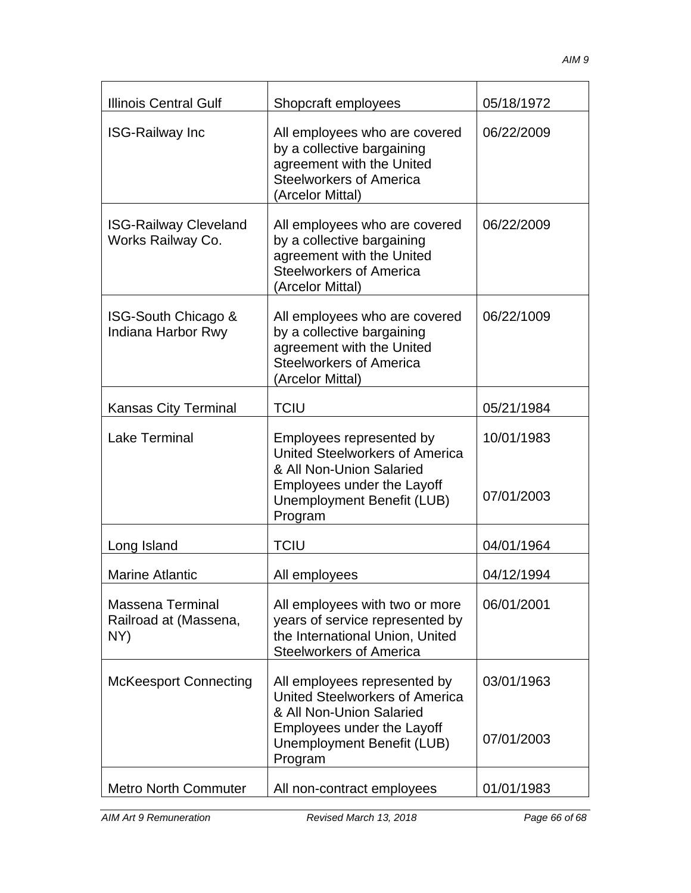| <b>Illinois Central Gulf</b>                            | Shopcraft employees                                                                                                                                                      | 05/18/1972               |
|---------------------------------------------------------|--------------------------------------------------------------------------------------------------------------------------------------------------------------------------|--------------------------|
| <b>ISG-Railway Inc</b>                                  | All employees who are covered<br>by a collective bargaining<br>agreement with the United<br><b>Steelworkers of America</b><br>(Arcelor Mittal)                           | 06/22/2009               |
| <b>ISG-Railway Cleveland</b><br>Works Railway Co.       | All employees who are covered<br>by a collective bargaining<br>agreement with the United<br><b>Steelworkers of America</b><br>(Arcelor Mittal)                           | 06/22/2009               |
| ISG-South Chicago &<br>Indiana Harbor Rwy               | All employees who are covered<br>by a collective bargaining<br>agreement with the United<br><b>Steelworkers of America</b><br>(Arcelor Mittal)                           | 06/22/1009               |
| <b>Kansas City Terminal</b>                             | <b>TCIU</b>                                                                                                                                                              | 05/21/1984               |
| <b>Lake Terminal</b>                                    | Employees represented by<br><b>United Steelworkers of America</b><br>& All Non-Union Salaried<br>Employees under the Layoff<br>Unemployment Benefit (LUB)<br>Program     | 10/01/1983<br>07/01/2003 |
| Long Island                                             | <b>TCIU</b>                                                                                                                                                              | 04/01/1964               |
| <b>Marine Atlantic</b>                                  | All employees                                                                                                                                                            | 04/12/1994               |
| <b>Massena Terminal</b><br>Railroad at (Massena,<br>NY) | All employees with two or more<br>years of service represented by<br>the International Union, United<br><b>Steelworkers of America</b>                                   | 06/01/2001               |
| <b>McKeesport Connecting</b>                            | All employees represented by<br><b>United Steelworkers of America</b><br>& All Non-Union Salaried<br>Employees under the Layoff<br>Unemployment Benefit (LUB)<br>Program | 03/01/1963<br>07/01/2003 |
| <b>Metro North Commuter</b>                             | All non-contract employees                                                                                                                                               | 01/01/1983               |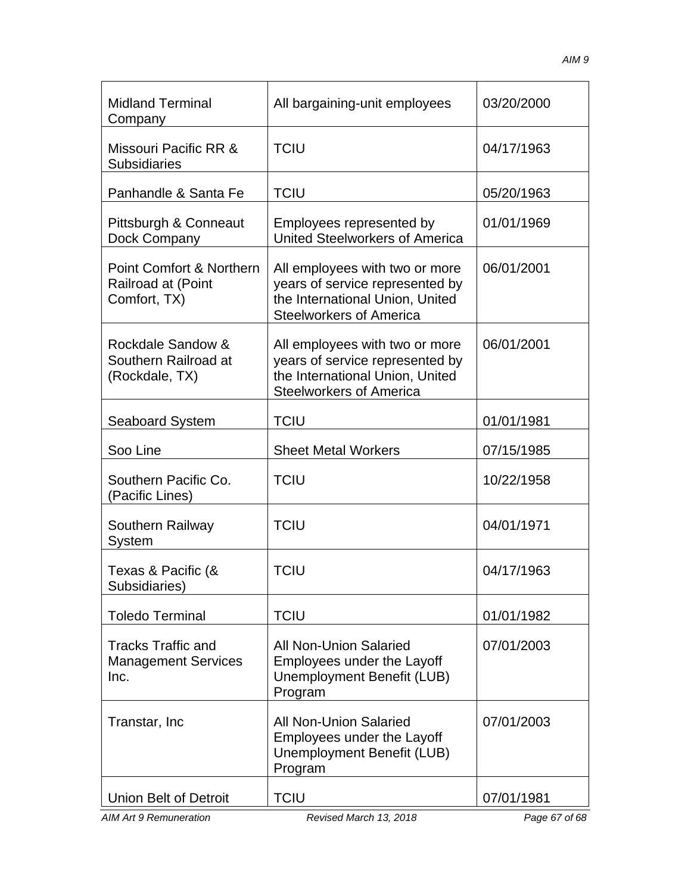| <b>Midland Terminal</b><br>Company                                        | All bargaining-unit employees                                                                                                          | 03/20/2000 |
|---------------------------------------------------------------------------|----------------------------------------------------------------------------------------------------------------------------------------|------------|
| Missouri Pacific RR &<br><b>Subsidiaries</b>                              | <b>TCIU</b>                                                                                                                            | 04/17/1963 |
| Panhandle & Santa Fe                                                      | <b>TCIU</b>                                                                                                                            | 05/20/1963 |
| Pittsburgh & Conneaut<br>Dock Company                                     | Employees represented by<br><b>United Steelworkers of America</b>                                                                      | 01/01/1969 |
| <b>Point Comfort &amp; Northern</b><br>Railroad at (Point<br>Comfort, TX) | All employees with two or more<br>years of service represented by<br>the International Union, United<br><b>Steelworkers of America</b> | 06/01/2001 |
| Rockdale Sandow &<br>Southern Railroad at<br>(Rockdale, TX)               | All employees with two or more<br>years of service represented by<br>the International Union, United<br><b>Steelworkers of America</b> | 06/01/2001 |
| <b>Seaboard System</b>                                                    | <b>TCIU</b>                                                                                                                            | 01/01/1981 |
| Soo Line                                                                  | <b>Sheet Metal Workers</b>                                                                                                             | 07/15/1985 |
| Southern Pacific Co.<br>(Pacific Lines)                                   | <b>TCIU</b>                                                                                                                            | 10/22/1958 |
| Southern Railway<br>System                                                | <b>TCIU</b>                                                                                                                            | 04/01/1971 |
| Texas & Pacific (&<br>Subsidiaries)                                       | <b>TCIU</b>                                                                                                                            | 04/17/1963 |
| <b>Toledo Terminal</b>                                                    | <b>TCIU</b>                                                                                                                            | 01/01/1982 |
| <b>Tracks Traffic and</b><br><b>Management Services</b><br>Inc.           | <b>All Non-Union Salaried</b><br>Employees under the Layoff<br>Unemployment Benefit (LUB)<br>Program                                   | 07/01/2003 |
| Transtar, Inc                                                             | <b>All Non-Union Salaried</b><br>Employees under the Layoff<br>Unemployment Benefit (LUB)<br>Program                                   | 07/01/2003 |
| <b>Union Belt of Detroit</b>                                              | <b>TCIU</b>                                                                                                                            | 07/01/1981 |